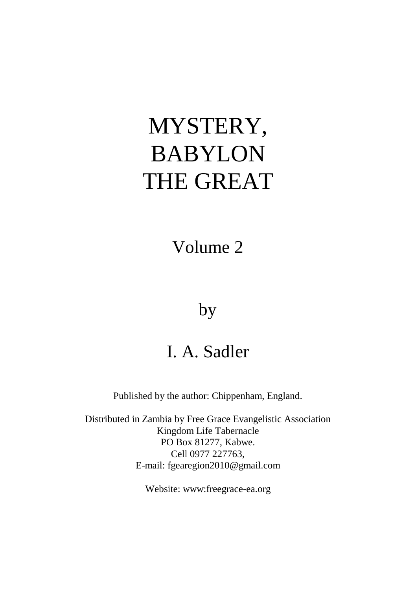# MYSTERY, BABYLON THE GREAT

Volume 2

## by

# I. A. Sadler

Published by the author: Chippenham, England.

Distributed in Zambia by Free Grace Evangelistic Association Kingdom Life Tabernacle PO Box 81277, Kabwe. Cell 0977 227763, E-mail: [fgearegion2010@gmail.com](mailto:fgearegion2010@gmail.com)

Website: www:freegrace-ea.org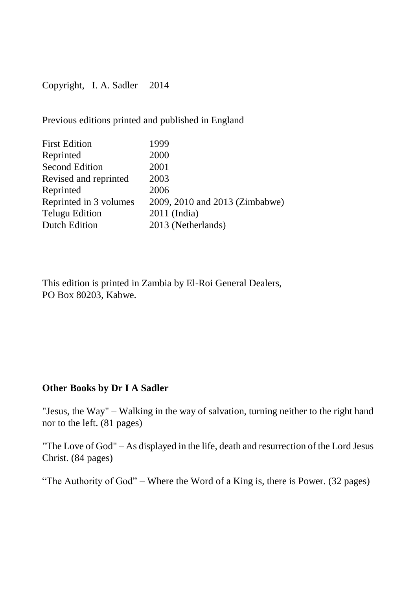Copyright, I. A. Sadler 2014

Previous editions printed and published in England

| <b>First Edition</b>   | 1999                           |
|------------------------|--------------------------------|
| Reprinted              | 2000                           |
| Second Edition         | 2001                           |
| Revised and reprinted  | 2003                           |
| Reprinted              | 2006                           |
| Reprinted in 3 volumes | 2009, 2010 and 2013 (Zimbabwe) |
| <b>Telugu Edition</b>  | $2011$ (India)                 |
| Dutch Edition          | 2013 (Netherlands)             |

This edition is printed in Zambia by El-Roi General Dealers, PO Box 80203, Kabwe.

### **Other Books by Dr I A Sadler**

"Jesus, the Way" – Walking in the way of salvation, turning neither to the right hand nor to the left. (81 pages)

"The Love of God" – As displayed in the life, death and resurrection of the Lord Jesus Christ. (84 pages)

"The Authority of God" – Where the Word of a King is, there is Power. (32 pages)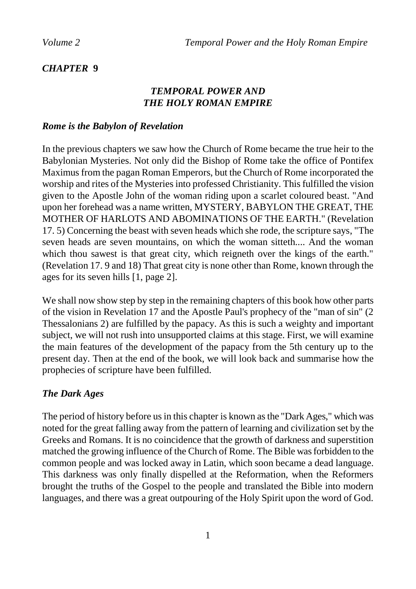#### *CHAPTER* **9**

#### *TEMPORAL POWER AND THE HOLY ROMAN EMPIRE*

#### *Rome is the Babylon of Revelation*

In the previous chapters we saw how the Church of Rome became the true heir to the Babylonian Mysteries. Not only did the Bishop of Rome take the office of Pontifex Maximus from the pagan Roman Emperors, but the Church of Rome incorporated the worship and rites of the Mysteries into professed Christianity. This fulfilled the vision given to the Apostle John of the woman riding upon a scarlet coloured beast. "And upon her forehead was a name written, MYSTERY, BABYLON THE GREAT, THE MOTHER OF HARLOTS AND ABOMINATIONS OF THE EARTH." (Revelation 17. 5) Concerning the beast with seven heads which she rode, the scripture says, "The seven heads are seven mountains, on which the woman sitteth.... And the woman which thou sawest is that great city, which reigneth over the kings of the earth." (Revelation 17. 9 and 18) That great city is none other than Rome, known through the ages for its seven hills [1, page 2].

We shall now show step by step in the remaining chapters of this book how other parts of the vision in Revelation 17 and the Apostle Paul's prophecy of the "man of sin" (2 Thessalonians 2) are fulfilled by the papacy. As this is such a weighty and important subject, we will not rush into unsupported claims at this stage. First, we will examine the main features of the development of the papacy from the 5th century up to the present day. Then at the end of the book, we will look back and summarise how the prophecies of scripture have been fulfilled.

#### *The Dark Ages*

The period of history before us in this chapter is known as the "Dark Ages," which was noted for the great falling away from the pattern of learning and civilization set by the Greeks and Romans. It is no coincidence that the growth of darkness and superstition matched the growing influence of the Church of Rome. The Bible was forbidden to the common people and was locked away in Latin, which soon became a dead language. This darkness was only finally dispelled at the Reformation, when the Reformers brought the truths of the Gospel to the people and translated the Bible into modern languages, and there was a great outpouring of the Holy Spirit upon the word of God.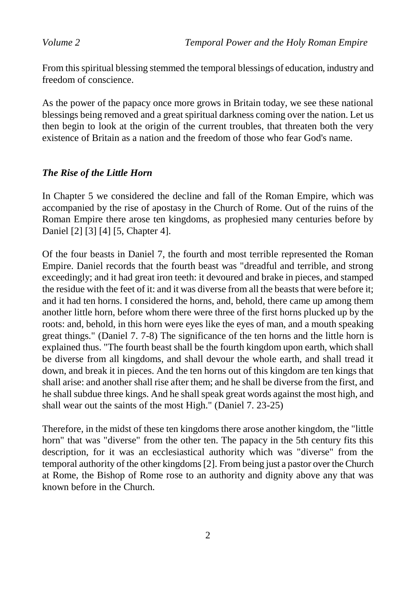From this spiritual blessing stemmed the temporal blessings of education, industry and freedom of conscience.

As the power of the papacy once more grows in Britain today, we see these national blessings being removed and a great spiritual darkness coming over the nation. Let us then begin to look at the origin of the current troubles, that threaten both the very existence of Britain as a nation and the freedom of those who fear God's name.

#### *The Rise of the Little Horn*

In Chapter 5 we considered the decline and fall of the Roman Empire, which was accompanied by the rise of apostasy in the Church of Rome. Out of the ruins of the Roman Empire there arose ten kingdoms, as prophesied many centuries before by Daniel [2] [3] [4] [5, Chapter 4].

Of the four beasts in Daniel 7, the fourth and most terrible represented the Roman Empire. Daniel records that the fourth beast was "dreadful and terrible, and strong exceedingly; and it had great iron teeth: it devoured and brake in pieces, and stamped the residue with the feet of it: and it was diverse from all the beasts that were before it; and it had ten horns. I considered the horns, and, behold, there came up among them another little horn, before whom there were three of the first horns plucked up by the roots: and, behold, in this horn were eyes like the eyes of man, and a mouth speaking great things." (Daniel 7. 7-8) The significance of the ten horns and the little horn is explained thus. "The fourth beast shall be the fourth kingdom upon earth, which shall be diverse from all kingdoms, and shall devour the whole earth, and shall tread it down, and break it in pieces. And the ten horns out of this kingdom are ten kings that shall arise: and another shall rise after them; and he shall be diverse from the first, and he shall subdue three kings. And he shall speak great words against the most high, and shall wear out the saints of the most High." (Daniel 7. 23-25)

Therefore, in the midst of these ten kingdoms there arose another kingdom, the "little horn" that was "diverse" from the other ten. The papacy in the 5th century fits this description, for it was an ecclesiastical authority which was "diverse" from the temporal authority of the other kingdoms [2]. From being just a pastor over the Church at Rome, the Bishop of Rome rose to an authority and dignity above any that was known before in the Church.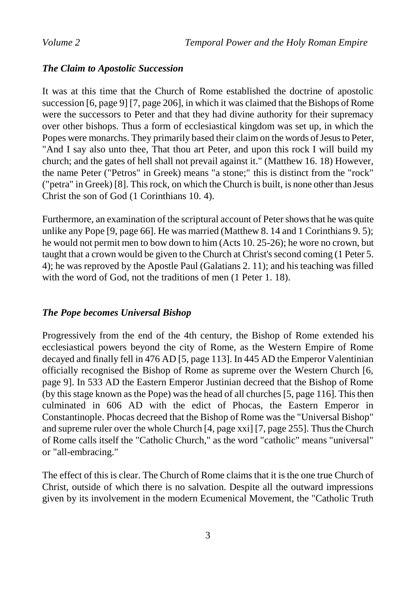#### *The Claim to Apostolic Succession*

It was at this time that the Church of Rome established the doctrine of apostolic succession [6, page 9] [7, page 206], in which it was claimed that the Bishops of Rome were the successors to Peter and that they had divine authority for their supremacy over other bishops. Thus a form of ecclesiastical kingdom was set up, in which the Popes were monarchs. They primarily based their claim on the words of Jesus to Peter, "And I say also unto thee, That thou art Peter, and upon this rock I will build my church; and the gates of hell shall not prevail against it." (Matthew 16. 18) However, the name Peter ("Petros" in Greek) means "a stone;" this is distinct from the "rock" ("petra" in Greek) [8]. This rock, on which the Church is built, is none other than Jesus Christ the son of God (1 Corinthians 10. 4).

Furthermore, an examination of the scriptural account of Peter shows that he was quite unlike any Pope [9, page 66]. He was married (Matthew 8. 14 and 1 Corinthians 9. 5); he would not permit men to bow down to him (Acts 10. 25-26); he wore no crown, but taught that a crown would be given to the Church at Christ's second coming (1 Peter 5. 4); he was reproved by the Apostle Paul (Galatians 2. 11); and his teaching was filled with the word of God, not the traditions of men (1 Peter 1. 18).

#### *The Pope becomes Universal Bishop*

Progressively from the end of the 4th century, the Bishop of Rome extended his ecclesiastical powers beyond the city of Rome, as the Western Empire of Rome decayed and finally fell in 476 AD [5, page 113]. In 445 AD the Emperor Valentinian officially recognised the Bishop of Rome as supreme over the Western Church [6, page 9]. In 533 AD the Eastern Emperor Justinian decreed that the Bishop of Rome (by this stage known as the Pope) was the head of all churches [5, page 116]. This then culminated in 606 AD with the edict of Phocas, the Eastern Emperor in Constantinople. Phocas decreed that the Bishop of Rome was the "Universal Bishop" and supreme ruler over the whole Church [4, page xxi] [7, page 255]. Thus the Church of Rome calls itself the "Catholic Church," as the word "catholic" means "universal" or "all-embracing."

The effect of this is clear. The Church of Rome claims that it is the one true Church of Christ, outside of which there is no salvation. Despite all the outward impressions given by its involvement in the modern Ecumenical Movement, the "Catholic Truth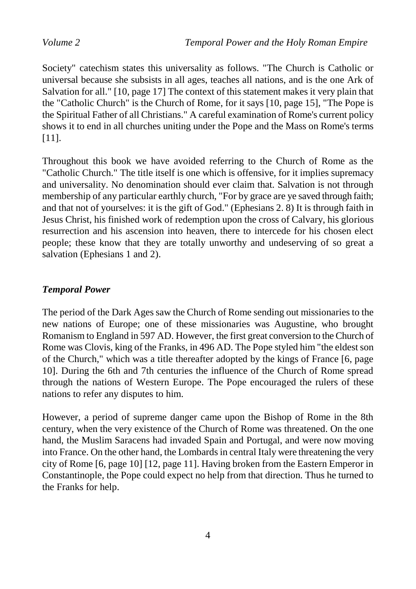Society" catechism states this universality as follows. "The Church is Catholic or universal because she subsists in all ages, teaches all nations, and is the one Ark of Salvation for all." [10, page 17] The context of this statement makes it very plain that the "Catholic Church" is the Church of Rome, for it says [10, page 15], "The Pope is the Spiritual Father of all Christians." A careful examination of Rome's current policy shows it to end in all churches uniting under the Pope and the Mass on Rome's terms [11].

Throughout this book we have avoided referring to the Church of Rome as the "Catholic Church." The title itself is one which is offensive, for it implies supremacy and universality. No denomination should ever claim that. Salvation is not through membership of any particular earthly church, "For by grace are ye saved through faith; and that not of yourselves: it is the gift of God." (Ephesians 2. 8) It is through faith in Jesus Christ, his finished work of redemption upon the cross of Calvary, his glorious resurrection and his ascension into heaven, there to intercede for his chosen elect people; these know that they are totally unworthy and undeserving of so great a salvation (Ephesians 1 and 2).

#### *Temporal Power*

The period of the Dark Ages saw the Church of Rome sending out missionaries to the new nations of Europe; one of these missionaries was Augustine, who brought Romanism to England in 597 AD. However, the first great conversion to the Church of Rome was Clovis, king of the Franks, in 496 AD. The Pope styled him "the eldest son of the Church," which was a title thereafter adopted by the kings of France [6, page 10]. During the 6th and 7th centuries the influence of the Church of Rome spread through the nations of Western Europe. The Pope encouraged the rulers of these nations to refer any disputes to him.

However, a period of supreme danger came upon the Bishop of Rome in the 8th century, when the very existence of the Church of Rome was threatened. On the one hand, the Muslim Saracens had invaded Spain and Portugal, and were now moving into France. On the other hand, the Lombards in central Italy were threatening the very city of Rome [6, page 10] [12, page 11]. Having broken from the Eastern Emperor in Constantinople, the Pope could expect no help from that direction. Thus he turned to the Franks for help.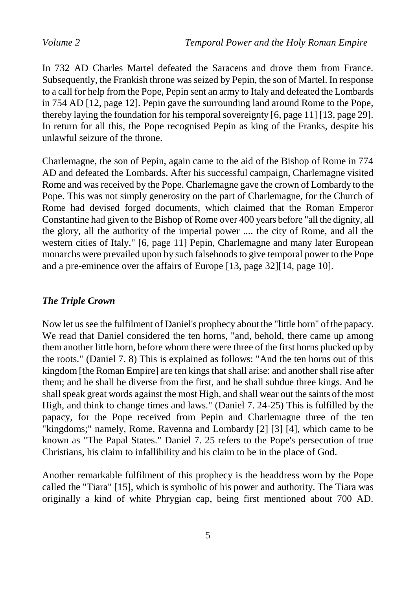In 732 AD Charles Martel defeated the Saracens and drove them from France. Subsequently, the Frankish throne was seized by Pepin, the son of Martel. In response to a call for help from the Pope, Pepin sent an army to Italy and defeated the Lombards in 754 AD [12, page 12]. Pepin gave the surrounding land around Rome to the Pope, thereby laying the foundation for his temporal sovereignty [6, page 11] [13, page 29]. In return for all this, the Pope recognised Pepin as king of the Franks, despite his unlawful seizure of the throne.

Charlemagne, the son of Pepin, again came to the aid of the Bishop of Rome in 774 AD and defeated the Lombards. After his successful campaign, Charlemagne visited Rome and was received by the Pope. Charlemagne gave the crown of Lombardy to the Pope. This was not simply generosity on the part of Charlemagne, for the Church of Rome had devised forged documents, which claimed that the Roman Emperor Constantine had given to the Bishop of Rome over 400 years before "all the dignity, all the glory, all the authority of the imperial power .... the city of Rome, and all the western cities of Italy." [6, page 11] Pepin, Charlemagne and many later European monarchs were prevailed upon by such falsehoods to give temporal power to the Pope and a pre-eminence over the affairs of Europe [13, page 32][14, page 10].

#### *The Triple Crown*

Now let us see the fulfilment of Daniel's prophecy about the "little horn" of the papacy. We read that Daniel considered the ten horns, "and, behold, there came up among them another little horn, before whom there were three of the first horns plucked up by the roots." (Daniel 7. 8) This is explained as follows: "And the ten horns out of this kingdom [the Roman Empire] are ten kings that shall arise: and another shall rise after them; and he shall be diverse from the first, and he shall subdue three kings. And he shall speak great words against the most High, and shall wear out the saints of the most High, and think to change times and laws." (Daniel 7. 24-25) This is fulfilled by the papacy, for the Pope received from Pepin and Charlemagne three of the ten "kingdoms;" namely, Rome, Ravenna and Lombardy [2] [3] [4], which came to be known as "The Papal States." Daniel 7. 25 refers to the Pope's persecution of true Christians, his claim to infallibility and his claim to be in the place of God.

Another remarkable fulfilment of this prophecy is the headdress worn by the Pope called the "Tiara" [15], which is symbolic of his power and authority. The Tiara was originally a kind of white Phrygian cap, being first mentioned about 700 AD.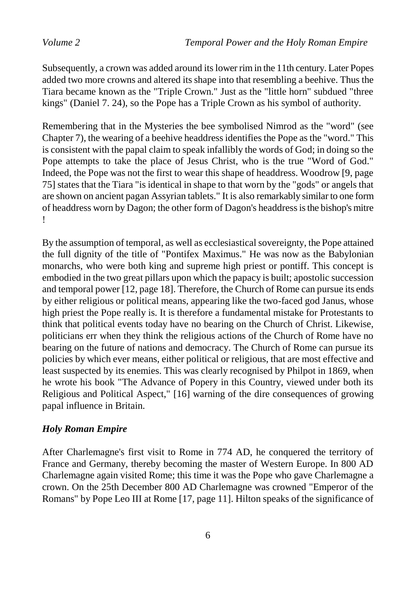Subsequently, a crown was added around its lower rim in the 11th century. Later Popes added two more crowns and altered its shape into that resembling a beehive. Thus the Tiara became known as the "Triple Crown." Just as the "little horn" subdued "three kings" (Daniel 7. 24), so the Pope has a Triple Crown as his symbol of authority.

Remembering that in the Mysteries the bee symbolised Nimrod as the "word" (see Chapter 7), the wearing of a beehive headdress identifies the Pope as the "word." This is consistent with the papal claim to speak infallibly the words of God; in doing so the Pope attempts to take the place of Jesus Christ, who is the true "Word of God." Indeed, the Pope was not the first to wear this shape of headdress. Woodrow [9, page 75] states that the Tiara "is identical in shape to that worn by the "gods" or angels that are shown on ancient pagan Assyrian tablets." It is also remarkably similar to one form of headdress worn by Dagon; the other form of Dagon's headdress is the bishop's mitre !

By the assumption of temporal, as well as ecclesiastical sovereignty, the Pope attained the full dignity of the title of "Pontifex Maximus." He was now as the Babylonian monarchs, who were both king and supreme high priest or pontiff. This concept is embodied in the two great pillars upon which the papacy is built; apostolic succession and temporal power [12, page 18]. Therefore, the Church of Rome can pursue its ends by either religious or political means, appearing like the two-faced god Janus, whose high priest the Pope really is. It is therefore a fundamental mistake for Protestants to think that political events today have no bearing on the Church of Christ. Likewise, politicians err when they think the religious actions of the Church of Rome have no bearing on the future of nations and democracy. The Church of Rome can pursue its policies by which ever means, either political or religious, that are most effective and least suspected by its enemies. This was clearly recognised by Philpot in 1869, when he wrote his book "The Advance of Popery in this Country, viewed under both its Religious and Political Aspect," [16] warning of the dire consequences of growing papal influence in Britain.

#### *Holy Roman Empire*

After Charlemagne's first visit to Rome in 774 AD, he conquered the territory of France and Germany, thereby becoming the master of Western Europe. In 800 AD Charlemagne again visited Rome; this time it was the Pope who gave Charlemagne a crown. On the 25th December 800 AD Charlemagne was crowned "Emperor of the Romans" by Pope Leo III at Rome [17, page 11]. Hilton speaks of the significance of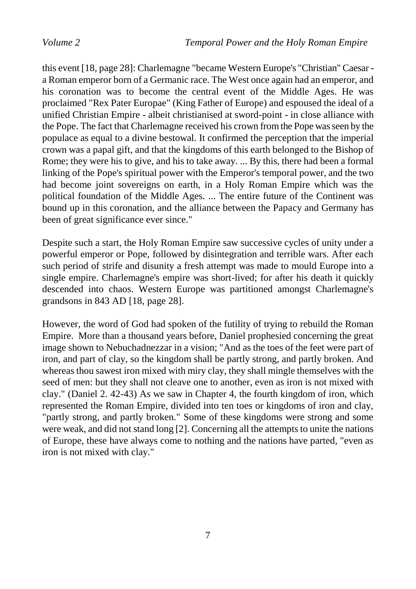this event [18, page 28]: Charlemagne "became Western Europe's "Christian" Caesar a Roman emperor born of a Germanic race. The West once again had an emperor, and his coronation was to become the central event of the Middle Ages. He was proclaimed "Rex Pater Europae" (King Father of Europe) and espoused the ideal of a unified Christian Empire - albeit christianised at sword-point - in close alliance with the Pope. The fact that Charlemagne received his crown from the Pope was seen by the populace as equal to a divine bestowal. It confirmed the perception that the imperial crown was a papal gift, and that the kingdoms of this earth belonged to the Bishop of Rome; they were his to give, and his to take away. ... By this, there had been a formal linking of the Pope's spiritual power with the Emperor's temporal power, and the two had become joint sovereigns on earth, in a Holy Roman Empire which was the political foundation of the Middle Ages. ... The entire future of the Continent was bound up in this coronation, and the alliance between the Papacy and Germany has been of great significance ever since."

Despite such a start, the Holy Roman Empire saw successive cycles of unity under a powerful emperor or Pope, followed by disintegration and terrible wars. After each such period of strife and disunity a fresh attempt was made to mould Europe into a single empire. Charlemagne's empire was short-lived; for after his death it quickly descended into chaos. Western Europe was partitioned amongst Charlemagne's grandsons in 843 AD [18, page 28].

However, the word of God had spoken of the futility of trying to rebuild the Roman Empire. More than a thousand years before, Daniel prophesied concerning the great image shown to Nebuchadnezzar in a vision; "And as the toes of the feet were part of iron, and part of clay, so the kingdom shall be partly strong, and partly broken. And whereas thou sawest iron mixed with miry clay, they shall mingle themselves with the seed of men: but they shall not cleave one to another, even as iron is not mixed with clay." (Daniel 2. 42-43) As we saw in Chapter 4, the fourth kingdom of iron, which represented the Roman Empire, divided into ten toes or kingdoms of iron and clay, "partly strong, and partly broken." Some of these kingdoms were strong and some were weak, and did not stand long [2]. Concerning all the attempts to unite the nations of Europe, these have always come to nothing and the nations have parted, "even as iron is not mixed with clay."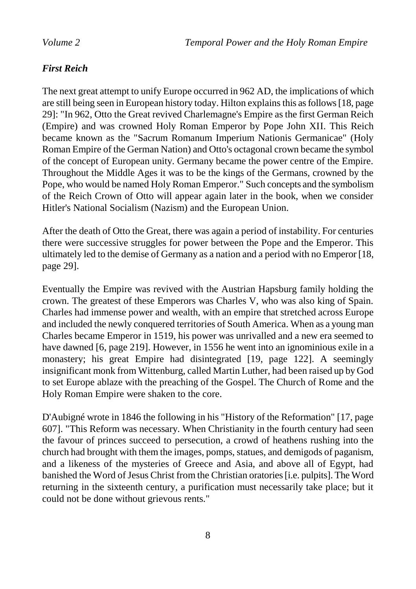### *First Reich*

The next great attempt to unify Europe occurred in 962 AD, the implications of which are still being seen in European history today. Hilton explains this as follows [18, page 29]: "In 962, Otto the Great revived Charlemagne's Empire as the first German Reich (Empire) and was crowned Holy Roman Emperor by Pope John XII. This Reich became known as the "Sacrum Romanum Imperium Nationis Germanicae" (Holy Roman Empire of the German Nation) and Otto's octagonal crown became the symbol of the concept of European unity. Germany became the power centre of the Empire. Throughout the Middle Ages it was to be the kings of the Germans, crowned by the Pope, who would be named Holy Roman Emperor." Such concepts and the symbolism of the Reich Crown of Otto will appear again later in the book, when we consider Hitler's National Socialism (Nazism) and the European Union.

After the death of Otto the Great, there was again a period of instability. For centuries there were successive struggles for power between the Pope and the Emperor. This ultimately led to the demise of Germany as a nation and a period with no Emperor [18, page 29].

Eventually the Empire was revived with the Austrian Hapsburg family holding the crown. The greatest of these Emperors was Charles V, who was also king of Spain. Charles had immense power and wealth, with an empire that stretched across Europe and included the newly conquered territories of South America. When as a young man Charles became Emperor in 1519, his power was unrivalled and a new era seemed to have dawned [6, page 219]. However, in 1556 he went into an ignominious exile in a monastery; his great Empire had disintegrated [19, page 122]. A seemingly insignificant monk from Wittenburg, called Martin Luther, had been raised up by God to set Europe ablaze with the preaching of the Gospel. The Church of Rome and the Holy Roman Empire were shaken to the core.

D'Aubigné wrote in 1846 the following in his "History of the Reformation" [17, page 607]. "This Reform was necessary. When Christianity in the fourth century had seen the favour of princes succeed to persecution, a crowd of heathens rushing into the church had brought with them the images, pomps, statues, and demigods of paganism, and a likeness of the mysteries of Greece and Asia, and above all of Egypt, had banished the Word of Jesus Christ from the Christian oratories [i.e. pulpits]. The Word returning in the sixteenth century, a purification must necessarily take place; but it could not be done without grievous rents."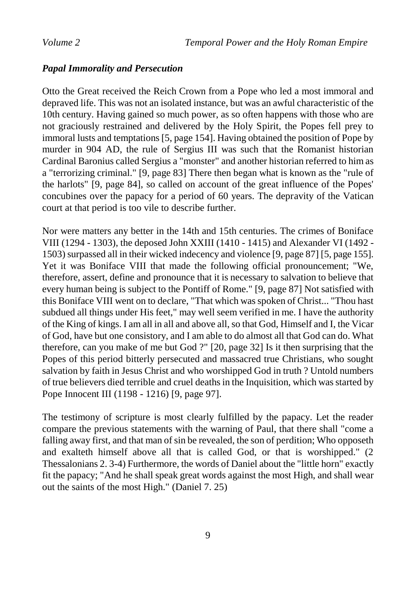#### *Papal Immorality and Persecution*

Otto the Great received the Reich Crown from a Pope who led a most immoral and depraved life. This was not an isolated instance, but was an awful characteristic of the 10th century. Having gained so much power, as so often happens with those who are not graciously restrained and delivered by the Holy Spirit, the Popes fell prey to immoral lusts and temptations [5, page 154]. Having obtained the position of Pope by murder in 904 AD, the rule of Sergius III was such that the Romanist historian Cardinal Baronius called Sergius a "monster" and another historian referred to him as a "terrorizing criminal." [9, page 83] There then began what is known as the "rule of the harlots" [9, page 84], so called on account of the great influence of the Popes' concubines over the papacy for a period of 60 years. The depravity of the Vatican court at that period is too vile to describe further.

Nor were matters any better in the 14th and 15th centuries. The crimes of Boniface VIII (1294 - 1303), the deposed John XXIII (1410 - 1415) and Alexander VI (1492 - 1503) surpassed all in their wicked indecency and violence [9, page 87] [5, page 155]. Yet it was Boniface VIII that made the following official pronouncement; "We, therefore, assert, define and pronounce that it is necessary to salvation to believe that every human being is subject to the Pontiff of Rome." [9, page 87] Not satisfied with this Boniface VIII went on to declare, "That which was spoken of Christ... "Thou hast subdued all things under His feet," may well seem verified in me. I have the authority of the King of kings. I am all in all and above all, so that God, Himself and I, the Vicar of God, have but one consistory, and I am able to do almost all that God can do. What therefore, can you make of me but God ?" [20, page 32] Is it then surprising that the Popes of this period bitterly persecuted and massacred true Christians, who sought salvation by faith in Jesus Christ and who worshipped God in truth ? Untold numbers of true believers died terrible and cruel deaths in the Inquisition, which was started by Pope Innocent III (1198 - 1216) [9, page 97].

The testimony of scripture is most clearly fulfilled by the papacy. Let the reader compare the previous statements with the warning of Paul, that there shall "come a falling away first, and that man of sin be revealed, the son of perdition; Who opposeth and exalteth himself above all that is called God, or that is worshipped." (2 Thessalonians 2. 3-4) Furthermore, the words of Daniel about the "little horn" exactly fit the papacy; "And he shall speak great words against the most High, and shall wear out the saints of the most High." (Daniel 7. 25)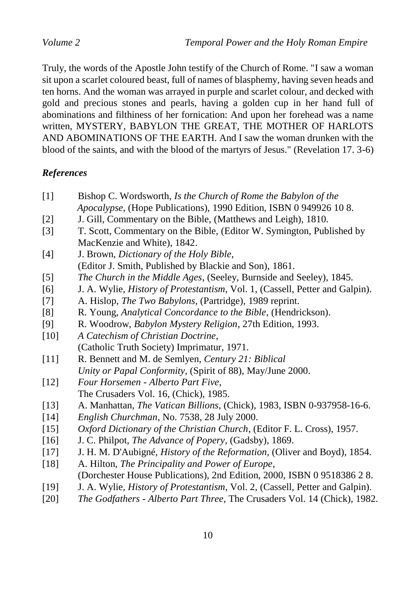Truly, the words of the Apostle John testify of the Church of Rome. "I saw a woman sit upon a scarlet coloured beast, full of names of blasphemy, having seven heads and ten horns. And the woman was arrayed in purple and scarlet colour, and decked with gold and precious stones and pearls, having a golden cup in her hand full of abominations and filthiness of her fornication: And upon her forehead was a name written, MYSTERY, BABYLON THE GREAT, THE MOTHER OF HARLOTS AND ABOMINATIONS OF THE EARTH. And I saw the woman drunken with the blood of the saints, and with the blood of the martyrs of Jesus." (Revelation 17. 3-6)

### *References*

- [1] Bishop C. Wordsworth, *Is the Church of Rome the Babylon of the Apocalypse*, (Hope Publications), 1990 Edition, ISBN 0 949926 10 8.
- [2] J. Gill, Commentary on the Bible, (Matthews and Leigh), 1810.
- [3] T. Scott, Commentary on the Bible, (Editor W. Symington, Published by MacKenzie and White), 1842.
- [4] J. Brown, *Dictionary of the Holy Bible*,
- (Editor J. Smith, Published by Blackie and Son), 1861. [5] *The Church in the Middle Ages*, (Seeley, Burnside and Seeley), 1845.
- [6] J. A. Wylie, *History of Protestantism*, Vol. 1, (Cassell, Petter and Galpin).
- 
- [7] A. Hislop, *The Two Babylons*, (Partridge), 1989 reprint.
- [8] R. Young, *Analytical Concordance to the Bible*, (Hendrickson).
- [9] R. Woodrow, *Babylon Mystery Religion*, 27th Edition, 1993.
- [10] *A Catechism of Christian Doctrine*, (Catholic Truth Society) Imprimatur, 1971.
- [11] R. Bennett and M. de Semlyen, *Century 21: Biblical Unity or Papal Conformity*, (Spirit of 88), May/June 2000.
- [12] *Four Horsemen - Alberto Part Five*, The Crusaders Vol. 16, (Chick), 1985.
- [13] A. Manhattan, *The Vatican Billions*, (Chick), 1983, ISBN 0-937958-16-6.
- [14] *English Churchman*, No. 7538, 28 July 2000.
- [15] *Oxford Dictionary of the Christian Church*, (Editor F. L. Cross), 1957.
- [16] J. C. Philpot, *The Advance of Popery*, (Gadsby), 1869.
- [17] J. H. M. D'Aubigné, *History of the Reformation*, (Oliver and Boyd), 1854.
- [18] A. Hilton, *The Principality and Power of Europe*, (Dorchester House Publications), 2nd Edition, 2000, ISBN 0 9518386 2 8.
- [19] J. A. Wylie, *History of Protestantism*, Vol. 2, (Cassell, Petter and Galpin).
- [20] *The Godfathers - Alberto Part Three*, The Crusaders Vol. 14 (Chick), 1982.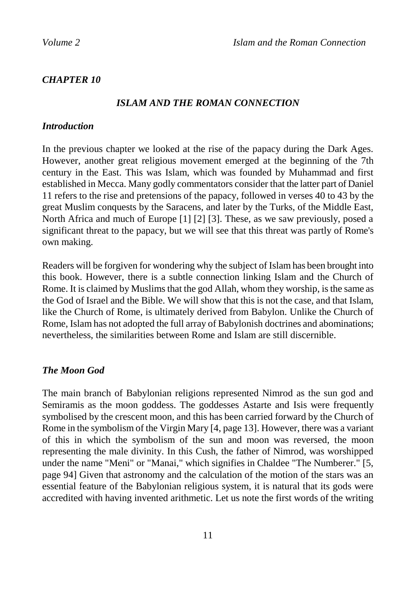#### *CHAPTER 10*

#### *ISLAM AND THE ROMAN CONNECTION*

#### *Introduction*

In the previous chapter we looked at the rise of the papacy during the Dark Ages. However, another great religious movement emerged at the beginning of the 7th century in the East. This was Islam, which was founded by Muhammad and first established in Mecca. Many godly commentators consider that the latter part of Daniel 11 refers to the rise and pretensions of the papacy, followed in verses 40 to 43 by the great Muslim conquests by the Saracens, and later by the Turks, of the Middle East, North Africa and much of Europe [1] [2] [3]. These, as we saw previously, posed a significant threat to the papacy, but we will see that this threat was partly of Rome's own making.

Readers will be forgiven for wondering why the subject of Islam has been brought into this book. However, there is a subtle connection linking Islam and the Church of Rome. It is claimed by Muslims that the god Allah, whom they worship, is the same as the God of Israel and the Bible. We will show that this is not the case, and that Islam, like the Church of Rome, is ultimately derived from Babylon. Unlike the Church of Rome, Islam has not adopted the full array of Babylonish doctrines and abominations; nevertheless, the similarities between Rome and Islam are still discernible.

#### *The Moon God*

The main branch of Babylonian religions represented Nimrod as the sun god and Semiramis as the moon goddess. The goddesses Astarte and Isis were frequently symbolised by the crescent moon, and this has been carried forward by the Church of Rome in the symbolism of the Virgin Mary [4, page 13]. However, there was a variant of this in which the symbolism of the sun and moon was reversed, the moon representing the male divinity. In this Cush, the father of Nimrod, was worshipped under the name "Meni" or "Manai," which signifies in Chaldee "The Numberer." [5, page 94] Given that astronomy and the calculation of the motion of the stars was an essential feature of the Babylonian religious system, it is natural that its gods were accredited with having invented arithmetic. Let us note the first words of the writing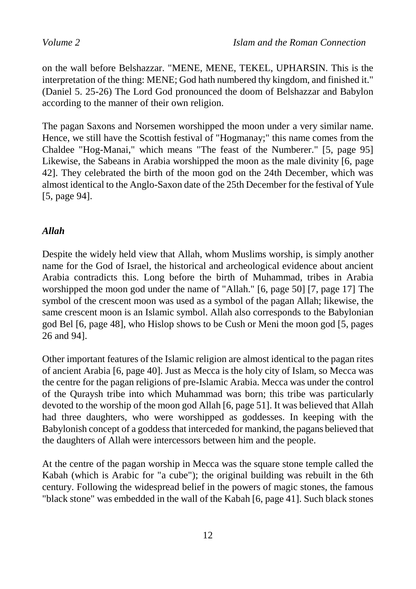on the wall before Belshazzar. "MENE, MENE, TEKEL, UPHARSIN. This is the interpretation of the thing: MENE; God hath numbered thy kingdom, and finished it." (Daniel 5. 25-26) The Lord God pronounced the doom of Belshazzar and Babylon according to the manner of their own religion.

The pagan Saxons and Norsemen worshipped the moon under a very similar name. Hence, we still have the Scottish festival of "Hogmanay;" this name comes from the Chaldee "Hog-Manai," which means "The feast of the Numberer." [5, page 95] Likewise, the Sabeans in Arabia worshipped the moon as the male divinity [6, page 42]. They celebrated the birth of the moon god on the 24th December, which was almost identical to the Anglo-Saxon date of the 25th December for the festival of Yule [5, page 94].

#### *Allah*

Despite the widely held view that Allah, whom Muslims worship, is simply another name for the God of Israel, the historical and archeological evidence about ancient Arabia contradicts this. Long before the birth of Muhammad, tribes in Arabia worshipped the moon god under the name of "Allah." [6, page 50] [7, page 17] The symbol of the crescent moon was used as a symbol of the pagan Allah; likewise, the same crescent moon is an Islamic symbol. Allah also corresponds to the Babylonian god Bel [6, page 48], who Hislop shows to be Cush or Meni the moon god [5, pages 26 and 94].

Other important features of the Islamic religion are almost identical to the pagan rites of ancient Arabia [6, page 40]. Just as Mecca is the holy city of Islam, so Mecca was the centre for the pagan religions of pre-Islamic Arabia. Mecca was under the control of the Quraysh tribe into which Muhammad was born; this tribe was particularly devoted to the worship of the moon god Allah [6, page 51]. It was believed that Allah had three daughters, who were worshipped as goddesses. In keeping with the Babylonish concept of a goddess that interceded for mankind, the pagans believed that the daughters of Allah were intercessors between him and the people.

At the centre of the pagan worship in Mecca was the square stone temple called the Kabah (which is Arabic for "a cube"); the original building was rebuilt in the 6th century. Following the widespread belief in the powers of magic stones, the famous "black stone" was embedded in the wall of the Kabah [6, page 41]. Such black stones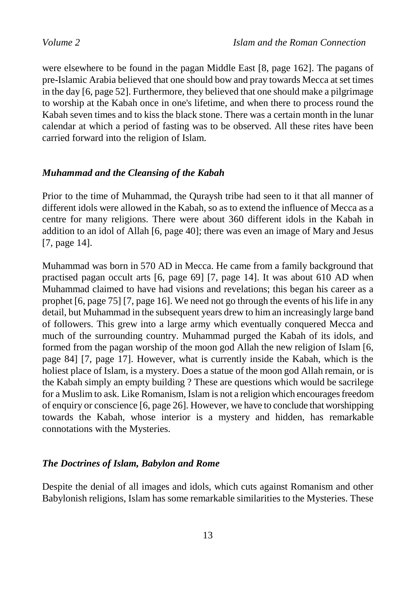were elsewhere to be found in the pagan Middle East [8, page 162]. The pagans of pre-Islamic Arabia believed that one should bow and pray towards Mecca at set times in the day [6, page 52]. Furthermore, they believed that one should make a pilgrimage to worship at the Kabah once in one's lifetime, and when there to process round the Kabah seven times and to kiss the black stone. There was a certain month in the lunar calendar at which a period of fasting was to be observed. All these rites have been carried forward into the religion of Islam.

#### *Muhammad and the Cleansing of the Kabah*

Prior to the time of Muhammad, the Quraysh tribe had seen to it that all manner of different idols were allowed in the Kabah, so as to extend the influence of Mecca as a centre for many religions. There were about 360 different idols in the Kabah in addition to an idol of Allah [6, page 40]; there was even an image of Mary and Jesus [7, page 14].

Muhammad was born in 570 AD in Mecca. He came from a family background that practised pagan occult arts [6, page 69] [7, page 14]. It was about 610 AD when Muhammad claimed to have had visions and revelations; this began his career as a prophet [6, page 75] [7, page 16]. We need not go through the events of his life in any detail, but Muhammad in the subsequent years drew to him an increasingly large band of followers. This grew into a large army which eventually conquered Mecca and much of the surrounding country. Muhammad purged the Kabah of its idols, and formed from the pagan worship of the moon god Allah the new religion of Islam [6, page 84] [7, page 17]. However, what is currently inside the Kabah, which is the holiest place of Islam, is a mystery. Does a statue of the moon god Allah remain, or is the Kabah simply an empty building ? These are questions which would be sacrilege for a Muslim to ask. Like Romanism, Islam is not a religion which encourages freedom of enquiry or conscience [6, page 26]. However, we have to conclude that worshipping towards the Kabah, whose interior is a mystery and hidden, has remarkable connotations with the Mysteries.

#### *The Doctrines of Islam, Babylon and Rome*

Despite the denial of all images and idols, which cuts against Romanism and other Babylonish religions, Islam has some remarkable similarities to the Mysteries. These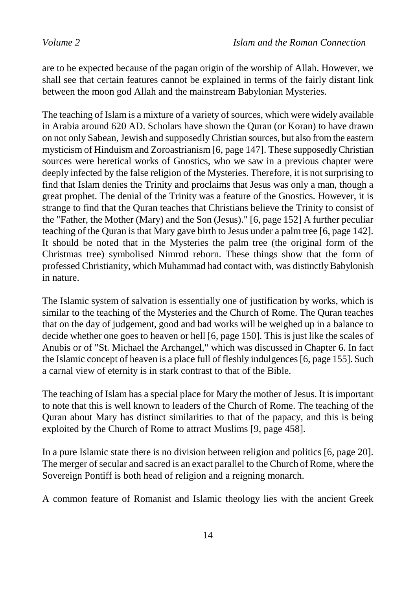are to be expected because of the pagan origin of the worship of Allah. However, we shall see that certain features cannot be explained in terms of the fairly distant link between the moon god Allah and the mainstream Babylonian Mysteries.

The teaching of Islam is a mixture of a variety of sources, which were widely available in Arabia around 620 AD. Scholars have shown the Quran (or Koran) to have drawn on not only Sabean, Jewish and supposedly Christian sources, but also from the eastern mysticism of Hinduism and Zoroastrianism [6, page 147]. These supposedly Christian sources were heretical works of Gnostics, who we saw in a previous chapter were deeply infected by the false religion of the Mysteries. Therefore, it is not surprising to find that Islam denies the Trinity and proclaims that Jesus was only a man, though a great prophet. The denial of the Trinity was a feature of the Gnostics. However, it is strange to find that the Quran teaches that Christians believe the Trinity to consist of the "Father, the Mother (Mary) and the Son (Jesus)." [6, page 152] A further peculiar teaching of the Quran is that Mary gave birth to Jesus under a palm tree [6, page 142]. It should be noted that in the Mysteries the palm tree (the original form of the Christmas tree) symbolised Nimrod reborn. These things show that the form of professed Christianity, which Muhammad had contact with, was distinctly Babylonish in nature.

The Islamic system of salvation is essentially one of justification by works, which is similar to the teaching of the Mysteries and the Church of Rome. The Quran teaches that on the day of judgement, good and bad works will be weighed up in a balance to decide whether one goes to heaven or hell [6, page 150]. This is just like the scales of Anubis or of "St. Michael the Archangel," which was discussed in Chapter 6. In fact the Islamic concept of heaven is a place full of fleshly indulgences [6, page 155]. Such a carnal view of eternity is in stark contrast to that of the Bible.

The teaching of Islam has a special place for Mary the mother of Jesus. It is important to note that this is well known to leaders of the Church of Rome. The teaching of the Quran about Mary has distinct similarities to that of the papacy, and this is being exploited by the Church of Rome to attract Muslims [9, page 458].

In a pure Islamic state there is no division between religion and politics [6, page 20]. The merger of secular and sacred is an exact parallel to the Church of Rome, where the Sovereign Pontiff is both head of religion and a reigning monarch.

A common feature of Romanist and Islamic theology lies with the ancient Greek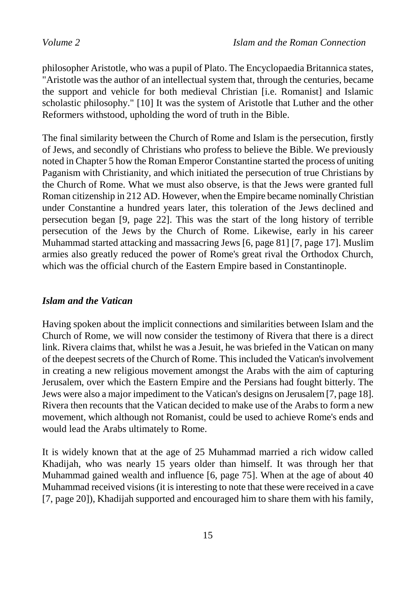philosopher Aristotle, who was a pupil of Plato. The Encyclopaedia Britannica states, "Aristotle was the author of an intellectual system that, through the centuries, became the support and vehicle for both medieval Christian [i.e. Romanist] and Islamic scholastic philosophy." [10] It was the system of Aristotle that Luther and the other Reformers withstood, upholding the word of truth in the Bible.

The final similarity between the Church of Rome and Islam is the persecution, firstly of Jews, and secondly of Christians who profess to believe the Bible. We previously noted in Chapter 5 how the Roman Emperor Constantine started the process of uniting Paganism with Christianity, and which initiated the persecution of true Christians by the Church of Rome. What we must also observe, is that the Jews were granted full Roman citizenship in 212 AD. However, when the Empire became nominally Christian under Constantine a hundred years later, this toleration of the Jews declined and persecution began [9, page 22]. This was the start of the long history of terrible persecution of the Jews by the Church of Rome. Likewise, early in his career Muhammad started attacking and massacring Jews [6, page 81] [7, page 17]. Muslim armies also greatly reduced the power of Rome's great rival the Orthodox Church, which was the official church of the Eastern Empire based in Constantinople.

#### *Islam and the Vatican*

Having spoken about the implicit connections and similarities between Islam and the Church of Rome, we will now consider the testimony of Rivera that there is a direct link. Rivera claims that, whilst he was a Jesuit, he was briefed in the Vatican on many of the deepest secrets of the Church of Rome. This included the Vatican's involvement in creating a new religious movement amongst the Arabs with the aim of capturing Jerusalem, over which the Eastern Empire and the Persians had fought bitterly. The Jews were also a major impediment to the Vatican's designs on Jerusalem [7, page 18]. Rivera then recounts that the Vatican decided to make use of the Arabs to form a new movement, which although not Romanist, could be used to achieve Rome's ends and would lead the Arabs ultimately to Rome.

It is widely known that at the age of 25 Muhammad married a rich widow called Khadijah, who was nearly 15 years older than himself. It was through her that Muhammad gained wealth and influence [6, page 75]. When at the age of about 40 Muhammad received visions (it is interesting to note that these were received in a cave [7, page 20]), Khadijah supported and encouraged him to share them with his family,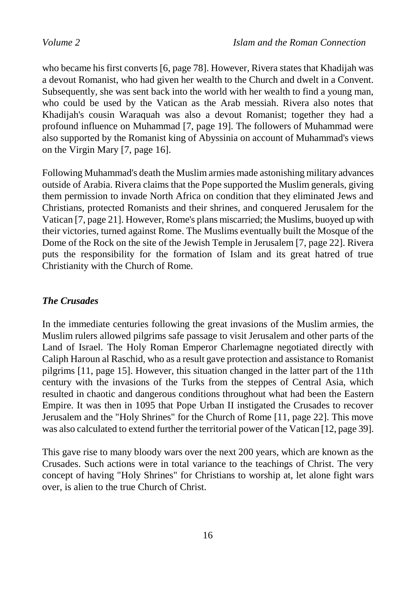who became his first converts [6, page 78]. However, Rivera states that Khadijah was a devout Romanist, who had given her wealth to the Church and dwelt in a Convent. Subsequently, she was sent back into the world with her wealth to find a young man, who could be used by the Vatican as the Arab messiah. Rivera also notes that Khadijah's cousin Waraquah was also a devout Romanist; together they had a profound influence on Muhammad [7, page 19]. The followers of Muhammad were also supported by the Romanist king of Abyssinia on account of Muhammad's views on the Virgin Mary [7, page 16].

Following Muhammad's death the Muslim armies made astonishing military advances outside of Arabia. Rivera claims that the Pope supported the Muslim generals, giving them permission to invade North Africa on condition that they eliminated Jews and Christians, protected Romanists and their shrines, and conquered Jerusalem for the Vatican [7, page 21]. However, Rome's plans miscarried; the Muslims, buoyed up with their victories, turned against Rome. The Muslims eventually built the Mosque of the Dome of the Rock on the site of the Jewish Temple in Jerusalem [7, page 22]. Rivera puts the responsibility for the formation of Islam and its great hatred of true Christianity with the Church of Rome.

### *The Crusades*

In the immediate centuries following the great invasions of the Muslim armies, the Muslim rulers allowed pilgrims safe passage to visit Jerusalem and other parts of the Land of Israel. The Holy Roman Emperor Charlemagne negotiated directly with Caliph Haroun al Raschid, who as a result gave protection and assistance to Romanist pilgrims [11, page 15]. However, this situation changed in the latter part of the 11th century with the invasions of the Turks from the steppes of Central Asia, which resulted in chaotic and dangerous conditions throughout what had been the Eastern Empire. It was then in 1095 that Pope Urban II instigated the Crusades to recover Jerusalem and the "Holy Shrines" for the Church of Rome [11, page 22]. This move was also calculated to extend further the territorial power of the Vatican [12, page 39].

This gave rise to many bloody wars over the next 200 years, which are known as the Crusades. Such actions were in total variance to the teachings of Christ. The very concept of having "Holy Shrines" for Christians to worship at, let alone fight wars over, is alien to the true Church of Christ.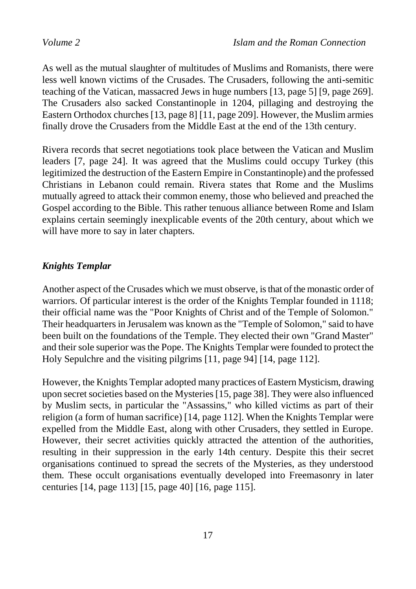As well as the mutual slaughter of multitudes of Muslims and Romanists, there were less well known victims of the Crusades. The Crusaders, following the anti-semitic teaching of the Vatican, massacred Jews in huge numbers [13, page 5] [9, page 269]. The Crusaders also sacked Constantinople in 1204, pillaging and destroying the Eastern Orthodox churches [13, page 8] [11, page 209]. However, the Muslim armies finally drove the Crusaders from the Middle East at the end of the 13th century.

Rivera records that secret negotiations took place between the Vatican and Muslim leaders [7, page 24]. It was agreed that the Muslims could occupy Turkey (this legitimized the destruction of the Eastern Empire in Constantinople) and the professed Christians in Lebanon could remain. Rivera states that Rome and the Muslims mutually agreed to attack their common enemy, those who believed and preached the Gospel according to the Bible. This rather tenuous alliance between Rome and Islam explains certain seemingly inexplicable events of the 20th century, about which we will have more to say in later chapters.

#### *Knights Templar*

Another aspect of the Crusades which we must observe, is that of the monastic order of warriors. Of particular interest is the order of the Knights Templar founded in 1118; their official name was the "Poor Knights of Christ and of the Temple of Solomon." Their headquarters in Jerusalem was known as the "Temple of Solomon," said to have been built on the foundations of the Temple. They elected their own "Grand Master" and their sole superior was the Pope. The Knights Templar were founded to protect the Holy Sepulchre and the visiting pilgrims [11, page 94] [14, page 112].

However, the Knights Templar adopted many practices of Eastern Mysticism, drawing upon secret societies based on the Mysteries [15, page 38]. They were also influenced by Muslim sects, in particular the "Assassins," who killed victims as part of their religion (a form of human sacrifice) [14, page 112]. When the Knights Templar were expelled from the Middle East, along with other Crusaders, they settled in Europe. However, their secret activities quickly attracted the attention of the authorities, resulting in their suppression in the early 14th century. Despite this their secret organisations continued to spread the secrets of the Mysteries, as they understood them. These occult organisations eventually developed into Freemasonry in later centuries [14, page 113] [15, page 40] [16, page 115].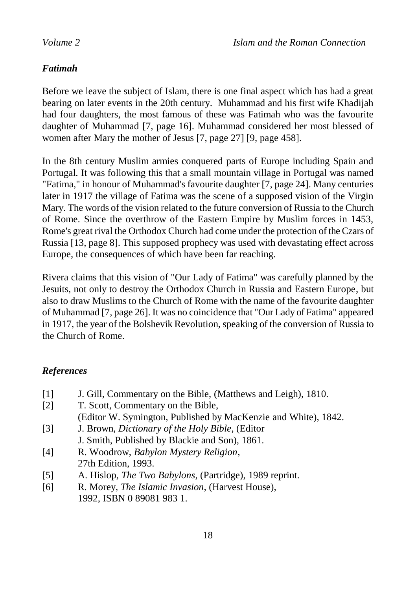#### *Fatimah*

Before we leave the subject of Islam, there is one final aspect which has had a great bearing on later events in the 20th century. Muhammad and his first wife Khadijah had four daughters, the most famous of these was Fatimah who was the favourite daughter of Muhammad [7, page 16]. Muhammad considered her most blessed of women after Mary the mother of Jesus [7, page 27] [9, page 458].

In the 8th century Muslim armies conquered parts of Europe including Spain and Portugal. It was following this that a small mountain village in Portugal was named "Fatima," in honour of Muhammad's favourite daughter [7, page 24]. Many centuries later in 1917 the village of Fatima was the scene of a supposed vision of the Virgin Mary. The words of the vision related to the future conversion of Russia to the Church of Rome. Since the overthrow of the Eastern Empire by Muslim forces in 1453, Rome's great rival the Orthodox Church had come under the protection of the Czars of Russia [13, page 8]. This supposed prophecy was used with devastating effect across Europe, the consequences of which have been far reaching.

Rivera claims that this vision of "Our Lady of Fatima" was carefully planned by the Jesuits, not only to destroy the Orthodox Church in Russia and Eastern Europe, but also to draw Muslims to the Church of Rome with the name of the favourite daughter of Muhammad [7, page 26]. It was no coincidence that "Our Lady of Fatima" appeared in 1917, the year of the Bolshevik Revolution, speaking of the conversion of Russia to the Church of Rome.

### *References*

| $\lceil 1 \rceil$ | J. Gill, Commentary on the Bible, (Matthews and Leigh), 1810.   |
|-------------------|-----------------------------------------------------------------|
| $\lceil 2 \rceil$ | T. Scott, Commentary on the Bible,                              |
|                   | (Editor W. Symington, Published by MacKenzie and White), 1842.  |
| $\lceil 3 \rceil$ | J. Brown, Dictionary of the Holy Bible, (Editor                 |
|                   | J. Smith, Published by Blackie and Son), 1861.                  |
| [4]               | R. Woodrow, Babylon Mystery Religion,                           |
|                   | 27th Edition, 1993.                                             |
| $\lceil 5 \rceil$ | A. Hislop, <i>The Two Babylons</i> , (Partridge), 1989 reprint. |
| [6]               | R. Morey, <i>The Islamic Invasion</i> , (Harvest House),        |

1992, ISBN 0 89081 983 1.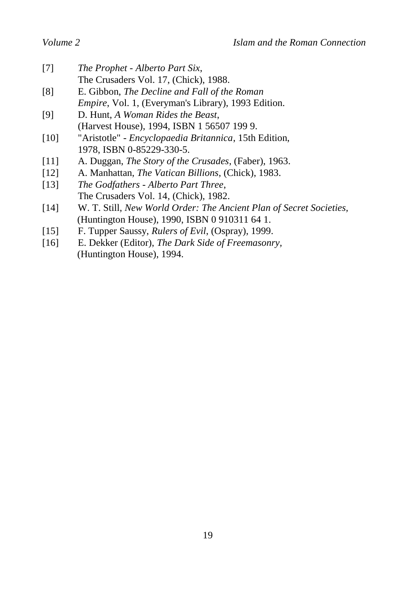- [7] *The Prophet - Alberto Part Six*, The Crusaders Vol. 17, (Chick), 1988. [8] E. Gibbon, *The Decline and Fall of the Roman*
- *Empire*, Vol. 1, (Everyman's Library), 1993 Edition.
- [9] D. Hunt, *A Woman Rides the Beast*, (Harvest House), 1994, ISBN 1 56507 199 9.
- [10] "Aristotle" *Encyclopaedia Britannica*, 15th Edition, 1978, ISBN 0-85229-330-5.
- [11] A. Duggan, *The Story of the Crusades*, (Faber), 1963.
- [12] A. Manhattan, *The Vatican Billions*, (Chick), 1983.
- [13] *The Godfathers - Alberto Part Three*, The Crusaders Vol. 14, (Chick), 1982.
- [14] W. T. Still, *New World Order: The Ancient Plan of Secret Societies,* (Huntington House), 1990, ISBN 0 910311 64 1.
- [15] F. Tupper Saussy, *Rulers of Evil*, (Ospray), 1999.
- [16] E. Dekker (Editor), *The Dark Side of Freemasonry,* (Huntington House), 1994.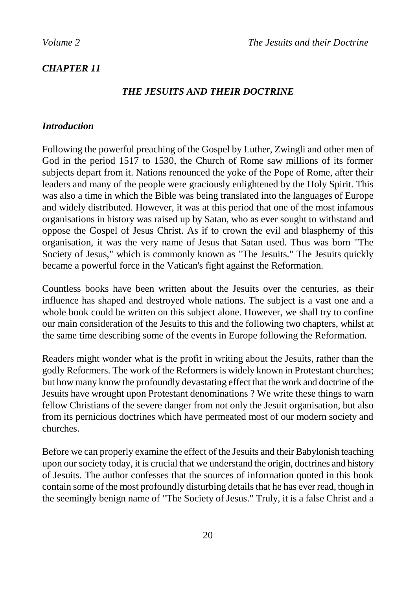### *CHAPTER 11*

### *THE JESUITS AND THEIR DOCTRINE*

#### *Introduction*

Following the powerful preaching of the Gospel by Luther, Zwingli and other men of God in the period 1517 to 1530, the Church of Rome saw millions of its former subjects depart from it. Nations renounced the yoke of the Pope of Rome, after their leaders and many of the people were graciously enlightened by the Holy Spirit. This was also a time in which the Bible was being translated into the languages of Europe and widely distributed. However, it was at this period that one of the most infamous organisations in history was raised up by Satan, who as ever sought to withstand and oppose the Gospel of Jesus Christ. As if to crown the evil and blasphemy of this organisation, it was the very name of Jesus that Satan used. Thus was born "The Society of Jesus," which is commonly known as "The Jesuits." The Jesuits quickly became a powerful force in the Vatican's fight against the Reformation.

Countless books have been written about the Jesuits over the centuries, as their influence has shaped and destroyed whole nations. The subject is a vast one and a whole book could be written on this subject alone. However, we shall try to confine our main consideration of the Jesuits to this and the following two chapters, whilst at the same time describing some of the events in Europe following the Reformation.

Readers might wonder what is the profit in writing about the Jesuits, rather than the godly Reformers. The work of the Reformers is widely known in Protestant churches; but how many know the profoundly devastating effect that the work and doctrine of the Jesuits have wrought upon Protestant denominations ? We write these things to warn fellow Christians of the severe danger from not only the Jesuit organisation, but also from its pernicious doctrines which have permeated most of our modern society and churches.

Before we can properly examine the effect of the Jesuits and their Babylonish teaching upon our society today, it is crucial that we understand the origin, doctrines and history of Jesuits. The author confesses that the sources of information quoted in this book contain some of the most profoundly disturbing details that he has ever read, though in the seemingly benign name of "The Society of Jesus." Truly, it is a false Christ and a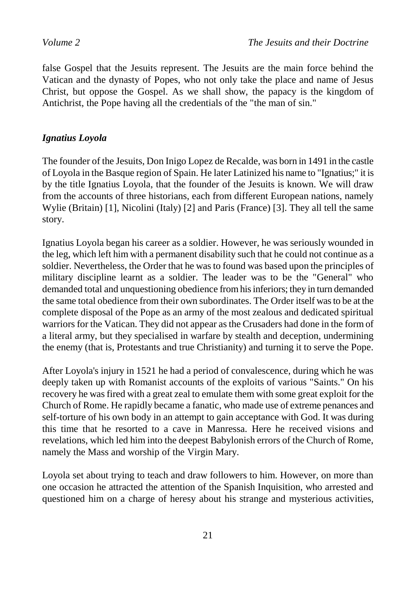false Gospel that the Jesuits represent. The Jesuits are the main force behind the Vatican and the dynasty of Popes, who not only take the place and name of Jesus Christ, but oppose the Gospel. As we shall show, the papacy is the kingdom of Antichrist, the Pope having all the credentials of the "the man of sin."

### *Ignatius Loyola*

The founder of the Jesuits, Don Inigo Lopez de Recalde, was born in 1491 in the castle of Loyola in the Basque region of Spain. He later Latinized his name to "Ignatius;" it is by the title Ignatius Loyola, that the founder of the Jesuits is known. We will draw from the accounts of three historians, each from different European nations, namely Wylie (Britain) [1], Nicolini (Italy) [2] and Paris (France) [3]. They all tell the same story.

Ignatius Loyola began his career as a soldier. However, he was seriously wounded in the leg, which left him with a permanent disability such that he could not continue as a soldier. Nevertheless, the Order that he was to found was based upon the principles of military discipline learnt as a soldier. The leader was to be the "General" who demanded total and unquestioning obedience from his inferiors; they in turn demanded the same total obedience from their own subordinates. The Order itself was to be at the complete disposal of the Pope as an army of the most zealous and dedicated spiritual warriors for the Vatican. They did not appear as the Crusaders had done in the form of a literal army, but they specialised in warfare by stealth and deception, undermining the enemy (that is, Protestants and true Christianity) and turning it to serve the Pope.

After Loyola's injury in 1521 he had a period of convalescence, during which he was deeply taken up with Romanist accounts of the exploits of various "Saints." On his recovery he was fired with a great zeal to emulate them with some great exploit for the Church of Rome. He rapidly became a fanatic, who made use of extreme penances and self-torture of his own body in an attempt to gain acceptance with God. It was during this time that he resorted to a cave in Manressa. Here he received visions and revelations, which led him into the deepest Babylonish errors of the Church of Rome, namely the Mass and worship of the Virgin Mary.

Loyola set about trying to teach and draw followers to him. However, on more than one occasion he attracted the attention of the Spanish Inquisition, who arrested and questioned him on a charge of heresy about his strange and mysterious activities,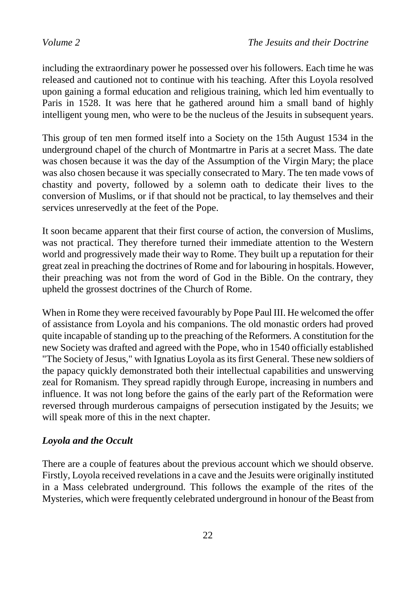including the extraordinary power he possessed over his followers. Each time he was released and cautioned not to continue with his teaching. After this Loyola resolved upon gaining a formal education and religious training, which led him eventually to Paris in 1528. It was here that he gathered around him a small band of highly intelligent young men, who were to be the nucleus of the Jesuits in subsequent years.

This group of ten men formed itself into a Society on the 15th August 1534 in the underground chapel of the church of Montmartre in Paris at a secret Mass. The date was chosen because it was the day of the Assumption of the Virgin Mary; the place was also chosen because it was specially consecrated to Mary. The ten made vows of chastity and poverty, followed by a solemn oath to dedicate their lives to the conversion of Muslims, or if that should not be practical, to lay themselves and their services unreservedly at the feet of the Pope.

It soon became apparent that their first course of action, the conversion of Muslims, was not practical. They therefore turned their immediate attention to the Western world and progressively made their way to Rome. They built up a reputation for their great zeal in preaching the doctrines of Rome and for labouring in hospitals. However, their preaching was not from the word of God in the Bible. On the contrary, they upheld the grossest doctrines of the Church of Rome.

When in Rome they were received favourably by Pope Paul III. He welcomed the offer of assistance from Loyola and his companions. The old monastic orders had proved quite incapable of standing up to the preaching of the Reformers. A constitution for the new Society was drafted and agreed with the Pope, who in 1540 officially established "The Society of Jesus," with Ignatius Loyola as its first General. These new soldiers of the papacy quickly demonstrated both their intellectual capabilities and unswerving zeal for Romanism. They spread rapidly through Europe, increasing in numbers and influence. It was not long before the gains of the early part of the Reformation were reversed through murderous campaigns of persecution instigated by the Jesuits; we will speak more of this in the next chapter.

#### *Loyola and the Occult*

There are a couple of features about the previous account which we should observe. Firstly, Loyola received revelations in a cave and the Jesuits were originally instituted in a Mass celebrated underground. This follows the example of the rites of the Mysteries, which were frequently celebrated underground in honour of the Beast from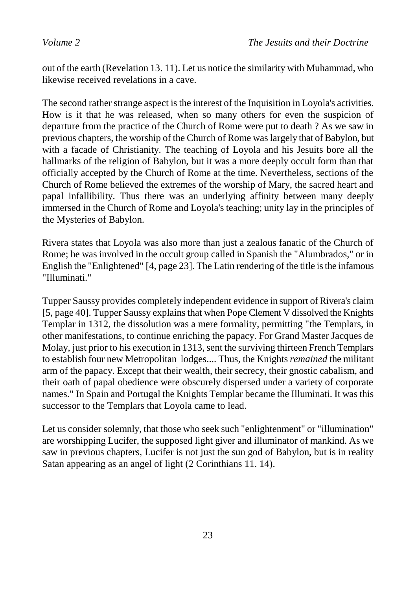out of the earth (Revelation 13. 11). Let us notice the similarity with Muhammad, who likewise received revelations in a cave.

The second rather strange aspect is the interest of the Inquisition in Loyola's activities. How is it that he was released, when so many others for even the suspicion of departure from the practice of the Church of Rome were put to death ? As we saw in previous chapters, the worship of the Church of Rome was largely that of Babylon, but with a facade of Christianity. The teaching of Loyola and his Jesuits bore all the hallmarks of the religion of Babylon, but it was a more deeply occult form than that officially accepted by the Church of Rome at the time. Nevertheless, sections of the Church of Rome believed the extremes of the worship of Mary, the sacred heart and papal infallibility. Thus there was an underlying affinity between many deeply immersed in the Church of Rome and Loyola's teaching; unity lay in the principles of the Mysteries of Babylon.

Rivera states that Loyola was also more than just a zealous fanatic of the Church of Rome; he was involved in the occult group called in Spanish the "Alumbrados," or in English the "Enlightened" [4, page 23]. The Latin rendering of the title is the infamous "Illuminati."

Tupper Saussy provides completely independent evidence in support of Rivera's claim [5, page 40]. Tupper Saussy explains that when Pope Clement V dissolved the Knights Templar in 1312, the dissolution was a mere formality, permitting "the Templars, in other manifestations, to continue enriching the papacy. For Grand Master Jacques de Molay, just prior to his execution in 1313, sent the surviving thirteen French Templars to establish four new Metropolitan lodges.... Thus, the Knights *remained* the militant arm of the papacy. Except that their wealth, their secrecy, their gnostic cabalism, and their oath of papal obedience were obscurely dispersed under a variety of corporate names." In Spain and Portugal the Knights Templar became the Illuminati. It was this successor to the Templars that Loyola came to lead.

Let us consider solemnly, that those who seek such "enlightenment" or "illumination" are worshipping Lucifer, the supposed light giver and illuminator of mankind. As we saw in previous chapters, Lucifer is not just the sun god of Babylon, but is in reality Satan appearing as an angel of light (2 Corinthians 11. 14).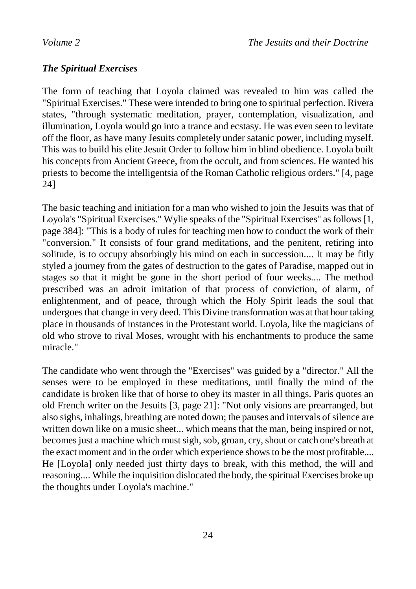### *The Spiritual Exercises*

The form of teaching that Loyola claimed was revealed to him was called the "Spiritual Exercises." These were intended to bring one to spiritual perfection. Rivera states, "through systematic meditation, prayer, contemplation, visualization, and illumination, Loyola would go into a trance and ecstasy. He was even seen to levitate off the floor, as have many Jesuits completely under satanic power, including myself. This was to build his elite Jesuit Order to follow him in blind obedience. Loyola built his concepts from Ancient Greece, from the occult, and from sciences. He wanted his priests to become the intelligentsia of the Roman Catholic religious orders." [4, page 24]

The basic teaching and initiation for a man who wished to join the Jesuits was that of Loyola's "Spiritual Exercises." Wylie speaks of the "Spiritual Exercises" as follows [1, page 384]: "This is a body of rules for teaching men how to conduct the work of their "conversion." It consists of four grand meditations, and the penitent, retiring into solitude, is to occupy absorbingly his mind on each in succession.... It may be fitly styled a journey from the gates of destruction to the gates of Paradise, mapped out in stages so that it might be gone in the short period of four weeks.... The method prescribed was an adroit imitation of that process of conviction, of alarm, of enlightenment, and of peace, through which the Holy Spirit leads the soul that undergoes that change in very deed. This Divine transformation was at that hour taking place in thousands of instances in the Protestant world. Loyola, like the magicians of old who strove to rival Moses, wrought with his enchantments to produce the same miracle."

The candidate who went through the "Exercises" was guided by a "director." All the senses were to be employed in these meditations, until finally the mind of the candidate is broken like that of horse to obey its master in all things. Paris quotes an old French writer on the Jesuits [3, page 21]: "Not only visions are prearranged, but also sighs, inhalings, breathing are noted down; the pauses and intervals of silence are written down like on a music sheet... which means that the man, being inspired or not, becomes just a machine which must sigh, sob, groan, cry, shout or catch one's breath at the exact moment and in the order which experience shows to be the most profitable.... He [Loyola] only needed just thirty days to break, with this method, the will and reasoning.... While the inquisition dislocated the body, the spiritual Exercises broke up the thoughts under Loyola's machine."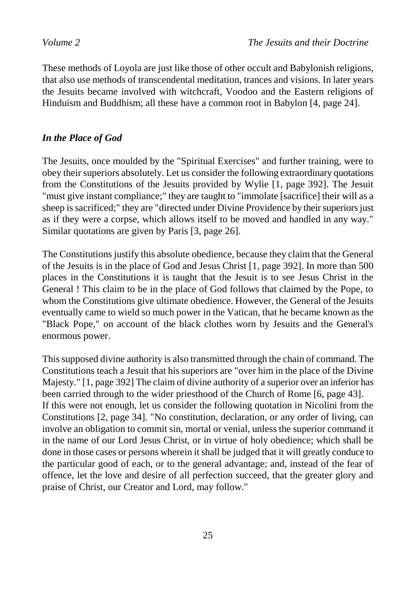These methods of Loyola are just like those of other occult and Babylonish religions, that also use methods of transcendental meditation, trances and visions. In later years the Jesuits became involved with witchcraft, Voodoo and the Eastern religions of Hinduism and Buddhism; all these have a common root in Babylon [4, page 24].

#### *In the Place of God*

The Jesuits, once moulded by the "Spiritual Exercises" and further training, were to obey their superiors absolutely. Let us consider the following extraordinary quotations from the Constitutions of the Jesuits provided by Wylie [1, page 392]. The Jesuit "must give instant compliance;" they are taught to "immolate [sacrifice] their will as a sheep is sacrificed;" they are "directed under Divine Providence by their superiors just as if they were a corpse, which allows itself to be moved and handled in any way." Similar quotations are given by Paris [3, page 26].

The Constitutions justify this absolute obedience, because they claim that the General of the Jesuits is in the place of God and Jesus Christ [1, page 392]. In more than 500 places in the Constitutions it is taught that the Jesuit is to see Jesus Christ in the General ! This claim to be in the place of God follows that claimed by the Pope, to whom the Constitutions give ultimate obedience. However, the General of the Jesuits eventually came to wield so much power in the Vatican, that he became known as the "Black Pope," on account of the black clothes worn by Jesuits and the General's enormous power.

This supposed divine authority is also transmitted through the chain of command. The Constitutions teach a Jesuit that his superiors are "over him in the place of the Divine Majesty." [1, page 392] The claim of divine authority of a superior over an inferior has been carried through to the wider priesthood of the Church of Rome [6, page 43]. If this were not enough, let us consider the following quotation in Nicolini from the Constitutions [2, page 34]. "No constitution, declaration, or any order of living, can involve an obligation to commit sin, mortal or venial, unless the superior command it in the name of our Lord Jesus Christ, or in virtue of holy obedience; which shall be done in those cases or persons wherein it shall be judged that it will greatly conduce to the particular good of each, or to the general advantage; and, instead of the fear of offence, let the love and desire of all perfection succeed, that the greater glory and praise of Christ, our Creator and Lord, may follow."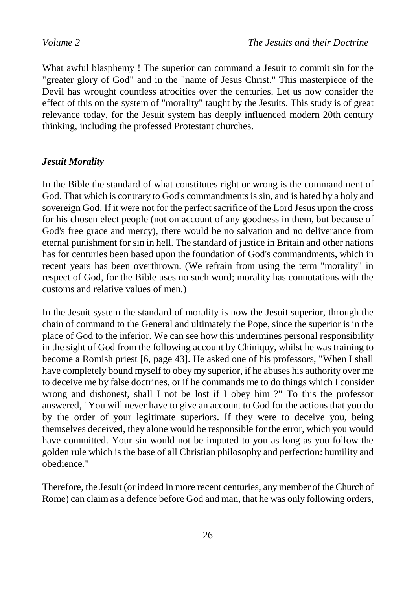What awful blasphemy ! The superior can command a Jesuit to commit sin for the "greater glory of God" and in the "name of Jesus Christ." This masterpiece of the Devil has wrought countless atrocities over the centuries. Let us now consider the effect of this on the system of "morality" taught by the Jesuits. This study is of great relevance today, for the Jesuit system has deeply influenced modern 20th century thinking, including the professed Protestant churches.

#### *Jesuit Morality*

In the Bible the standard of what constitutes right or wrong is the commandment of God. That which is contrary to God's commandments is sin, and is hated by a holy and sovereign God. If it were not for the perfect sacrifice of the Lord Jesus upon the cross for his chosen elect people (not on account of any goodness in them, but because of God's free grace and mercy), there would be no salvation and no deliverance from eternal punishment for sin in hell. The standard of justice in Britain and other nations has for centuries been based upon the foundation of God's commandments, which in recent years has been overthrown. (We refrain from using the term "morality" in respect of God, for the Bible uses no such word; morality has connotations with the customs and relative values of men.)

In the Jesuit system the standard of morality is now the Jesuit superior, through the chain of command to the General and ultimately the Pope, since the superior is in the place of God to the inferior. We can see how this undermines personal responsibility in the sight of God from the following account by Chiniquy, whilst he was training to become a Romish priest [6, page 43]. He asked one of his professors, "When I shall have completely bound myself to obey my superior, if he abuses his authority over me to deceive me by false doctrines, or if he commands me to do things which I consider wrong and dishonest, shall I not be lost if I obey him ?" To this the professor answered, "You will never have to give an account to God for the actions that you do by the order of your legitimate superiors. If they were to deceive you, being themselves deceived, they alone would be responsible for the error, which you would have committed. Your sin would not be imputed to you as long as you follow the golden rule which is the base of all Christian philosophy and perfection: humility and obedience."

Therefore, the Jesuit (or indeed in more recent centuries, any member of the Church of Rome) can claim as a defence before God and man, that he was only following orders,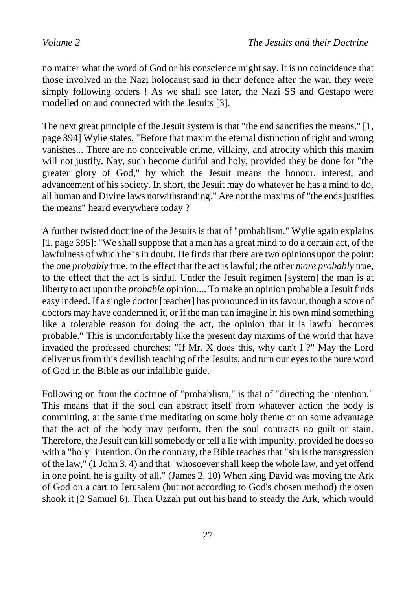no matter what the word of God or his conscience might say. It is no coincidence that those involved in the Nazi holocaust said in their defence after the war, they were simply following orders ! As we shall see later, the Nazi SS and Gestapo were modelled on and connected with the Jesuits [3].

The next great principle of the Jesuit system is that "the end sanctifies the means." [1, page 394] Wylie states, "Before that maxim the eternal distinction of right and wrong vanishes... There are no conceivable crime, villainy, and atrocity which this maxim will not justify. Nay, such become dutiful and holy, provided they be done for "the greater glory of God," by which the Jesuit means the honour, interest, and advancement of his society. In short, the Jesuit may do whatever he has a mind to do, all human and Divine laws notwithstanding." Are not the maxims of "the ends justifies the means" heard everywhere today ?

A further twisted doctrine of the Jesuits is that of "probablism." Wylie again explains [1, page 395]: "We shall suppose that a man has a great mind to do a certain act, of the lawfulness of which he is in doubt. He finds that there are two opinions upon the point: the one *probably* true, to the effect that the act is lawful; the other *more probably* true, to the effect that the act is sinful. Under the Jesuit regimen [system] the man is at liberty to act upon the *probable* opinion.... To make an opinion probable a Jesuit finds easy indeed. If a single doctor [teacher] has pronounced in its favour, though a score of doctors may have condemned it, or if the man can imagine in his own mind something like a tolerable reason for doing the act, the opinion that it is lawful becomes probable." This is uncomfortably like the present day maxims of the world that have invaded the professed churches: "If Mr. X does this, why can't I ?" May the Lord deliver us from this devilish teaching of the Jesuits, and turn our eyes to the pure word of God in the Bible as our infallible guide.

Following on from the doctrine of "probablism," is that of "directing the intention." This means that if the soul can abstract itself from whatever action the body is committing, at the same time meditating on some holy theme or on some advantage that the act of the body may perform, then the soul contracts no guilt or stain. Therefore, the Jesuit can kill somebody or tell a lie with impunity, provided he does so with a "holy" intention. On the contrary, the Bible teaches that "sin is the transgression of the law," (1 John 3. 4) and that "whosoever shall keep the whole law, and yet offend in one point, he is guilty of all." (James 2. 10) When king David was moving the Ark of God on a cart to Jerusalem (but not according to God's chosen method) the oxen shook it (2 Samuel 6). Then Uzzah put out his hand to steady the Ark, which would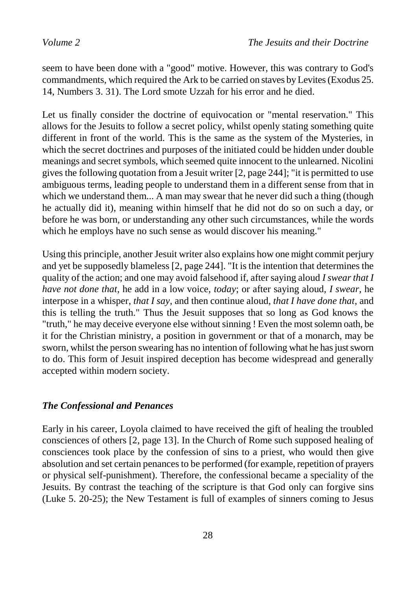seem to have been done with a "good" motive. However, this was contrary to God's commandments, which required the Ark to be carried on staves by Levites (Exodus 25. 14, Numbers 3. 31). The Lord smote Uzzah for his error and he died.

Let us finally consider the doctrine of equivocation or "mental reservation." This allows for the Jesuits to follow a secret policy, whilst openly stating something quite different in front of the world. This is the same as the system of the Mysteries, in which the secret doctrines and purposes of the initiated could be hidden under double meanings and secret symbols, which seemed quite innocent to the unlearned. Nicolini gives the following quotation from a Jesuit writer [2, page 244]; "it is permitted to use ambiguous terms, leading people to understand them in a different sense from that in which we understand them... A man may swear that he never did such a thing (though he actually did it), meaning within himself that he did not do so on such a day, or before he was born, or understanding any other such circumstances, while the words which he employs have no such sense as would discover his meaning."

Using this principle, another Jesuit writer also explains how one might commit perjury and yet be supposedly blameless [2, page 244]. "It is the intention that determines the quality of the action; and one may avoid falsehood if, after saying aloud *I swear that I have not done that*, he add in a low voice, *today*; or after saying aloud, *I swear*, he interpose in a whisper, *that I say*, and then continue aloud, *that I have done that*, and this is telling the truth." Thus the Jesuit supposes that so long as God knows the "truth," he may deceive everyone else without sinning ! Even the most solemn oath, be it for the Christian ministry, a position in government or that of a monarch, may be sworn, whilst the person swearing has no intention of following what he has just sworn to do. This form of Jesuit inspired deception has become widespread and generally accepted within modern society.

#### *The Confessional and Penances*

Early in his career, Loyola claimed to have received the gift of healing the troubled consciences of others [2, page 13]. In the Church of Rome such supposed healing of consciences took place by the confession of sins to a priest, who would then give absolution and set certain penances to be performed (for example, repetition of prayers or physical self-punishment). Therefore, the confessional became a speciality of the Jesuits. By contrast the teaching of the scripture is that God only can forgive sins (Luke 5. 20-25); the New Testament is full of examples of sinners coming to Jesus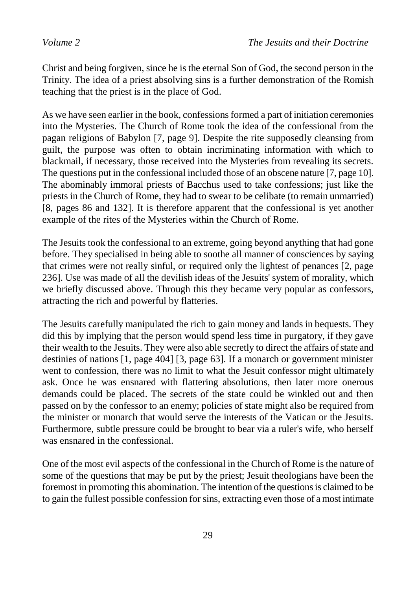Christ and being forgiven, since he is the eternal Son of God, the second person in the Trinity. The idea of a priest absolving sins is a further demonstration of the Romish teaching that the priest is in the place of God.

As we have seen earlier in the book, confessions formed a part of initiation ceremonies into the Mysteries. The Church of Rome took the idea of the confessional from the pagan religions of Babylon [7, page 9]. Despite the rite supposedly cleansing from guilt, the purpose was often to obtain incriminating information with which to blackmail, if necessary, those received into the Mysteries from revealing its secrets. The questions put in the confessional included those of an obscene nature [7, page 10]. The abominably immoral priests of Bacchus used to take confessions; just like the priests in the Church of Rome, they had to swear to be celibate (to remain unmarried) [8, pages 86 and 132]. It is therefore apparent that the confessional is yet another example of the rites of the Mysteries within the Church of Rome.

The Jesuits took the confessional to an extreme, going beyond anything that had gone before. They specialised in being able to soothe all manner of consciences by saying that crimes were not really sinful, or required only the lightest of penances [2, page 236]. Use was made of all the devilish ideas of the Jesuits' system of morality, which we briefly discussed above. Through this they became very popular as confessors, attracting the rich and powerful by flatteries.

The Jesuits carefully manipulated the rich to gain money and lands in bequests. They did this by implying that the person would spend less time in purgatory, if they gave their wealth to the Jesuits. They were also able secretly to direct the affairs of state and destinies of nations [1, page 404] [3, page 63]. If a monarch or government minister went to confession, there was no limit to what the Jesuit confessor might ultimately ask. Once he was ensnared with flattering absolutions, then later more onerous demands could be placed. The secrets of the state could be winkled out and then passed on by the confessor to an enemy; policies of state might also be required from the minister or monarch that would serve the interests of the Vatican or the Jesuits. Furthermore, subtle pressure could be brought to bear via a ruler's wife, who herself was ensnared in the confessional.

One of the most evil aspects of the confessional in the Church of Rome is the nature of some of the questions that may be put by the priest; Jesuit theologians have been the foremost in promoting this abomination. The intention of the questions is claimed to be to gain the fullest possible confession for sins, extracting even those of a most intimate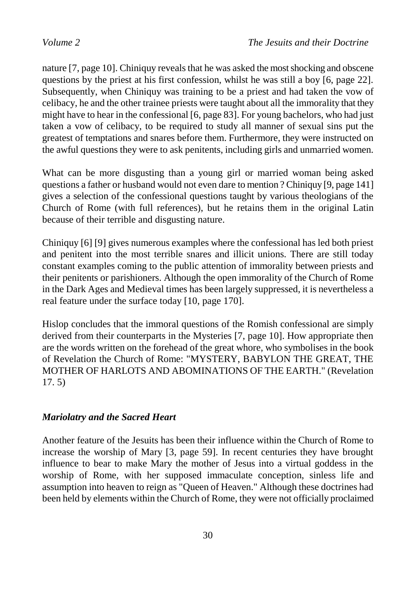nature [7, page 10]. Chiniquy reveals that he was asked the most shocking and obscene questions by the priest at his first confession, whilst he was still a boy [6, page 22]. Subsequently, when Chiniquy was training to be a priest and had taken the vow of celibacy, he and the other trainee priests were taught about all the immorality that they might have to hear in the confessional [6, page 83]. For young bachelors, who had just taken a vow of celibacy, to be required to study all manner of sexual sins put the greatest of temptations and snares before them. Furthermore, they were instructed on the awful questions they were to ask penitents, including girls and unmarried women.

What can be more disgusting than a young girl or married woman being asked questions a father or husband would not even dare to mention ? Chiniquy [9, page 141] gives a selection of the confessional questions taught by various theologians of the Church of Rome (with full references), but he retains them in the original Latin because of their terrible and disgusting nature.

Chiniquy [6] [9] gives numerous examples where the confessional has led both priest and penitent into the most terrible snares and illicit unions. There are still today constant examples coming to the public attention of immorality between priests and their penitents or parishioners. Although the open immorality of the Church of Rome in the Dark Ages and Medieval times has been largely suppressed, it is nevertheless a real feature under the surface today [10, page 170].

Hislop concludes that the immoral questions of the Romish confessional are simply derived from their counterparts in the Mysteries [7, page 10]. How appropriate then are the words written on the forehead of the great whore, who symbolises in the book of Revelation the Church of Rome: "MYSTERY, BABYLON THE GREAT, THE MOTHER OF HARLOTS AND ABOMINATIONS OF THE EARTH." (Revelation 17. 5)

#### *Mariolatry and the Sacred Heart*

Another feature of the Jesuits has been their influence within the Church of Rome to increase the worship of Mary [3, page 59]. In recent centuries they have brought influence to bear to make Mary the mother of Jesus into a virtual goddess in the worship of Rome, with her supposed immaculate conception, sinless life and assumption into heaven to reign as "Queen of Heaven." Although these doctrines had been held by elements within the Church of Rome, they were not officially proclaimed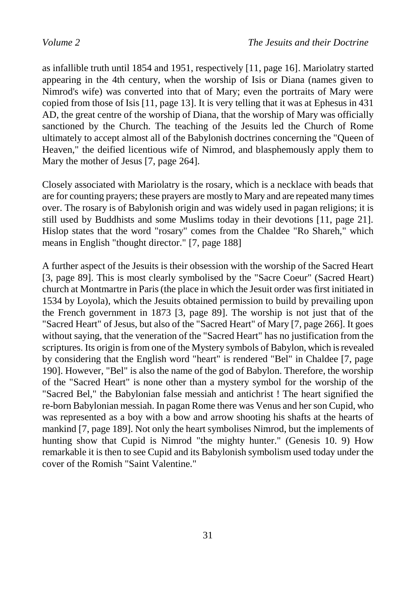as infallible truth until 1854 and 1951, respectively [11, page 16]. Mariolatry started appearing in the 4th century, when the worship of Isis or Diana (names given to Nimrod's wife) was converted into that of Mary; even the portraits of Mary were copied from those of Isis [11, page 13]. It is very telling that it was at Ephesus in 431 AD, the great centre of the worship of Diana, that the worship of Mary was officially sanctioned by the Church. The teaching of the Jesuits led the Church of Rome ultimately to accept almost all of the Babylonish doctrines concerning the "Queen of Heaven," the deified licentious wife of Nimrod, and blasphemously apply them to Mary the mother of Jesus [7, page 264].

Closely associated with Mariolatry is the rosary, which is a necklace with beads that are for counting prayers; these prayers are mostly to Mary and are repeated many times over. The rosary is of Babylonish origin and was widely used in pagan religions; it is still used by Buddhists and some Muslims today in their devotions [11, page 21]. Hislop states that the word "rosary" comes from the Chaldee "Ro Shareh," which means in English "thought director." [7, page 188]

A further aspect of the Jesuits is their obsession with the worship of the Sacred Heart [3, page 89]. This is most clearly symbolised by the "Sacre Coeur" (Sacred Heart) church at Montmartre in Paris (the place in which the Jesuit order was first initiated in 1534 by Loyola), which the Jesuits obtained permission to build by prevailing upon the French government in 1873 [3, page 89]. The worship is not just that of the "Sacred Heart" of Jesus, but also of the "Sacred Heart" of Mary [7, page 266]. It goes without saying, that the veneration of the "Sacred Heart" has no justification from the scriptures. Its origin is from one of the Mystery symbols of Babylon, which is revealed by considering that the English word "heart" is rendered "Bel" in Chaldee [7, page 190]. However, "Bel" is also the name of the god of Babylon. Therefore, the worship of the "Sacred Heart" is none other than a mystery symbol for the worship of the "Sacred Bel," the Babylonian false messiah and antichrist ! The heart signified the re-born Babylonian messiah. In pagan Rome there was Venus and her son Cupid, who was represented as a boy with a bow and arrow shooting his shafts at the hearts of mankind [7, page 189]. Not only the heart symbolises Nimrod, but the implements of hunting show that Cupid is Nimrod "the mighty hunter." (Genesis 10. 9) How remarkable it is then to see Cupid and its Babylonish symbolism used today under the cover of the Romish "Saint Valentine."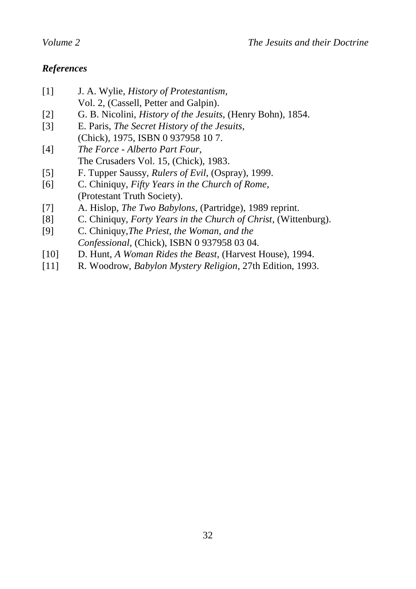#### *References*

- [1] J. A. Wylie, *History of Protestantism*, Vol. 2, (Cassell, Petter and Galpin).
- [2] G. B. Nicolini, *History of the Jesuits*, (Henry Bohn), 1854.
- [3] E. Paris, *The Secret History of the Jesuits*, (Chick), 1975, ISBN 0 937958 10 7.
- [4] *The Force - Alberto Part Four*, The Crusaders Vol. 15, (Chick), 1983.
- [5] F. Tupper Saussy, *Rulers of Evil*, (Ospray), 1999.
- [6] C. Chiniquy, *Fifty Years in the Church of Rome*, (Protestant Truth Society).
- [7] A. Hislop, *The Two Babylons*, (Partridge), 1989 reprint.
- [8] C. Chiniquy, *Forty Years in the Church of Christ*, (Wittenburg).
- [9] C. Chiniquy,*The Priest, the Woman, and the Confessional*, (Chick), ISBN 0 937958 03 04.
- [10] D. Hunt, *A Woman Rides the Beast*, (Harvest House), 1994.
- [11] R. Woodrow, *Babylon Mystery Religion*, 27th Edition, 1993.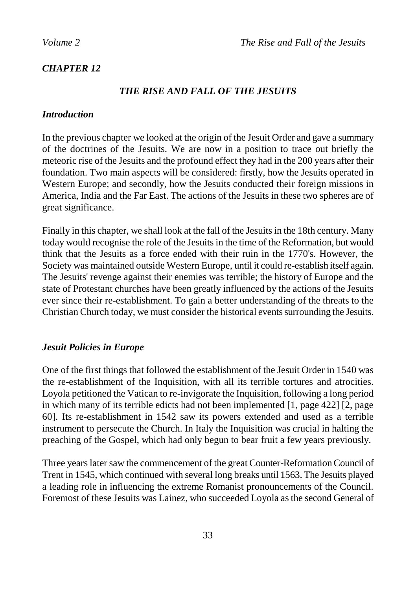### *CHAPTER 12*

#### *THE RISE AND FALL OF THE JESUITS*

#### *Introduction*

In the previous chapter we looked at the origin of the Jesuit Order and gave a summary of the doctrines of the Jesuits. We are now in a position to trace out briefly the meteoric rise of the Jesuits and the profound effect they had in the 200 years after their foundation. Two main aspects will be considered: firstly, how the Jesuits operated in Western Europe; and secondly, how the Jesuits conducted their foreign missions in America, India and the Far East. The actions of the Jesuits in these two spheres are of great significance.

Finally in this chapter, we shall look at the fall of the Jesuits in the 18th century. Many today would recognise the role of the Jesuits in the time of the Reformation, but would think that the Jesuits as a force ended with their ruin in the 1770's. However, the Society was maintained outside Western Europe, until it could re-establish itself again. The Jesuits' revenge against their enemies was terrible; the history of Europe and the state of Protestant churches have been greatly influenced by the actions of the Jesuits ever since their re-establishment. To gain a better understanding of the threats to the Christian Church today, we must consider the historical events surrounding the Jesuits.

#### *Jesuit Policies in Europe*

One of the first things that followed the establishment of the Jesuit Order in 1540 was the re-establishment of the Inquisition, with all its terrible tortures and atrocities. Loyola petitioned the Vatican to re-invigorate the Inquisition, following a long period in which many of its terrible edicts had not been implemented [1, page 422] [2, page 60]. Its re-establishment in 1542 saw its powers extended and used as a terrible instrument to persecute the Church. In Italy the Inquisition was crucial in halting the preaching of the Gospel, which had only begun to bear fruit a few years previously.

Three years later saw the commencement of the great Counter-Reformation Council of Trent in 1545, which continued with several long breaks until 1563. The Jesuits played a leading role in influencing the extreme Romanist pronouncements of the Council. Foremost of these Jesuits was Lainez, who succeeded Loyola as the second General of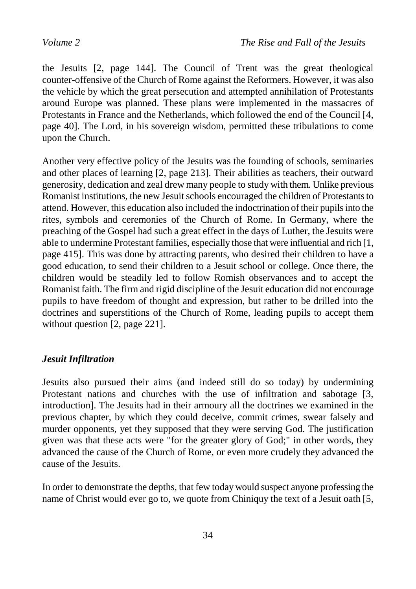the Jesuits [2, page 144]. The Council of Trent was the great theological counter-offensive of the Church of Rome against the Reformers. However, it was also the vehicle by which the great persecution and attempted annihilation of Protestants around Europe was planned. These plans were implemented in the massacres of Protestants in France and the Netherlands, which followed the end of the Council [4, page 40]. The Lord, in his sovereign wisdom, permitted these tribulations to come upon the Church.

Another very effective policy of the Jesuits was the founding of schools, seminaries and other places of learning [2, page 213]. Their abilities as teachers, their outward generosity, dedication and zeal drew many people to study with them. Unlike previous Romanist institutions, the new Jesuit schools encouraged the children of Protestants to attend. However, this education also included the indoctrination of their pupils into the rites, symbols and ceremonies of the Church of Rome. In Germany, where the preaching of the Gospel had such a great effect in the days of Luther, the Jesuits were able to undermine Protestant families, especially those that were influential and rich [1, page 415]. This was done by attracting parents, who desired their children to have a good education, to send their children to a Jesuit school or college. Once there, the children would be steadily led to follow Romish observances and to accept the Romanist faith. The firm and rigid discipline of the Jesuit education did not encourage pupils to have freedom of thought and expression, but rather to be drilled into the doctrines and superstitions of the Church of Rome, leading pupils to accept them without question [2, page 221].

#### *Jesuit Infiltration*

Jesuits also pursued their aims (and indeed still do so today) by undermining Protestant nations and churches with the use of infiltration and sabotage [3, introduction]. The Jesuits had in their armoury all the doctrines we examined in the previous chapter, by which they could deceive, commit crimes, swear falsely and murder opponents, yet they supposed that they were serving God. The justification given was that these acts were "for the greater glory of God;" in other words, they advanced the cause of the Church of Rome, or even more crudely they advanced the cause of the Jesuits.

In order to demonstrate the depths, that few today would suspect anyone professing the name of Christ would ever go to, we quote from Chiniquy the text of a Jesuit oath [5,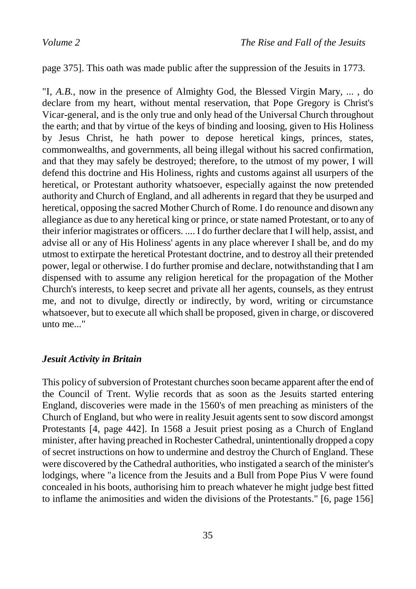page 375]. This oath was made public after the suppression of the Jesuits in 1773.

"I, *A.B.*, now in the presence of Almighty God, the Blessed Virgin Mary, ... , do declare from my heart, without mental reservation, that Pope Gregory is Christ's Vicar-general, and is the only true and only head of the Universal Church throughout the earth; and that by virtue of the keys of binding and loosing, given to His Holiness by Jesus Christ, he hath power to depose heretical kings, princes, states, commonwealths, and governments, all being illegal without his sacred confirmation, and that they may safely be destroyed; therefore, to the utmost of my power, I will defend this doctrine and His Holiness, rights and customs against all usurpers of the heretical, or Protestant authority whatsoever, especially against the now pretended authority and Church of England, and all adherents in regard that they be usurped and heretical, opposing the sacred Mother Church of Rome. I do renounce and disown any allegiance as due to any heretical king or prince, or state named Protestant, or to any of their inferior magistrates or officers. .... I do further declare that I will help, assist, and advise all or any of His Holiness' agents in any place wherever I shall be, and do my utmost to extirpate the heretical Protestant doctrine, and to destroy all their pretended power, legal or otherwise. I do further promise and declare, notwithstanding that I am dispensed with to assume any religion heretical for the propagation of the Mother Church's interests, to keep secret and private all her agents, counsels, as they entrust me, and not to divulge, directly or indirectly, by word, writing or circumstance whatsoever, but to execute all which shall be proposed, given in charge, or discovered unto me.<sup>"</sup>

#### *Jesuit Activity in Britain*

This policy of subversion of Protestant churches soon became apparent after the end of the Council of Trent. Wylie records that as soon as the Jesuits started entering England, discoveries were made in the 1560's of men preaching as ministers of the Church of England, but who were in reality Jesuit agents sent to sow discord amongst Protestants [4, page 442]. In 1568 a Jesuit priest posing as a Church of England minister, after having preached in Rochester Cathedral, unintentionally dropped a copy of secret instructions on how to undermine and destroy the Church of England. These were discovered by the Cathedral authorities, who instigated a search of the minister's lodgings, where "a licence from the Jesuits and a Bull from Pope Pius V were found concealed in his boots, authorising him to preach whatever he might judge best fitted to inflame the animosities and widen the divisions of the Protestants." [6, page 156]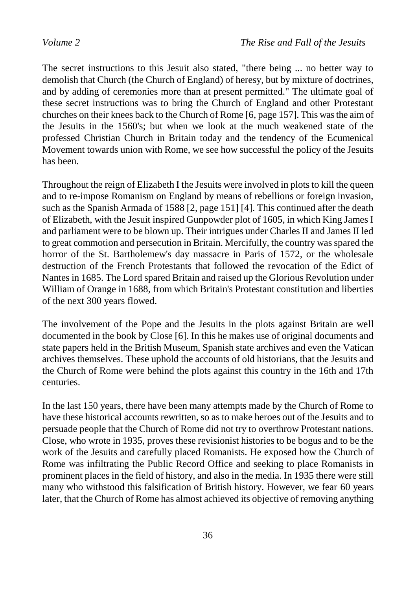The secret instructions to this Jesuit also stated, "there being ... no better way to demolish that Church (the Church of England) of heresy, but by mixture of doctrines, and by adding of ceremonies more than at present permitted." The ultimate goal of these secret instructions was to bring the Church of England and other Protestant churches on their knees back to the Church of Rome [6, page 157]. This was the aim of the Jesuits in the 1560's; but when we look at the much weakened state of the professed Christian Church in Britain today and the tendency of the Ecumenical Movement towards union with Rome, we see how successful the policy of the Jesuits has been.

Throughout the reign of Elizabeth I the Jesuits were involved in plots to kill the queen and to re-impose Romanism on England by means of rebellions or foreign invasion, such as the Spanish Armada of 1588 [2, page 151] [4]. This continued after the death of Elizabeth, with the Jesuit inspired Gunpowder plot of 1605, in which King James I and parliament were to be blown up. Their intrigues under Charles II and James II led to great commotion and persecution in Britain. Mercifully, the country was spared the horror of the St. Bartholemew's day massacre in Paris of 1572, or the wholesale destruction of the French Protestants that followed the revocation of the Edict of Nantes in 1685. The Lord spared Britain and raised up the Glorious Revolution under William of Orange in 1688, from which Britain's Protestant constitution and liberties of the next 300 years flowed.

The involvement of the Pope and the Jesuits in the plots against Britain are well documented in the book by Close [6]. In this he makes use of original documents and state papers held in the British Museum, Spanish state archives and even the Vatican archives themselves. These uphold the accounts of old historians, that the Jesuits and the Church of Rome were behind the plots against this country in the 16th and 17th centuries.

In the last 150 years, there have been many attempts made by the Church of Rome to have these historical accounts rewritten, so as to make heroes out of the Jesuits and to persuade people that the Church of Rome did not try to overthrow Protestant nations. Close, who wrote in 1935, proves these revisionist histories to be bogus and to be the work of the Jesuits and carefully placed Romanists. He exposed how the Church of Rome was infiltrating the Public Record Office and seeking to place Romanists in prominent places in the field of history, and also in the media. In 1935 there were still many who withstood this falsification of British history. However, we fear 60 years later, that the Church of Rome has almost achieved its objective of removing anything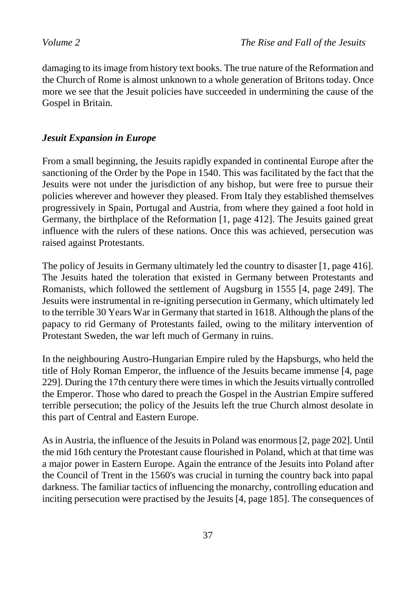damaging to its image from history text books. The true nature of the Reformation and the Church of Rome is almost unknown to a whole generation of Britons today. Once more we see that the Jesuit policies have succeeded in undermining the cause of the Gospel in Britain.

# *Jesuit Expansion in Europe*

From a small beginning, the Jesuits rapidly expanded in continental Europe after the sanctioning of the Order by the Pope in 1540. This was facilitated by the fact that the Jesuits were not under the jurisdiction of any bishop, but were free to pursue their policies wherever and however they pleased. From Italy they established themselves progressively in Spain, Portugal and Austria, from where they gained a foot hold in Germany, the birthplace of the Reformation [1, page 412]. The Jesuits gained great influence with the rulers of these nations. Once this was achieved, persecution was raised against Protestants.

The policy of Jesuits in Germany ultimately led the country to disaster [1, page 416]. The Jesuits hated the toleration that existed in Germany between Protestants and Romanists, which followed the settlement of Augsburg in 1555 [4, page 249]. The Jesuits were instrumental in re-igniting persecution in Germany, which ultimately led to the terrible 30 Years War in Germany that started in 1618. Although the plans of the papacy to rid Germany of Protestants failed, owing to the military intervention of Protestant Sweden, the war left much of Germany in ruins.

In the neighbouring Austro-Hungarian Empire ruled by the Hapsburgs, who held the title of Holy Roman Emperor, the influence of the Jesuits became immense [4, page 229]. During the 17th century there were times in which the Jesuits virtually controlled the Emperor. Those who dared to preach the Gospel in the Austrian Empire suffered terrible persecution; the policy of the Jesuits left the true Church almost desolate in this part of Central and Eastern Europe.

Asin Austria, the influence of the Jesuits in Poland was enormous [2, page 202]. Until the mid 16th century the Protestant cause flourished in Poland, which at that time was a major power in Eastern Europe. Again the entrance of the Jesuits into Poland after the Council of Trent in the 1560's was crucial in turning the country back into papal darkness. The familiar tactics of influencing the monarchy, controlling education and inciting persecution were practised by the Jesuits [4, page 185]. The consequences of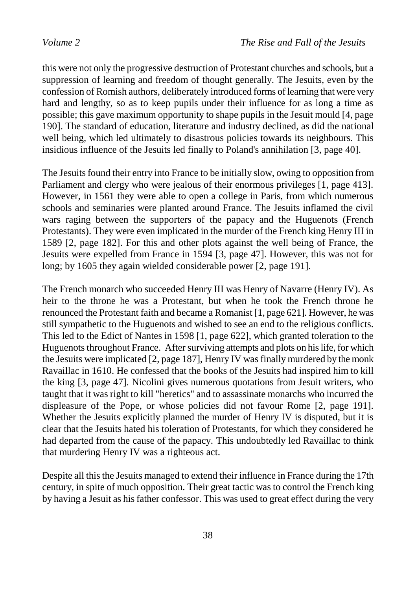this were not only the progressive destruction of Protestant churches and schools, but a suppression of learning and freedom of thought generally. The Jesuits, even by the confession of Romish authors, deliberately introduced forms of learning that were very hard and lengthy, so as to keep pupils under their influence for as long a time as possible; this gave maximum opportunity to shape pupils in the Jesuit mould [4, page 190]. The standard of education, literature and industry declined, as did the national well being, which led ultimately to disastrous policies towards its neighbours. This insidious influence of the Jesuits led finally to Poland's annihilation [3, page 40].

The Jesuits found their entry into France to be initially slow, owing to opposition from Parliament and clergy who were jealous of their enormous privileges [1, page 413]. However, in 1561 they were able to open a college in Paris, from which numerous schools and seminaries were planted around France. The Jesuits inflamed the civil wars raging between the supporters of the papacy and the Huguenots (French Protestants). They were even implicated in the murder of the French king Henry III in 1589 [2, page 182]. For this and other plots against the well being of France, the Jesuits were expelled from France in 1594 [3, page 47]. However, this was not for long; by 1605 they again wielded considerable power [2, page 191].

The French monarch who succeeded Henry III was Henry of Navarre (Henry IV). As heir to the throne he was a Protestant, but when he took the French throne he renounced the Protestant faith and became a Romanist [1, page 621]. However, he was still sympathetic to the Huguenots and wished to see an end to the religious conflicts. This led to the Edict of Nantes in 1598 [1, page 622], which granted toleration to the Huguenots throughout France. After surviving attempts and plots on his life, for which the Jesuits were implicated [2, page 187], Henry IV was finally murdered by the monk Ravaillac in 1610. He confessed that the books of the Jesuits had inspired him to kill the king [3, page 47]. Nicolini gives numerous quotations from Jesuit writers, who taught that it was right to kill "heretics" and to assassinate monarchs who incurred the displeasure of the Pope, or whose policies did not favour Rome [2, page 191]. Whether the Jesuits explicitly planned the murder of Henry IV is disputed, but it is clear that the Jesuits hated his toleration of Protestants, for which they considered he had departed from the cause of the papacy. This undoubtedly led Ravaillac to think that murdering Henry IV was a righteous act.

Despite all this the Jesuits managed to extend their influence in France during the 17th century, in spite of much opposition. Their great tactic was to control the French king by having a Jesuit as his father confessor. This was used to great effect during the very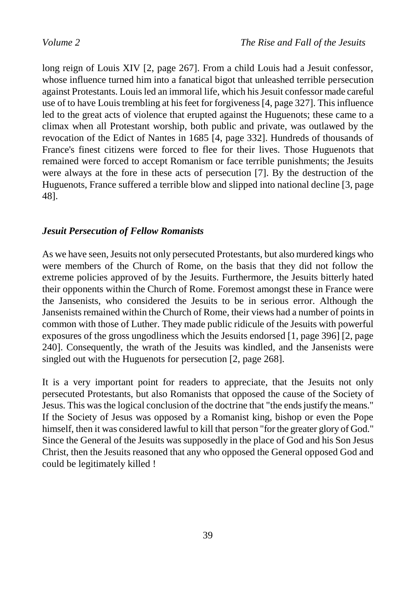long reign of Louis XIV [2, page 267]. From a child Louis had a Jesuit confessor, whose influence turned him into a fanatical bigot that unleashed terrible persecution against Protestants. Louis led an immoral life, which his Jesuit confessor made careful use of to have Louis trembling at his feet for forgiveness [4, page 327]. This influence led to the great acts of violence that erupted against the Huguenots; these came to a climax when all Protestant worship, both public and private, was outlawed by the revocation of the Edict of Nantes in 1685 [4, page 332]. Hundreds of thousands of France's finest citizens were forced to flee for their lives. Those Huguenots that remained were forced to accept Romanism or face terrible punishments; the Jesuits were always at the fore in these acts of persecution [7]. By the destruction of the Huguenots, France suffered a terrible blow and slipped into national decline [3, page 48].

# *Jesuit Persecution of Fellow Romanists*

As we have seen, Jesuits not only persecuted Protestants, but also murdered kings who were members of the Church of Rome, on the basis that they did not follow the extreme policies approved of by the Jesuits. Furthermore, the Jesuits bitterly hated their opponents within the Church of Rome. Foremost amongst these in France were the Jansenists, who considered the Jesuits to be in serious error. Although the Jansenists remained within the Church of Rome, their views had a number of points in common with those of Luther. They made public ridicule of the Jesuits with powerful exposures of the gross ungodliness which the Jesuits endorsed [1, page 396] [2, page 240]. Consequently, the wrath of the Jesuits was kindled, and the Jansenists were singled out with the Huguenots for persecution [2, page 268].

It is a very important point for readers to appreciate, that the Jesuits not only persecuted Protestants, but also Romanists that opposed the cause of the Society of Jesus. This was the logical conclusion of the doctrine that "the ends justify the means." If the Society of Jesus was opposed by a Romanist king, bishop or even the Pope himself, then it was considered lawful to kill that person "for the greater glory of God." Since the General of the Jesuits was supposedly in the place of God and his Son Jesus Christ, then the Jesuits reasoned that any who opposed the General opposed God and could be legitimately killed !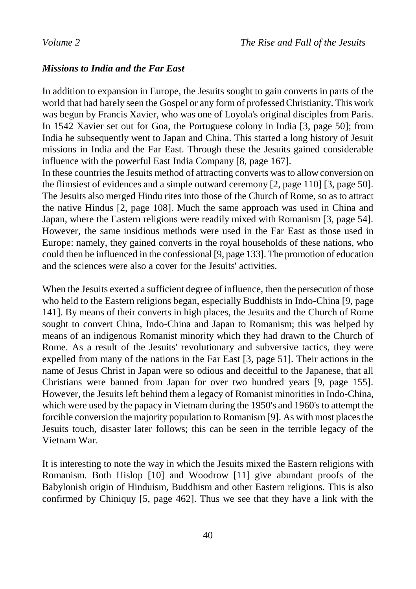### *Missions to India and the Far East*

In addition to expansion in Europe, the Jesuits sought to gain converts in parts of the world that had barely seen the Gospel or any form of professed Christianity. This work was begun by Francis Xavier, who was one of Loyola's original disciples from Paris. In 1542 Xavier set out for Goa, the Portuguese colony in India [3, page 50]; from India he subsequently went to Japan and China. This started a long history of Jesuit missions in India and the Far East. Through these the Jesuits gained considerable influence with the powerful East India Company [8, page 167].

In these countries the Jesuits method of attracting converts was to allow conversion on the flimsiest of evidences and a simple outward ceremony [2, page 110] [3, page 50]. The Jesuits also merged Hindu rites into those of the Church of Rome, so as to attract the native Hindus [2, page 108]. Much the same approach was used in China and Japan, where the Eastern religions were readily mixed with Romanism [3, page 54]. However, the same insidious methods were used in the Far East as those used in Europe: namely, they gained converts in the royal households of these nations, who could then be influenced in the confessional [9, page 133]. The promotion of education and the sciences were also a cover for the Jesuits' activities.

When the Jesuits exerted a sufficient degree of influence, then the persecution of those who held to the Eastern religions began, especially Buddhists in Indo-China [9, page 141]. By means of their converts in high places, the Jesuits and the Church of Rome sought to convert China, Indo-China and Japan to Romanism; this was helped by means of an indigenous Romanist minority which they had drawn to the Church of Rome. As a result of the Jesuits' revolutionary and subversive tactics, they were expelled from many of the nations in the Far East [3, page 51]. Their actions in the name of Jesus Christ in Japan were so odious and deceitful to the Japanese, that all Christians were banned from Japan for over two hundred years [9, page 155]. However, the Jesuits left behind them a legacy of Romanist minorities in Indo-China, which were used by the papacy in Vietnam during the 1950's and 1960's to attempt the forcible conversion the majority population to Romanism [9]. As with most places the Jesuits touch, disaster later follows; this can be seen in the terrible legacy of the Vietnam War.

It is interesting to note the way in which the Jesuits mixed the Eastern religions with Romanism. Both Hislop [10] and Woodrow [11] give abundant proofs of the Babylonish origin of Hinduism, Buddhism and other Eastern religions. This is also confirmed by Chiniquy [5, page 462]. Thus we see that they have a link with the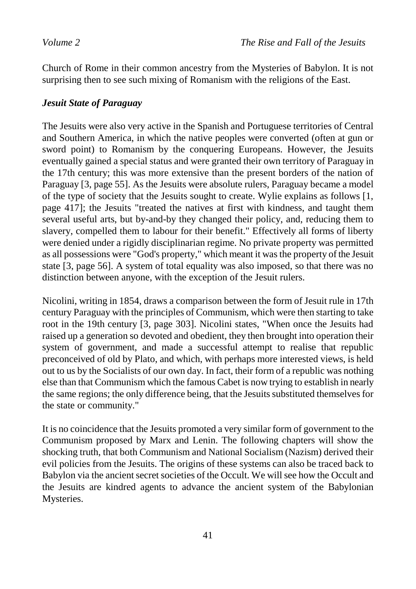Church of Rome in their common ancestry from the Mysteries of Babylon. It is not surprising then to see such mixing of Romanism with the religions of the East.

# *Jesuit State of Paraguay*

The Jesuits were also very active in the Spanish and Portuguese territories of Central and Southern America, in which the native peoples were converted (often at gun or sword point) to Romanism by the conquering Europeans. However, the Jesuits eventually gained a special status and were granted their own territory of Paraguay in the 17th century; this was more extensive than the present borders of the nation of Paraguay [3, page 55]. As the Jesuits were absolute rulers, Paraguay became a model of the type of society that the Jesuits sought to create. Wylie explains as follows [1, page 417]; the Jesuits "treated the natives at first with kindness, and taught them several useful arts, but by-and-by they changed their policy, and, reducing them to slavery, compelled them to labour for their benefit." Effectively all forms of liberty were denied under a rigidly disciplinarian regime. No private property was permitted as all possessions were "God's property," which meant it was the property of the Jesuit state [3, page 56]. A system of total equality was also imposed, so that there was no distinction between anyone, with the exception of the Jesuit rulers.

Nicolini, writing in 1854, draws a comparison between the form of Jesuit rule in 17th century Paraguay with the principles of Communism, which were then starting to take root in the 19th century [3, page 303]. Nicolini states, "When once the Jesuits had raised up a generation so devoted and obedient, they then brought into operation their system of government, and made a successful attempt to realise that republic preconceived of old by Plato, and which, with perhaps more interested views, is held out to us by the Socialists of our own day. In fact, their form of a republic was nothing else than that Communism which the famous Cabet is now trying to establish in nearly the same regions; the only difference being, that the Jesuits substituted themselves for the state or community."

It is no coincidence that the Jesuits promoted a very similar form of government to the Communism proposed by Marx and Lenin. The following chapters will show the shocking truth, that both Communism and National Socialism (Nazism) derived their evil policies from the Jesuits. The origins of these systems can also be traced back to Babylon via the ancient secret societies of the Occult. We will see how the Occult and the Jesuits are kindred agents to advance the ancient system of the Babylonian Mysteries.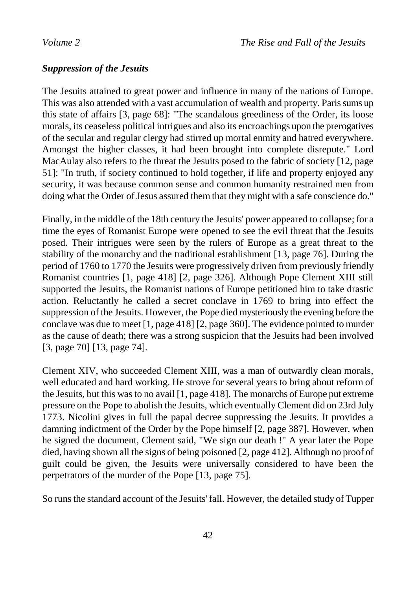# *Suppression of the Jesuits*

The Jesuits attained to great power and influence in many of the nations of Europe. This was also attended with a vast accumulation of wealth and property. Paris sums up this state of affairs [3, page 68]: "The scandalous greediness of the Order, its loose morals, its ceaseless political intrigues and also its encroachings upon the prerogatives of the secular and regular clergy had stirred up mortal enmity and hatred everywhere. Amongst the higher classes, it had been brought into complete disrepute." Lord MacAulay also refers to the threat the Jesuits posed to the fabric of society [12, page 51]: "In truth, if society continued to hold together, if life and property enjoyed any security, it was because common sense and common humanity restrained men from doing what the Order of Jesus assured them that they might with a safe conscience do."

Finally, in the middle of the 18th century the Jesuits' power appeared to collapse; for a time the eyes of Romanist Europe were opened to see the evil threat that the Jesuits posed. Their intrigues were seen by the rulers of Europe as a great threat to the stability of the monarchy and the traditional establishment [13, page 76]. During the period of 1760 to 1770 the Jesuits were progressively driven from previously friendly Romanist countries [1, page 418] [2, page 326]. Although Pope Clement XIII still supported the Jesuits, the Romanist nations of Europe petitioned him to take drastic action. Reluctantly he called a secret conclave in 1769 to bring into effect the suppression of the Jesuits. However, the Pope died mysteriously the evening before the conclave was due to meet [1, page 418] [2, page 360]. The evidence pointed to murder as the cause of death; there was a strong suspicion that the Jesuits had been involved [3, page 70] [13, page 74].

Clement XIV, who succeeded Clement XIII, was a man of outwardly clean morals, well educated and hard working. He strove for several years to bring about reform of the Jesuits, but this was to no avail [1, page 418]. The monarchs of Europe put extreme pressure on the Pope to abolish the Jesuits, which eventually Clement did on 23rd July 1773. Nicolini gives in full the papal decree suppressing the Jesuits. It provides a damning indictment of the Order by the Pope himself [2, page 387]. However, when he signed the document, Clement said, "We sign our death !" A year later the Pope died, having shown all the signs of being poisoned [2, page 412]. Although no proof of guilt could be given, the Jesuits were universally considered to have been the perpetrators of the murder of the Pope [13, page 75].

So runs the standard account of the Jesuits' fall. However, the detailed study of Tupper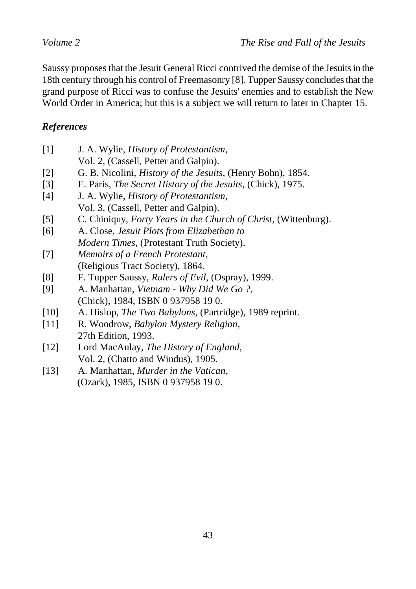Saussy proposes that the Jesuit General Ricci contrived the demise of the Jesuits in the 18th century through his control of Freemasonry [8]. Tupper Saussy concludes that the grand purpose of Ricci was to confuse the Jesuits' enemies and to establish the New World Order in America; but this is a subject we will return to later in Chapter 15.

# *References*

| $[1]$             | J. A. Wylie, <i>History of Protestantism</i> ,                      |
|-------------------|---------------------------------------------------------------------|
|                   | Vol. 2, (Cassell, Petter and Galpin).                               |
| $[2]$             | G. B. Nicolini, <i>History of the Jesuits</i> , (Henry Bohn), 1854. |
| $\lceil 3 \rceil$ | E. Paris, The Secret History of the Jesuits, (Chick), 1975.         |
| [4]               | J. A. Wylie, <i>History of Protestantism</i> ,                      |
|                   | Vol. 3, (Cassell, Petter and Galpin).                               |
| $\lceil 5 \rceil$ | C. Chiniquy, Forty Years in the Church of Christ, (Wittenburg).     |
| [6]               | A. Close, Jesuit Plots from Elizabethan to                          |
|                   | <i>Modern Times, (Protestant Truth Society).</i>                    |
| $[7]$             | Memoirs of a French Protestant,                                     |
|                   | (Religious Tract Society), 1864.                                    |
| [8]               | F. Tupper Saussy, Rulers of Evil, (Ospray), 1999.                   |
| [9]               | A. Manhattan, Vietnam - Why Did We Go?,                             |
|                   | (Chick), 1984, ISBN 0 937958 19 0.                                  |
| [10]              | A. Hislop, <i>The Two Babylons</i> , (Partridge), 1989 reprint.     |
| [11]              | R. Woodrow, Babylon Mystery Religion,                               |
|                   | 27th Edition, 1993.                                                 |
| [12]              | Lord MacAulay, <i>The History of England</i> ,                      |
|                   | Vol. 2, (Chatto and Windus), 1905.                                  |

[13] A. Manhattan, *Murder in the Vatican*, (Ozark), 1985, ISBN 0 937958 19 0.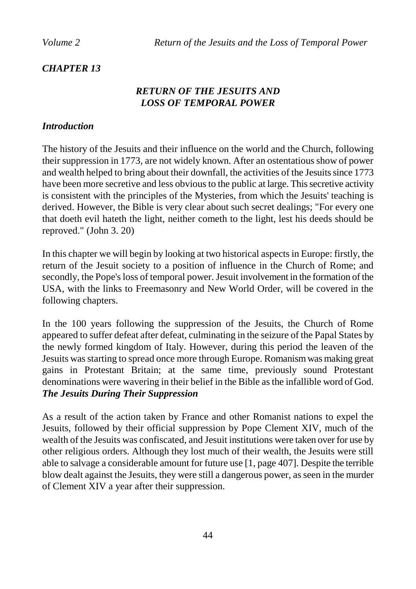# *CHAPTER 13*

# *RETURN OF THE JESUITS AND LOSS OF TEMPORAL POWER*

## *Introduction*

The history of the Jesuits and their influence on the world and the Church, following their suppression in 1773, are not widely known. After an ostentatious show of power and wealth helped to bring about their downfall, the activities of the Jesuits since 1773 have been more secretive and less obvious to the public at large. This secretive activity is consistent with the principles of the Mysteries, from which the Jesuits' teaching is derived. However, the Bible is very clear about such secret dealings; "For every one that doeth evil hateth the light, neither cometh to the light, lest his deeds should be reproved." (John 3. 20)

In this chapter we will begin by looking at two historical aspects in Europe: firstly, the return of the Jesuit society to a position of influence in the Church of Rome; and secondly, the Pope's loss of temporal power. Jesuit involvement in the formation of the USA, with the links to Freemasonry and New World Order, will be covered in the following chapters.

In the 100 years following the suppression of the Jesuits, the Church of Rome appeared to suffer defeat after defeat, culminating in the seizure of the Papal States by the newly formed kingdom of Italy. However, during this period the leaven of the Jesuits was starting to spread once more through Europe. Romanism was making great gains in Protestant Britain; at the same time, previously sound Protestant denominations were wavering in their belief in the Bible as the infallible word of God. *The Jesuits During Their Suppression*

As a result of the action taken by France and other Romanist nations to expel the Jesuits, followed by their official suppression by Pope Clement XIV, much of the wealth of the Jesuits was confiscated, and Jesuit institutions were taken over for use by other religious orders. Although they lost much of their wealth, the Jesuits were still able to salvage a considerable amount for future use [1, page 407]. Despite the terrible blow dealt against the Jesuits, they were still a dangerous power, as seen in the murder of Clement XIV a year after their suppression.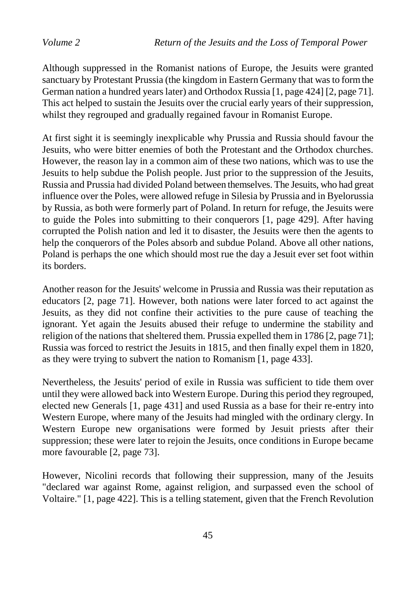Although suppressed in the Romanist nations of Europe, the Jesuits were granted sanctuary by Protestant Prussia (the kingdom in Eastern Germany that was to form the German nation a hundred years later) and Orthodox Russia [1, page 424] [2, page 71]. This act helped to sustain the Jesuits over the crucial early years of their suppression, whilst they regrouped and gradually regained favour in Romanist Europe.

At first sight it is seemingly inexplicable why Prussia and Russia should favour the Jesuits, who were bitter enemies of both the Protestant and the Orthodox churches. However, the reason lay in a common aim of these two nations, which was to use the Jesuits to help subdue the Polish people. Just prior to the suppression of the Jesuits, Russia and Prussia had divided Poland between themselves. The Jesuits, who had great influence over the Poles, were allowed refuge in Silesia by Prussia and in Byelorussia by Russia, as both were formerly part of Poland. In return for refuge, the Jesuits were to guide the Poles into submitting to their conquerors [1, page 429]. After having corrupted the Polish nation and led it to disaster, the Jesuits were then the agents to help the conquerors of the Poles absorb and subdue Poland. Above all other nations, Poland is perhaps the one which should most rue the day a Jesuit ever set foot within its borders.

Another reason for the Jesuits' welcome in Prussia and Russia was their reputation as educators [2, page 71]. However, both nations were later forced to act against the Jesuits, as they did not confine their activities to the pure cause of teaching the ignorant. Yet again the Jesuits abused their refuge to undermine the stability and religion of the nations that sheltered them. Prussia expelled them in 1786 [2, page 71]; Russia was forced to restrict the Jesuits in 1815, and then finally expel them in 1820, as they were trying to subvert the nation to Romanism [1, page 433].

Nevertheless, the Jesuits' period of exile in Russia was sufficient to tide them over until they were allowed back into Western Europe. During this period they regrouped, elected new Generals [1, page 431] and used Russia as a base for their re-entry into Western Europe, where many of the Jesuits had mingled with the ordinary clergy. In Western Europe new organisations were formed by Jesuit priests after their suppression; these were later to rejoin the Jesuits, once conditions in Europe became more favourable [2, page 73].

However, Nicolini records that following their suppression, many of the Jesuits "declared war against Rome, against religion, and surpassed even the school of Voltaire." [1, page 422]. This is a telling statement, given that the French Revolution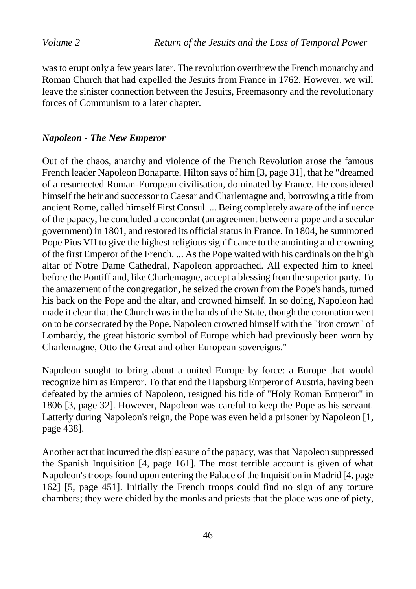was to erupt only a few years later. The revolution overthrew the French monarchy and Roman Church that had expelled the Jesuits from France in 1762. However, we will leave the sinister connection between the Jesuits, Freemasonry and the revolutionary forces of Communism to a later chapter.

### *Napoleon - The New Emperor*

Out of the chaos, anarchy and violence of the French Revolution arose the famous French leader Napoleon Bonaparte. Hilton says of him [3, page 31], that he "dreamed of a resurrected Roman-European civilisation, dominated by France. He considered himself the heir and successor to Caesar and Charlemagne and, borrowing a title from ancient Rome, called himself First Consul. ... Being completely aware of the influence of the papacy, he concluded a concordat (an agreement between a pope and a secular government) in 1801, and restored its official status in France. In 1804, he summoned Pope Pius VII to give the highest religious significance to the anointing and crowning of the first Emperor of the French. ... As the Pope waited with his cardinals on the high altar of Notre Dame Cathedral, Napoleon approached. All expected him to kneel before the Pontiff and, like Charlemagne, accept a blessing from the superior party. To the amazement of the congregation, he seized the crown from the Pope's hands, turned his back on the Pope and the altar, and crowned himself. In so doing, Napoleon had made it clear that the Church was in the hands of the State, though the coronation went on to be consecrated by the Pope. Napoleon crowned himself with the "iron crown" of Lombardy, the great historic symbol of Europe which had previously been worn by Charlemagne, Otto the Great and other European sovereigns."

Napoleon sought to bring about a united Europe by force: a Europe that would recognize him as Emperor. To that end the Hapsburg Emperor of Austria, having been defeated by the armies of Napoleon, resigned his title of "Holy Roman Emperor" in 1806 [3, page 32]. However, Napoleon was careful to keep the Pope as his servant. Latterly during Napoleon's reign, the Pope was even held a prisoner by Napoleon [1, page 438].

Another act that incurred the displeasure of the papacy, was that Napoleon suppressed the Spanish Inquisition [4, page 161]. The most terrible account is given of what Napoleon's troops found upon entering the Palace of the Inquisition in Madrid [4, page 162] [5, page 451]. Initially the French troops could find no sign of any torture chambers; they were chided by the monks and priests that the place was one of piety,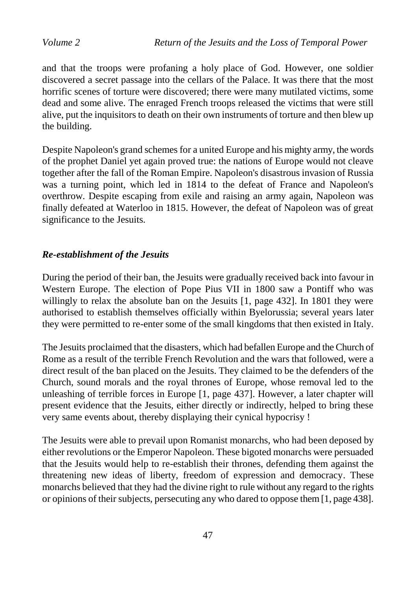and that the troops were profaning a holy place of God. However, one soldier discovered a secret passage into the cellars of the Palace. It was there that the most horrific scenes of torture were discovered; there were many mutilated victims, some dead and some alive. The enraged French troops released the victims that were still alive, put the inquisitors to death on their own instruments of torture and then blew up the building.

Despite Napoleon's grand schemes for a united Europe and his mighty army, the words of the prophet Daniel yet again proved true: the nations of Europe would not cleave together after the fall of the Roman Empire. Napoleon's disastrous invasion of Russia was a turning point, which led in 1814 to the defeat of France and Napoleon's overthrow. Despite escaping from exile and raising an army again, Napoleon was finally defeated at Waterloo in 1815. However, the defeat of Napoleon was of great significance to the Jesuits.

### *Re-establishment of the Jesuits*

During the period of their ban, the Jesuits were gradually received back into favour in Western Europe. The election of Pope Pius VII in 1800 saw a Pontiff who was willingly to relax the absolute ban on the Jesuits [1, page 432]. In 1801 they were authorised to establish themselves officially within Byelorussia; several years later they were permitted to re-enter some of the small kingdoms that then existed in Italy.

The Jesuits proclaimed that the disasters, which had befallen Europe and the Church of Rome as a result of the terrible French Revolution and the wars that followed, were a direct result of the ban placed on the Jesuits. They claimed to be the defenders of the Church, sound morals and the royal thrones of Europe, whose removal led to the unleashing of terrible forces in Europe [1, page 437]. However, a later chapter will present evidence that the Jesuits, either directly or indirectly, helped to bring these very same events about, thereby displaying their cynical hypocrisy !

The Jesuits were able to prevail upon Romanist monarchs, who had been deposed by either revolutions or the Emperor Napoleon. These bigoted monarchs were persuaded that the Jesuits would help to re-establish their thrones, defending them against the threatening new ideas of liberty, freedom of expression and democracy. These monarchs believed that they had the divine right to rule without any regard to the rights or opinions of their subjects, persecuting any who dared to oppose them [1, page 438].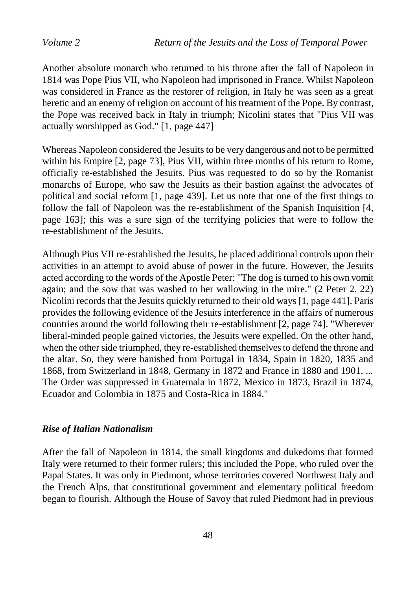Another absolute monarch who returned to his throne after the fall of Napoleon in 1814 was Pope Pius VII, who Napoleon had imprisoned in France. Whilst Napoleon was considered in France as the restorer of religion, in Italy he was seen as a great heretic and an enemy of religion on account of his treatment of the Pope. By contrast, the Pope was received back in Italy in triumph; Nicolini states that "Pius VII was actually worshipped as God." [1, page 447]

Whereas Napoleon considered the Jesuits to be very dangerous and not to be permitted within his Empire [2, page 73], Pius VII, within three months of his return to Rome, officially re-established the Jesuits. Pius was requested to do so by the Romanist monarchs of Europe, who saw the Jesuits as their bastion against the advocates of political and social reform [1, page 439]. Let us note that one of the first things to follow the fall of Napoleon was the re-establishment of the Spanish Inquisition [4, page 163]; this was a sure sign of the terrifying policies that were to follow the re-establishment of the Jesuits.

Although Pius VII re-established the Jesuits, he placed additional controls upon their activities in an attempt to avoid abuse of power in the future. However, the Jesuits acted according to the words of the Apostle Peter: "The dog is turned to his own vomit again; and the sow that was washed to her wallowing in the mire." (2 Peter 2. 22) Nicolini records that the Jesuits quickly returned to their old ways [1, page 441]. Paris provides the following evidence of the Jesuits interference in the affairs of numerous countries around the world following their re-establishment [2, page 74]. "Wherever liberal-minded people gained victories, the Jesuits were expelled. On the other hand, when the other side triumphed, they re-established themselves to defend the throne and the altar. So, they were banished from Portugal in 1834, Spain in 1820, 1835 and 1868, from Switzerland in 1848, Germany in 1872 and France in 1880 and 1901. ... The Order was suppressed in Guatemala in 1872, Mexico in 1873, Brazil in 1874, Ecuador and Colombia in 1875 and Costa-Rica in 1884."

#### *Rise of Italian Nationalism*

After the fall of Napoleon in 1814, the small kingdoms and dukedoms that formed Italy were returned to their former rulers; this included the Pope, who ruled over the Papal States. It was only in Piedmont, whose territories covered Northwest Italy and the French Alps, that constitutional government and elementary political freedom began to flourish. Although the House of Savoy that ruled Piedmont had in previous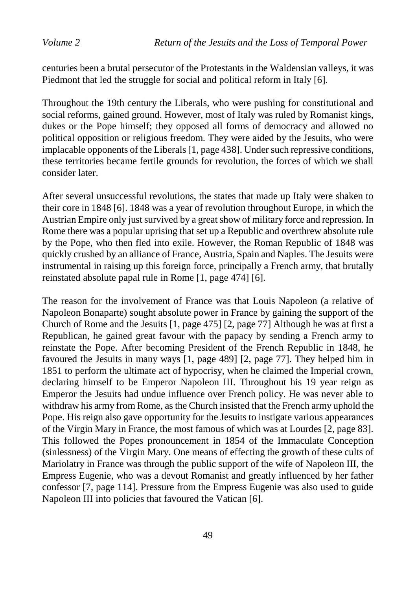centuries been a brutal persecutor of the Protestants in the Waldensian valleys, it was Piedmont that led the struggle for social and political reform in Italy [6].

Throughout the 19th century the Liberals, who were pushing for constitutional and social reforms, gained ground. However, most of Italy was ruled by Romanist kings, dukes or the Pope himself; they opposed all forms of democracy and allowed no political opposition or religious freedom. They were aided by the Jesuits, who were implacable opponents of the Liberals [1, page 438]. Under such repressive conditions, these territories became fertile grounds for revolution, the forces of which we shall consider later.

After several unsuccessful revolutions, the states that made up Italy were shaken to their core in 1848 [6]. 1848 was a year of revolution throughout Europe, in which the Austrian Empire only just survived by a great show of military force and repression. In Rome there was a popular uprising that set up a Republic and overthrew absolute rule by the Pope, who then fled into exile. However, the Roman Republic of 1848 was quickly crushed by an alliance of France, Austria, Spain and Naples. The Jesuits were instrumental in raising up this foreign force, principally a French army, that brutally reinstated absolute papal rule in Rome [1, page 474] [6].

The reason for the involvement of France was that Louis Napoleon (a relative of Napoleon Bonaparte) sought absolute power in France by gaining the support of the Church of Rome and the Jesuits [1, page 475] [2, page 77] Although he was at first a Republican, he gained great favour with the papacy by sending a French army to reinstate the Pope. After becoming President of the French Republic in 1848, he favoured the Jesuits in many ways [1, page 489] [2, page 77]. They helped him in 1851 to perform the ultimate act of hypocrisy, when he claimed the Imperial crown, declaring himself to be Emperor Napoleon III. Throughout his 19 year reign as Emperor the Jesuits had undue influence over French policy. He was never able to withdraw his army from Rome, as the Church insisted that the French army uphold the Pope. His reign also gave opportunity for the Jesuits to instigate various appearances of the Virgin Mary in France, the most famous of which was at Lourdes [2, page 83]. This followed the Popes pronouncement in 1854 of the Immaculate Conception (sinlessness) of the Virgin Mary. One means of effecting the growth of these cults of Mariolatry in France was through the public support of the wife of Napoleon III, the Empress Eugenie, who was a devout Romanist and greatly influenced by her father confessor [7, page 114]. Pressure from the Empress Eugenie was also used to guide Napoleon III into policies that favoured the Vatican [6].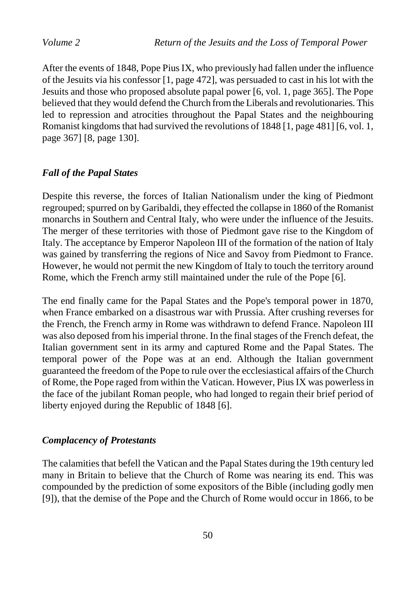After the events of 1848, Pope Pius IX, who previously had fallen under the influence of the Jesuits via his confessor [1, page 472], was persuaded to cast in his lot with the Jesuits and those who proposed absolute papal power [6, vol. 1, page 365]. The Pope believed that they would defend the Church from the Liberals and revolutionaries. This led to repression and atrocities throughout the Papal States and the neighbouring Romanist kingdoms that had survived the revolutions of 1848 [1, page 481] [6, vol. 1, page 367] [8, page 130].

### *Fall of the Papal States*

Despite this reverse, the forces of Italian Nationalism under the king of Piedmont regrouped; spurred on by Garibaldi, they effected the collapse in 1860 of the Romanist monarchs in Southern and Central Italy, who were under the influence of the Jesuits. The merger of these territories with those of Piedmont gave rise to the Kingdom of Italy. The acceptance by Emperor Napoleon III of the formation of the nation of Italy was gained by transferring the regions of Nice and Savoy from Piedmont to France. However, he would not permit the new Kingdom of Italy to touch the territory around Rome, which the French army still maintained under the rule of the Pope [6].

The end finally came for the Papal States and the Pope's temporal power in 1870, when France embarked on a disastrous war with Prussia. After crushing reverses for the French, the French army in Rome was withdrawn to defend France. Napoleon III was also deposed from his imperial throne. In the final stages of the French defeat, the Italian government sent in its army and captured Rome and the Papal States. The temporal power of the Pope was at an end. Although the Italian government guaranteed the freedom of the Pope to rule over the ecclesiastical affairs of the Church of Rome, the Pope raged from within the Vatican. However, Pius IX was powerless in the face of the jubilant Roman people, who had longed to regain their brief period of liberty enjoyed during the Republic of 1848 [6].

### *Complacency of Protestants*

The calamities that befell the Vatican and the Papal States during the 19th century led many in Britain to believe that the Church of Rome was nearing its end. This was compounded by the prediction of some expositors of the Bible (including godly men [9]), that the demise of the Pope and the Church of Rome would occur in 1866, to be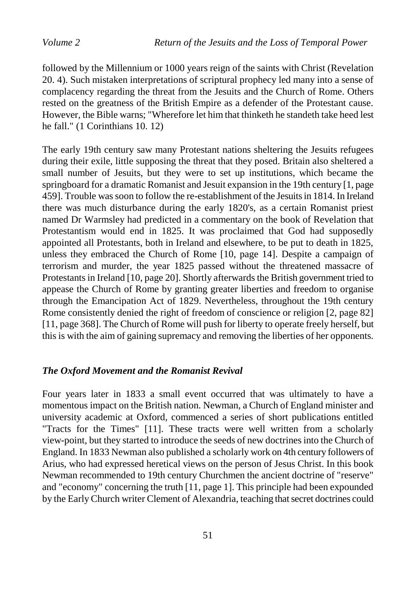followed by the Millennium or 1000 years reign of the saints with Christ (Revelation 20. 4). Such mistaken interpretations of scriptural prophecy led many into a sense of complacency regarding the threat from the Jesuits and the Church of Rome. Others rested on the greatness of the British Empire as a defender of the Protestant cause. However, the Bible warns; "Wherefore let him that thinketh he standeth take heed lest he fall." (1 Corinthians 10. 12)

The early 19th century saw many Protestant nations sheltering the Jesuits refugees during their exile, little supposing the threat that they posed. Britain also sheltered a small number of Jesuits, but they were to set up institutions, which became the springboard for a dramatic Romanist and Jesuit expansion in the 19th century [1, page 459]. Trouble was soon to follow the re-establishment of the Jesuits in 1814. In Ireland there was much disturbance during the early 1820's, as a certain Romanist priest named Dr Warmsley had predicted in a commentary on the book of Revelation that Protestantism would end in 1825. It was proclaimed that God had supposedly appointed all Protestants, both in Ireland and elsewhere, to be put to death in 1825, unless they embraced the Church of Rome [10, page 14]. Despite a campaign of terrorism and murder, the year 1825 passed without the threatened massacre of Protestants in Ireland [10, page 20]. Shortly afterwards the British government tried to appease the Church of Rome by granting greater liberties and freedom to organise through the Emancipation Act of 1829. Nevertheless, throughout the 19th century Rome consistently denied the right of freedom of conscience or religion [2, page 82] [11, page 368]. The Church of Rome will push for liberty to operate freely herself, but this is with the aim of gaining supremacy and removing the liberties of her opponents.

#### *The Oxford Movement and the Romanist Revival*

Four years later in 1833 a small event occurred that was ultimately to have a momentous impact on the British nation. Newman, a Church of England minister and university academic at Oxford, commenced a series of short publications entitled "Tracts for the Times" [11]. These tracts were well written from a scholarly view-point, but they started to introduce the seeds of new doctrines into the Church of England. In 1833 Newman also published a scholarly work on 4th century followers of Arius, who had expressed heretical views on the person of Jesus Christ. In this book Newman recommended to 19th century Churchmen the ancient doctrine of "reserve" and "economy" concerning the truth [11, page 1]. This principle had been expounded by the Early Church writer Clement of Alexandria, teaching that secret doctrines could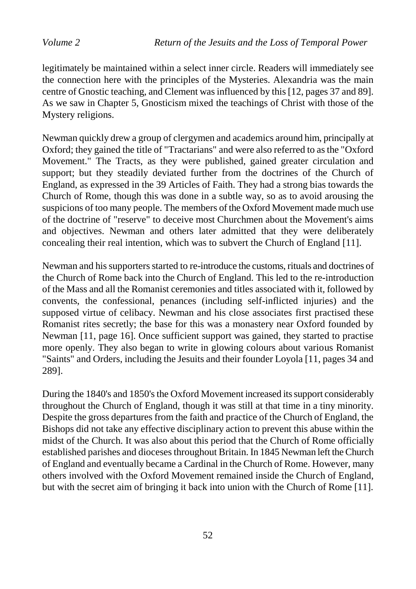legitimately be maintained within a select inner circle. Readers will immediately see the connection here with the principles of the Mysteries. Alexandria was the main centre of Gnostic teaching, and Clement was influenced by this [12, pages 37 and 89]. As we saw in Chapter 5, Gnosticism mixed the teachings of Christ with those of the Mystery religions.

Newman quickly drew a group of clergymen and academics around him, principally at Oxford; they gained the title of "Tractarians" and were also referred to as the "Oxford Movement." The Tracts, as they were published, gained greater circulation and support; but they steadily deviated further from the doctrines of the Church of England, as expressed in the 39 Articles of Faith. They had a strong bias towards the Church of Rome, though this was done in a subtle way, so as to avoid arousing the suspicions of too many people. The members of the Oxford Movement made much use of the doctrine of "reserve" to deceive most Churchmen about the Movement's aims and objectives. Newman and others later admitted that they were deliberately concealing their real intention, which was to subvert the Church of England [11].

Newman and his supporters started to re-introduce the customs, rituals and doctrines of the Church of Rome back into the Church of England. This led to the re-introduction of the Mass and all the Romanist ceremonies and titles associated with it, followed by convents, the confessional, penances (including self-inflicted injuries) and the supposed virtue of celibacy. Newman and his close associates first practised these Romanist rites secretly; the base for this was a monastery near Oxford founded by Newman [11, page 16]. Once sufficient support was gained, they started to practise more openly. They also began to write in glowing colours about various Romanist "Saints" and Orders, including the Jesuits and their founder Loyola [11, pages 34 and 289].

During the 1840's and 1850's the Oxford Movement increased its support considerably throughout the Church of England, though it was still at that time in a tiny minority. Despite the gross departures from the faith and practice of the Church of England, the Bishops did not take any effective disciplinary action to prevent this abuse within the midst of the Church. It was also about this period that the Church of Rome officially established parishes and dioceses throughout Britain. In 1845 Newman left the Church of England and eventually became a Cardinal in the Church of Rome. However, many others involved with the Oxford Movement remained inside the Church of England, but with the secret aim of bringing it back into union with the Church of Rome [11].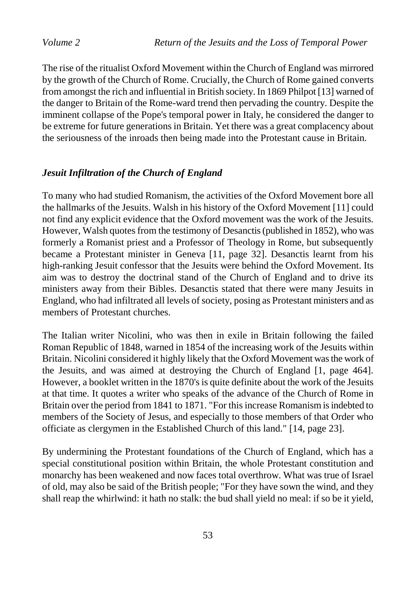The rise of the ritualist Oxford Movement within the Church of England was mirrored by the growth of the Church of Rome. Crucially, the Church of Rome gained converts from amongst the rich and influential in British society. In 1869 Philpot [13] warned of the danger to Britain of the Rome-ward trend then pervading the country. Despite the imminent collapse of the Pope's temporal power in Italy, he considered the danger to be extreme for future generations in Britain. Yet there was a great complacency about the seriousness of the inroads then being made into the Protestant cause in Britain.

#### *Jesuit Infiltration of the Church of England*

To many who had studied Romanism, the activities of the Oxford Movement bore all the hallmarks of the Jesuits. Walsh in his history of the Oxford Movement [11] could not find any explicit evidence that the Oxford movement was the work of the Jesuits. However, Walsh quotes from the testimony of Desanctis (published in 1852), who was formerly a Romanist priest and a Professor of Theology in Rome, but subsequently became a Protestant minister in Geneva [11, page 32]. Desanctis learnt from his high-ranking Jesuit confessor that the Jesuits were behind the Oxford Movement. Its aim was to destroy the doctrinal stand of the Church of England and to drive its ministers away from their Bibles. Desanctis stated that there were many Jesuits in England, who had infiltrated all levels of society, posing as Protestant ministers and as members of Protestant churches.

The Italian writer Nicolini, who was then in exile in Britain following the failed Roman Republic of 1848, warned in 1854 of the increasing work of the Jesuits within Britain. Nicolini considered it highly likely that the Oxford Movement was the work of the Jesuits, and was aimed at destroying the Church of England [1, page 464]. However, a booklet written in the 1870's is quite definite about the work of the Jesuits at that time. It quotes a writer who speaks of the advance of the Church of Rome in Britain over the period from 1841 to 1871. "For this increase Romanism is indebted to members of the Society of Jesus, and especially to those members of that Order who officiate as clergymen in the Established Church of this land." [14, page 23].

By undermining the Protestant foundations of the Church of England, which has a special constitutional position within Britain, the whole Protestant constitution and monarchy has been weakened and now faces total overthrow. What was true of Israel of old, may also be said of the British people; "For they have sown the wind, and they shall reap the whirlwind: it hath no stalk: the bud shall yield no meal: if so be it yield,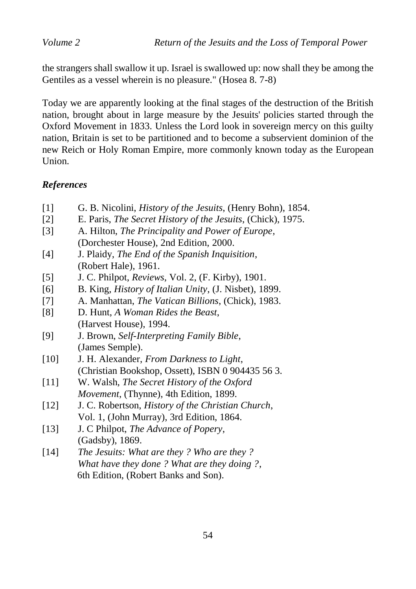the strangers shall swallow it up. Israel is swallowed up: now shall they be among the Gentiles as a vessel wherein is no pleasure." (Hosea 8. 7-8)

Today we are apparently looking at the final stages of the destruction of the British nation, brought about in large measure by the Jesuits' policies started through the Oxford Movement in 1833. Unless the Lord look in sovereign mercy on this guilty nation, Britain is set to be partitioned and to become a subservient dominion of the new Reich or Holy Roman Empire, more commonly known today as the European Union.

# *References*

- [1] G. B. Nicolini, *History of the Jesuits*, (Henry Bohn), 1854.
- [2] E. Paris, *The Secret History of the Jesuits*, (Chick), 1975.
- [3] A. Hilton, *The Principality and Power of Europe*, (Dorchester House), 2nd Edition, 2000.
- [4] J. Plaidy, *The End of the Spanish Inquisition*, (Robert Hale), 1961.
- [5] J. C. Philpot, *Reviews*, Vol. 2, (F. Kirby), 1901.
- [6] B. King, *History of Italian Unity*, (J. Nisbet), 1899.
- [7] A. Manhattan, *The Vatican Billions*, (Chick), 1983.
- [8] D. Hunt, *A Woman Rides the Beast*, (Harvest House), 1994.
- [9] J. Brown, *Self-Interpreting Family Bible*, (James Semple).
- [10] J. H. Alexander, *From Darkness to Light*, (Christian Bookshop, Ossett), ISBN 0 904435 56 3.
- [11] W. Walsh, *The Secret History of the Oxford Movement*, (Thynne), 4th Edition, 1899.
- [12] J. C. Robertson, *History of the Christian Church*, Vol. 1, (John Murray), 3rd Edition, 1864.
- [13] J. C Philpot, *The Advance of Popery*, (Gadsby), 1869.
- [14] *The Jesuits: What are they ? Who are they ? What have they done ? What are they doing ?*, 6th Edition, (Robert Banks and Son).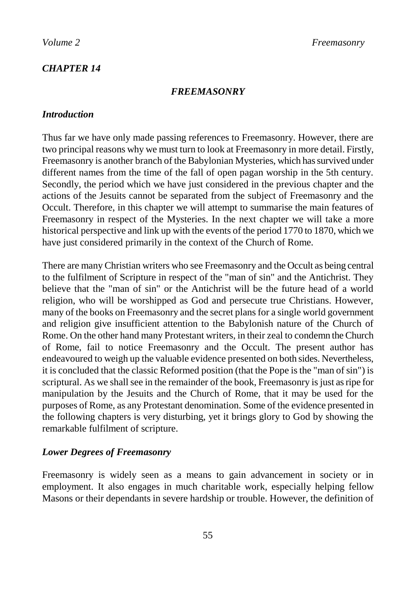## *CHAPTER 14*

#### *FREEMASONRY*

### *Introduction*

Thus far we have only made passing references to Freemasonry. However, there are two principal reasons why we must turn to look at Freemasonry in more detail. Firstly, Freemasonry is another branch of the Babylonian Mysteries, which has survived under different names from the time of the fall of open pagan worship in the 5th century. Secondly, the period which we have just considered in the previous chapter and the actions of the Jesuits cannot be separated from the subject of Freemasonry and the Occult. Therefore, in this chapter we will attempt to summarise the main features of Freemasonry in respect of the Mysteries. In the next chapter we will take a more historical perspective and link up with the events of the period 1770 to 1870, which we have just considered primarily in the context of the Church of Rome.

There are many Christian writers who see Freemasonry and the Occult as being central to the fulfilment of Scripture in respect of the "man of sin" and the Antichrist. They believe that the "man of sin" or the Antichrist will be the future head of a world religion, who will be worshipped as God and persecute true Christians. However, many of the books on Freemasonry and the secret plans for a single world government and religion give insufficient attention to the Babylonish nature of the Church of Rome. On the other hand many Protestant writers, in their zeal to condemn the Church of Rome, fail to notice Freemasonry and the Occult. The present author has endeavoured to weigh up the valuable evidence presented on both sides. Nevertheless, it is concluded that the classic Reformed position (that the Pope is the "man of sin") is scriptural. As we shall see in the remainder of the book, Freemasonry is just as ripe for manipulation by the Jesuits and the Church of Rome, that it may be used for the purposes of Rome, as any Protestant denomination. Some of the evidence presented in the following chapters is very disturbing, yet it brings glory to God by showing the remarkable fulfilment of scripture.

### *Lower Degrees of Freemasonry*

Freemasonry is widely seen as a means to gain advancement in society or in employment. It also engages in much charitable work, especially helping fellow Masons or their dependants in severe hardship or trouble. However, the definition of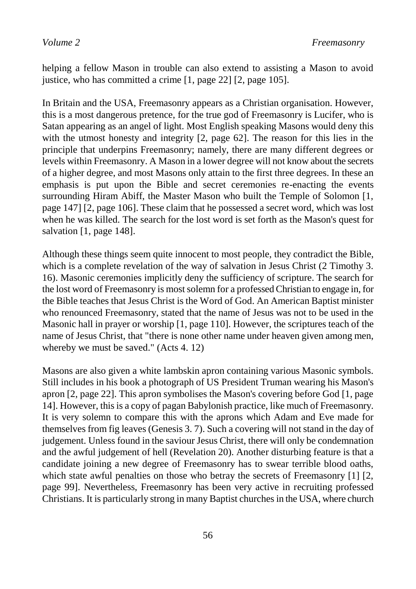helping a fellow Mason in trouble can also extend to assisting a Mason to avoid justice, who has committed a crime [1, page 22] [2, page 105].

In Britain and the USA, Freemasonry appears as a Christian organisation. However, this is a most dangerous pretence, for the true god of Freemasonry is Lucifer, who is Satan appearing as an angel of light. Most English speaking Masons would deny this with the utmost honesty and integrity [2, page 62]. The reason for this lies in the principle that underpins Freemasonry; namely, there are many different degrees or levels within Freemasonry. A Mason in a lower degree will not know about the secrets of a higher degree, and most Masons only attain to the first three degrees. In these an emphasis is put upon the Bible and secret ceremonies re-enacting the events surrounding Hiram Abiff, the Master Mason who built the Temple of Solomon [1, page 147] [2, page 106]. These claim that he possessed a secret word, which was lost when he was killed. The search for the lost word is set forth as the Mason's quest for salvation [1, page 148].

Although these things seem quite innocent to most people, they contradict the Bible, which is a complete revelation of the way of salvation in Jesus Christ (2 Timothy 3. 16). Masonic ceremonies implicitly deny the sufficiency of scripture. The search for the lost word of Freemasonry is most solemn for a professed Christian to engage in, for the Bible teaches that Jesus Christ is the Word of God. An American Baptist minister who renounced Freemasonry, stated that the name of Jesus was not to be used in the Masonic hall in prayer or worship [1, page 110]. However, the scriptures teach of the name of Jesus Christ, that "there is none other name under heaven given among men, whereby we must be saved." (Acts 4. 12)

Masons are also given a white lambskin apron containing various Masonic symbols. Still includes in his book a photograph of US President Truman wearing his Mason's apron [2, page 22]. This apron symbolises the Mason's covering before God [1, page 14]. However, this is a copy of pagan Babylonish practice, like much of Freemasonry. It is very solemn to compare this with the aprons which Adam and Eve made for themselves from fig leaves (Genesis 3. 7). Such a covering will not stand in the day of judgement. Unless found in the saviour Jesus Christ, there will only be condemnation and the awful judgement of hell (Revelation 20). Another disturbing feature is that a candidate joining a new degree of Freemasonry has to swear terrible blood oaths, which state awful penalties on those who betray the secrets of Freemasonry [1] [2, page 99]. Nevertheless, Freemasonry has been very active in recruiting professed Christians. It is particularly strong in many Baptist churches in the USA, where church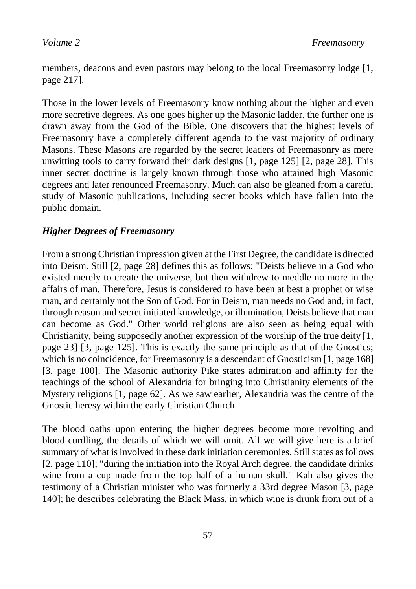members, deacons and even pastors may belong to the local Freemasonry lodge [1, page 217].

Those in the lower levels of Freemasonry know nothing about the higher and even more secretive degrees. As one goes higher up the Masonic ladder, the further one is drawn away from the God of the Bible. One discovers that the highest levels of Freemasonry have a completely different agenda to the vast majority of ordinary Masons. These Masons are regarded by the secret leaders of Freemasonry as mere unwitting tools to carry forward their dark designs [1, page 125] [2, page 28]. This inner secret doctrine is largely known through those who attained high Masonic degrees and later renounced Freemasonry. Much can also be gleaned from a careful study of Masonic publications, including secret books which have fallen into the public domain.

# *Higher Degrees of Freemasonry*

From a strong Christian impression given at the First Degree, the candidate is directed into Deism. Still [2, page 28] defines this as follows: "Deists believe in a God who existed merely to create the universe, but then withdrew to meddle no more in the affairs of man. Therefore, Jesus is considered to have been at best a prophet or wise man, and certainly not the Son of God. For in Deism, man needs no God and, in fact, through reason and secret initiated knowledge, or illumination, Deists believe that man can become as God." Other world religions are also seen as being equal with Christianity, being supposedly another expression of the worship of the true deity [1, page 23] [3, page 125]. This is exactly the same principle as that of the Gnostics; which is no coincidence, for Freemasonry is a descendant of Gnosticism [1, page 168] [3, page 100]. The Masonic authority Pike states admiration and affinity for the teachings of the school of Alexandria for bringing into Christianity elements of the Mystery religions [1, page 62]. As we saw earlier, Alexandria was the centre of the Gnostic heresy within the early Christian Church.

The blood oaths upon entering the higher degrees become more revolting and blood-curdling, the details of which we will omit. All we will give here is a brief summary of what is involved in these dark initiation ceremonies. Still states as follows [2, page 110]; "during the initiation into the Royal Arch degree, the candidate drinks wine from a cup made from the top half of a human skull." Kah also gives the testimony of a Christian minister who was formerly a 33rd degree Mason [3, page 140]; he describes celebrating the Black Mass, in which wine is drunk from out of a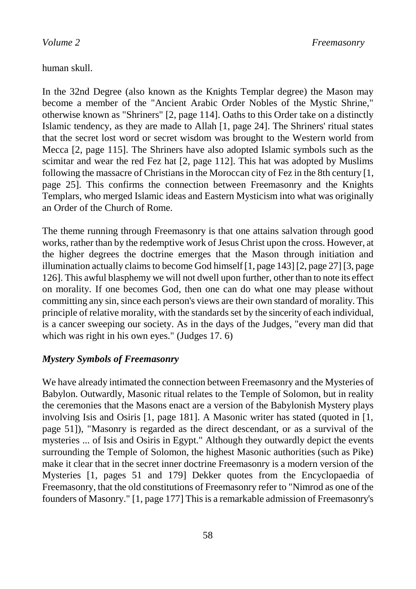human skull.

In the 32nd Degree (also known as the Knights Templar degree) the Mason may become a member of the "Ancient Arabic Order Nobles of the Mystic Shrine," otherwise known as "Shriners" [2, page 114]. Oaths to this Order take on a distinctly Islamic tendency, as they are made to Allah [1, page 24]. The Shriners' ritual states that the secret lost word or secret wisdom was brought to the Western world from Mecca [2, page 115]. The Shriners have also adopted Islamic symbols such as the scimitar and wear the red Fez hat [2, page 112]. This hat was adopted by Muslims following the massacre of Christians in the Moroccan city of Fez in the 8th century [1, page 25]. This confirms the connection between Freemasonry and the Knights Templars, who merged Islamic ideas and Eastern Mysticism into what was originally an Order of the Church of Rome.

The theme running through Freemasonry is that one attains salvation through good works, rather than by the redemptive work of Jesus Christ upon the cross. However, at the higher degrees the doctrine emerges that the Mason through initiation and illumination actually claims to become God himself [1, page 143] [2, page 27] [3, page 126]. This awful blasphemy we will not dwell upon further, other than to note its effect on morality. If one becomes God, then one can do what one may please without committing any sin, since each person's views are their own standard of morality. This principle of relative morality, with the standards set by the sincerity of each individual, is a cancer sweeping our society. As in the days of the Judges, "every man did that which was right in his own eyes." (Judges 17. 6)

#### *Mystery Symbols of Freemasonry*

We have already intimated the connection between Freemasonry and the Mysteries of Babylon. Outwardly, Masonic ritual relates to the Temple of Solomon, but in reality the ceremonies that the Masons enact are a version of the Babylonish Mystery plays involving Isis and Osiris [1, page 181]. A Masonic writer has stated (quoted in [1, page 51]), "Masonry is regarded as the direct descendant, or as a survival of the mysteries ... of Isis and Osiris in Egypt." Although they outwardly depict the events surrounding the Temple of Solomon, the highest Masonic authorities (such as Pike) make it clear that in the secret inner doctrine Freemasonry is a modern version of the Mysteries [1, pages 51 and 179] Dekker quotes from the Encyclopaedia of Freemasonry, that the old constitutions of Freemasonry refer to "Nimrod as one of the founders of Masonry." [1, page 177] This is a remarkable admission of Freemasonry's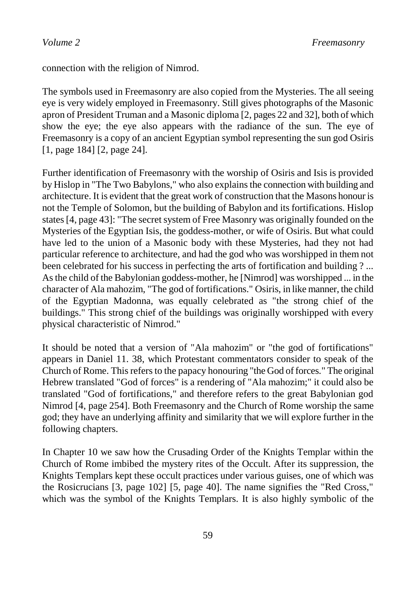connection with the religion of Nimrod.

The symbols used in Freemasonry are also copied from the Mysteries. The all seeing eye is very widely employed in Freemasonry. Still gives photographs of the Masonic apron of President Truman and a Masonic diploma [2, pages 22 and 32], both of which show the eye; the eye also appears with the radiance of the sun. The eye of Freemasonry is a copy of an ancient Egyptian symbol representing the sun god Osiris [1, page 184] [2, page 24].

Further identification of Freemasonry with the worship of Osiris and Isis is provided by Hislop in "The Two Babylons," who also explains the connection with building and architecture. It is evident that the great work of construction that the Masons honour is not the Temple of Solomon, but the building of Babylon and its fortifications. Hislop states [4, page 43]: "The secret system of Free Masonry was originally founded on the Mysteries of the Egyptian Isis, the goddess-mother, or wife of Osiris. But what could have led to the union of a Masonic body with these Mysteries, had they not had particular reference to architecture, and had the god who was worshipped in them not been celebrated for his success in perfecting the arts of fortification and building ? ... As the child of the Babylonian goddess-mother, he [Nimrod] was worshipped ... in the character of Ala mahozim, "The god of fortifications." Osiris, in like manner, the child of the Egyptian Madonna, was equally celebrated as "the strong chief of the buildings." This strong chief of the buildings was originally worshipped with every physical characteristic of Nimrod."

It should be noted that a version of "Ala mahozim" or "the god of fortifications" appears in Daniel 11. 38, which Protestant commentators consider to speak of the Church of Rome. This refers to the papacy honouring "the God of forces." The original Hebrew translated "God of forces" is a rendering of "Ala mahozim;" it could also be translated "God of fortifications," and therefore refers to the great Babylonian god Nimrod [4, page 254]. Both Freemasonry and the Church of Rome worship the same god; they have an underlying affinity and similarity that we will explore further in the following chapters.

In Chapter 10 we saw how the Crusading Order of the Knights Templar within the Church of Rome imbibed the mystery rites of the Occult. After its suppression, the Knights Templars kept these occult practices under various guises, one of which was the Rosicrucians [3, page 102] [5, page 40]. The name signifies the "Red Cross," which was the symbol of the Knights Templars. It is also highly symbolic of the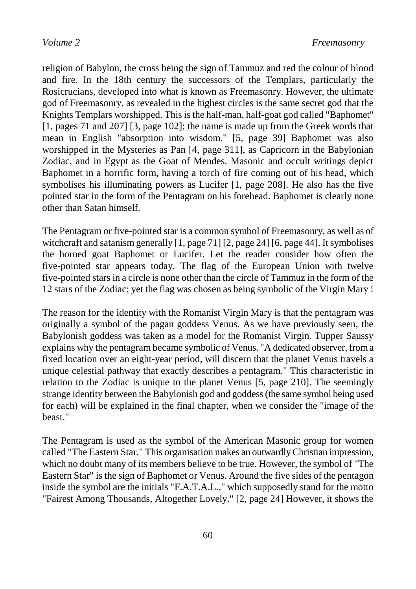religion of Babylon, the cross being the sign of Tammuz and red the colour of blood and fire. In the 18th century the successors of the Templars, particularly the Rosicrucians, developed into what is known as Freemasonry. However, the ultimate god of Freemasonry, as revealed in the highest circles is the same secret god that the Knights Templars worshipped. This is the half-man, half-goat god called "Baphomet" [1, pages 71 and 207] [3, page 102]; the name is made up from the Greek words that mean in English "absorption into wisdom." [5, page 39] Baphomet was also worshipped in the Mysteries as Pan [4, page 311], as Capricorn in the Babylonian Zodiac, and in Egypt as the Goat of Mendes. Masonic and occult writings depict Baphomet in a horrific form, having a torch of fire coming out of his head, which symbolises his illuminating powers as Lucifer [1, page 208]. He also has the five pointed star in the form of the Pentagram on his forehead. Baphomet is clearly none other than Satan himself.

The Pentagram or five-pointed star is a common symbol of Freemasonry, as well as of witchcraft and satanism generally [1, page 71] [2, page 24] [6, page 44]. It symbolises the horned goat Baphomet or Lucifer. Let the reader consider how often the five-pointed star appears today. The flag of the European Union with twelve five-pointed stars in a circle is none other than the circle of Tammuz in the form of the 12 stars of the Zodiac; yet the flag was chosen as being symbolic of the Virgin Mary !

The reason for the identity with the Romanist Virgin Mary is that the pentagram was originally a symbol of the pagan goddess Venus. As we have previously seen, the Babylonish goddess was taken as a model for the Romanist Virgin. Tupper Saussy explains why the pentagram became symbolic of Venus. "A dedicated observer, from a fixed location over an eight-year period, will discern that the planet Venus travels a unique celestial pathway that exactly describes a pentagram." This characteristic in relation to the Zodiac is unique to the planet Venus [5, page 210]. The seemingly strange identity between the Babylonish god and goddess (the same symbol being used for each) will be explained in the final chapter, when we consider the "image of the beast."

The Pentagram is used as the symbol of the American Masonic group for women called "The Eastern Star." This organisation makes an outwardly Christian impression, which no doubt many of its members believe to be true. However, the symbol of "The Eastern Star" is the sign of Baphomet or Venus. Around the five sides of the pentagon inside the symbol are the initials "F.A.T.A.L.," which supposedly stand for the motto "Fairest Among Thousands, Altogether Lovely." [2, page 24] However, it shows the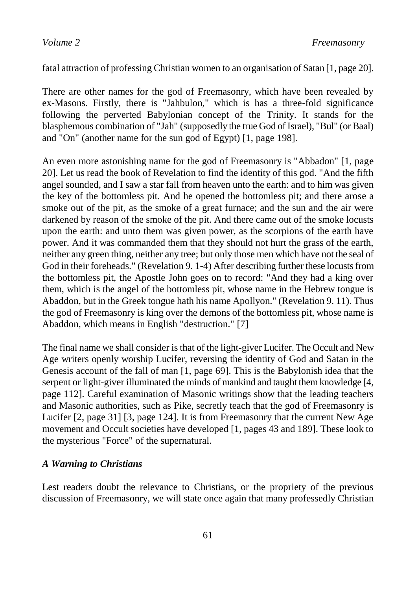fatal attraction of professing Christian women to an organisation of Satan [1, page 20].

There are other names for the god of Freemasonry, which have been revealed by ex-Masons. Firstly, there is "Jahbulon," which is has a three-fold significance following the perverted Babylonian concept of the Trinity. It stands for the blasphemous combination of "Jah" (supposedly the true God of Israel), "Bul" (or Baal) and "On" (another name for the sun god of Egypt) [1, page 198].

An even more astonishing name for the god of Freemasonry is "Abbadon" [1, page 20]. Let us read the book of Revelation to find the identity of this god. "And the fifth angel sounded, and I saw a star fall from heaven unto the earth: and to him was given the key of the bottomless pit. And he opened the bottomless pit; and there arose a smoke out of the pit, as the smoke of a great furnace; and the sun and the air were darkened by reason of the smoke of the pit. And there came out of the smoke locusts upon the earth: and unto them was given power, as the scorpions of the earth have power. And it was commanded them that they should not hurt the grass of the earth, neither any green thing, neither any tree; but only those men which have not the seal of God in their foreheads." (Revelation 9. 1-4) After describing further these locusts from the bottomless pit, the Apostle John goes on to record: "And they had a king over them, which is the angel of the bottomless pit, whose name in the Hebrew tongue is Abaddon, but in the Greek tongue hath his name Apollyon." (Revelation 9. 11). Thus the god of Freemasonry is king over the demons of the bottomless pit, whose name is Abaddon, which means in English "destruction." [7]

The final name we shall consider is that of the light-giver Lucifer. The Occult and New Age writers openly worship Lucifer, reversing the identity of God and Satan in the Genesis account of the fall of man [1, page 69]. This is the Babylonish idea that the serpent or light-giver illuminated the minds of mankind and taught them knowledge [4, page 112]. Careful examination of Masonic writings show that the leading teachers and Masonic authorities, such as Pike, secretly teach that the god of Freemasonry is Lucifer [2, page 31] [3, page 124]. It is from Freemasonry that the current New Age movement and Occult societies have developed [1, pages 43 and 189]. These look to the mysterious "Force" of the supernatural.

#### *A Warning to Christians*

Lest readers doubt the relevance to Christians, or the propriety of the previous discussion of Freemasonry, we will state once again that many professedly Christian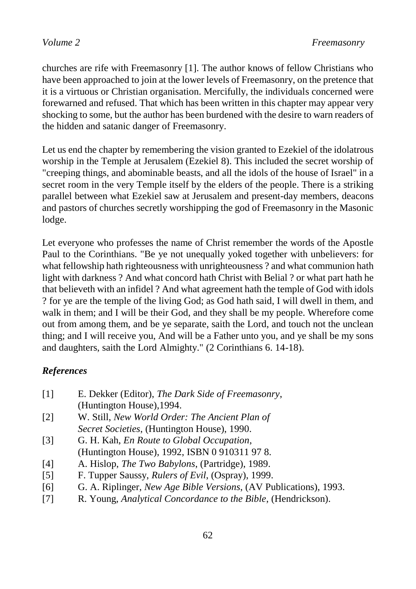churches are rife with Freemasonry [1]. The author knows of fellow Christians who have been approached to join at the lower levels of Freemasonry, on the pretence that it is a virtuous or Christian organisation. Mercifully, the individuals concerned were forewarned and refused. That which has been written in this chapter may appear very shocking to some, but the author has been burdened with the desire to warn readers of the hidden and satanic danger of Freemasonry.

Let us end the chapter by remembering the vision granted to Ezekiel of the idolatrous worship in the Temple at Jerusalem (Ezekiel 8). This included the secret worship of "creeping things, and abominable beasts, and all the idols of the house of Israel" in a secret room in the very Temple itself by the elders of the people. There is a striking parallel between what Ezekiel saw at Jerusalem and present-day members, deacons and pastors of churches secretly worshipping the god of Freemasonry in the Masonic lodge.

Let everyone who professes the name of Christ remember the words of the Apostle Paul to the Corinthians. "Be ye not unequally yoked together with unbelievers: for what fellowship hath righteousness with unrighteousness ? and what communion hath light with darkness ? And what concord hath Christ with Belial ? or what part hath he that believeth with an infidel ? And what agreement hath the temple of God with idols ? for ye are the temple of the living God; as God hath said, I will dwell in them, and walk in them; and I will be their God, and they shall be my people. Wherefore come out from among them, and be ye separate, saith the Lord, and touch not the unclean thing; and I will receive you, And will be a Father unto you, and ye shall be my sons and daughters, saith the Lord Almighty." (2 Corinthians 6. 14-18).

# *References*

| $\lceil 1 \rceil$ | E. Dekker (Editor), The Dark Side of Freemasonry,       |
|-------------------|---------------------------------------------------------|
|                   | (Huntington House), 1994.                               |
| $\lceil 2 \rceil$ | W. Still, New World Order: The Ancient Plan of          |
|                   | <i>Secret Societies, (Huntington House), 1990.</i>      |
| [3]               | G. H. Kah, <i>En Route to Global Occupation</i> ,       |
|                   | (Huntington House), 1992, ISBN 0 910311 978.            |
| [4]               | A. Hislop, <i>The Two Babylons</i> , (Partridge), 1989. |

- [5] F. Tupper Saussy, *Rulers of Evil*, (Ospray), 1999.
- [6] G. A. Riplinger, *New Age Bible Versions*, (AV Publications), 1993.
- [7] R. Young, *Analytical Concordance to the Bible*, (Hendrickson).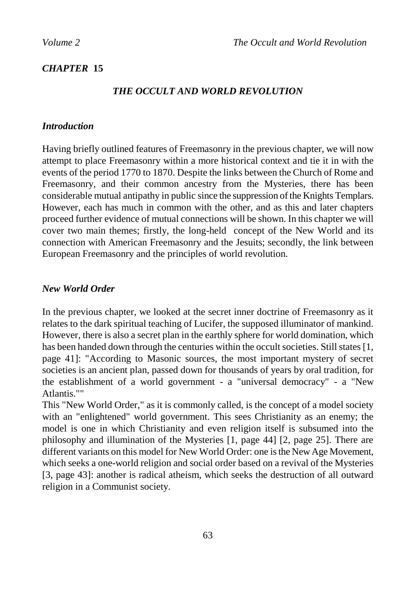# *CHAPTER* **15**

# *THE OCCULT AND WORLD REVOLUTION*

### *Introduction*

Having briefly outlined features of Freemasonry in the previous chapter, we will now attempt to place Freemasonry within a more historical context and tie it in with the events of the period 1770 to 1870. Despite the links between the Church of Rome and Freemasonry, and their common ancestry from the Mysteries, there has been considerable mutual antipathy in public since the suppression of the Knights Templars. However, each has much in common with the other, and as this and later chapters proceed further evidence of mutual connections will be shown. In this chapter we will cover two main themes; firstly, the long-held concept of the New World and its connection with American Freemasonry and the Jesuits; secondly, the link between European Freemasonry and the principles of world revolution.

## *New World Order*

In the previous chapter, we looked at the secret inner doctrine of Freemasonry as it relates to the dark spiritual teaching of Lucifer, the supposed illuminator of mankind. However, there is also a secret plan in the earthly sphere for world domination, which has been handed down through the centuries within the occult societies. Still states [1, page 41]: "According to Masonic sources, the most important mystery of secret societies is an ancient plan, passed down for thousands of years by oral tradition, for the establishment of a world government - a "universal democracy" - a "New Atlantis.""

This "New World Order," as it is commonly called, is the concept of a model society with an "enlightened" world government. This sees Christianity as an enemy; the model is one in which Christianity and even religion itself is subsumed into the philosophy and illumination of the Mysteries [1, page 44] [2, page 25]. There are different variants on this model for New World Order: one is the New Age Movement, which seeks a one-world religion and social order based on a revival of the Mysteries [3, page 43]: another is radical atheism, which seeks the destruction of all outward religion in a Communist society.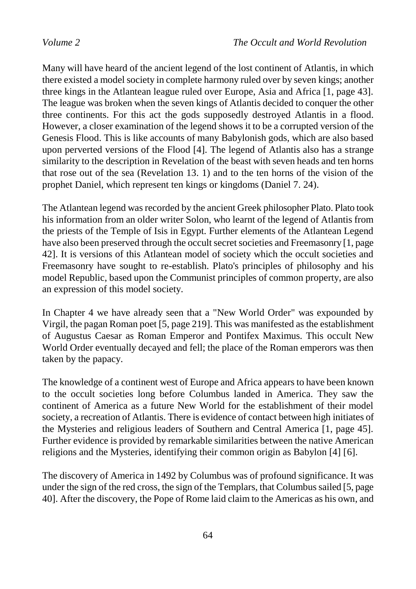Many will have heard of the ancient legend of the lost continent of Atlantis, in which there existed a model society in complete harmony ruled over by seven kings; another three kings in the Atlantean league ruled over Europe, Asia and Africa [1, page 43]. The league was broken when the seven kings of Atlantis decided to conquer the other three continents. For this act the gods supposedly destroyed Atlantis in a flood. However, a closer examination of the legend shows it to be a corrupted version of the Genesis Flood. This is like accounts of many Babylonish gods, which are also based upon perverted versions of the Flood [4]. The legend of Atlantis also has a strange similarity to the description in Revelation of the beast with seven heads and ten horns that rose out of the sea (Revelation 13. 1) and to the ten horns of the vision of the prophet Daniel, which represent ten kings or kingdoms (Daniel 7. 24).

The Atlantean legend was recorded by the ancient Greek philosopher Plato. Plato took his information from an older writer Solon, who learnt of the legend of Atlantis from the priests of the Temple of Isis in Egypt. Further elements of the Atlantean Legend have also been preserved through the occult secret societies and Freemasonry [1, page 42]. It is versions of this Atlantean model of society which the occult societies and Freemasonry have sought to re-establish. Plato's principles of philosophy and his model Republic, based upon the Communist principles of common property, are also an expression of this model society.

In Chapter 4 we have already seen that a "New World Order" was expounded by Virgil, the pagan Roman poet [5, page 219]. This was manifested as the establishment of Augustus Caesar as Roman Emperor and Pontifex Maximus. This occult New World Order eventually decayed and fell; the place of the Roman emperors was then taken by the papacy.

The knowledge of a continent west of Europe and Africa appears to have been known to the occult societies long before Columbus landed in America. They saw the continent of America as a future New World for the establishment of their model society, a recreation of Atlantis. There is evidence of contact between high initiates of the Mysteries and religious leaders of Southern and Central America [1, page 45]. Further evidence is provided by remarkable similarities between the native American religions and the Mysteries, identifying their common origin as Babylon [4] [6].

The discovery of America in 1492 by Columbus was of profound significance. It was under the sign of the red cross, the sign of the Templars, that Columbus sailed [5, page 40]. After the discovery, the Pope of Rome laid claim to the Americas as his own, and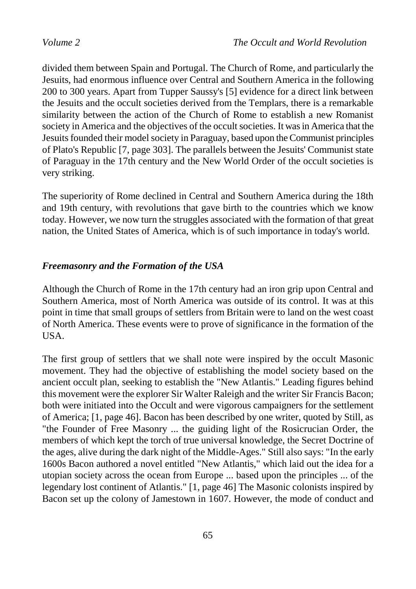divided them between Spain and Portugal. The Church of Rome, and particularly the Jesuits, had enormous influence over Central and Southern America in the following 200 to 300 years. Apart from Tupper Saussy's [5] evidence for a direct link between the Jesuits and the occult societies derived from the Templars, there is a remarkable similarity between the action of the Church of Rome to establish a new Romanist society in America and the objectives of the occult societies. It was in America that the Jesuits founded their model society in Paraguay, based upon the Communist principles of Plato's Republic [7, page 303]. The parallels between the Jesuits' Communist state of Paraguay in the 17th century and the New World Order of the occult societies is very striking.

The superiority of Rome declined in Central and Southern America during the 18th and 19th century, with revolutions that gave birth to the countries which we know today. However, we now turn the struggles associated with the formation of that great nation, the United States of America, which is of such importance in today's world.

# *Freemasonry and the Formation of the USA*

Although the Church of Rome in the 17th century had an iron grip upon Central and Southern America, most of North America was outside of its control. It was at this point in time that small groups of settlers from Britain were to land on the west coast of North America. These events were to prove of significance in the formation of the USA.

The first group of settlers that we shall note were inspired by the occult Masonic movement. They had the objective of establishing the model society based on the ancient occult plan, seeking to establish the "New Atlantis." Leading figures behind this movement were the explorer Sir Walter Raleigh and the writer Sir Francis Bacon; both were initiated into the Occult and were vigorous campaigners for the settlement of America; [1, page 46]. Bacon has been described by one writer, quoted by Still, as "the Founder of Free Masonry ... the guiding light of the Rosicrucian Order, the members of which kept the torch of true universal knowledge, the Secret Doctrine of the ages, alive during the dark night of the Middle-Ages." Still also says: "In the early 1600s Bacon authored a novel entitled "New Atlantis," which laid out the idea for a utopian society across the ocean from Europe ... based upon the principles ... of the legendary lost continent of Atlantis." [1, page 46] The Masonic colonists inspired by Bacon set up the colony of Jamestown in 1607. However, the mode of conduct and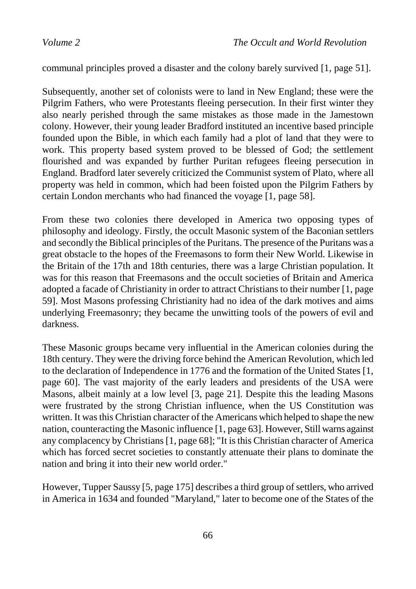communal principles proved a disaster and the colony barely survived [1, page 51].

Subsequently, another set of colonists were to land in New England; these were the Pilgrim Fathers, who were Protestants fleeing persecution. In their first winter they also nearly perished through the same mistakes as those made in the Jamestown colony. However, their young leader Bradford instituted an incentive based principle founded upon the Bible, in which each family had a plot of land that they were to work. This property based system proved to be blessed of God; the settlement flourished and was expanded by further Puritan refugees fleeing persecution in England. Bradford later severely criticized the Communist system of Plato, where all property was held in common, which had been foisted upon the Pilgrim Fathers by certain London merchants who had financed the voyage [1, page 58].

From these two colonies there developed in America two opposing types of philosophy and ideology. Firstly, the occult Masonic system of the Baconian settlers and secondly the Biblical principles of the Puritans. The presence of the Puritans was a great obstacle to the hopes of the Freemasons to form their New World. Likewise in the Britain of the 17th and 18th centuries, there was a large Christian population. It was for this reason that Freemasons and the occult societies of Britain and America adopted a facade of Christianity in order to attract Christians to their number [1, page 59]. Most Masons professing Christianity had no idea of the dark motives and aims underlying Freemasonry; they became the unwitting tools of the powers of evil and darkness.

These Masonic groups became very influential in the American colonies during the 18th century. They were the driving force behind the American Revolution, which led to the declaration of Independence in 1776 and the formation of the United States [1, page 60]. The vast majority of the early leaders and presidents of the USA were Masons, albeit mainly at a low level [3, page 21]. Despite this the leading Masons were frustrated by the strong Christian influence, when the US Constitution was written. It was this Christian character of the Americans which helped to shape the new nation, counteracting the Masonic influence [1, page 63]. However, Still warns against any complacency by Christians [1, page 68]; "It is this Christian character of America which has forced secret societies to constantly attenuate their plans to dominate the nation and bring it into their new world order."

However, Tupper Saussy [5, page 175] describes a third group of settlers, who arrived in America in 1634 and founded "Maryland," later to become one of the States of the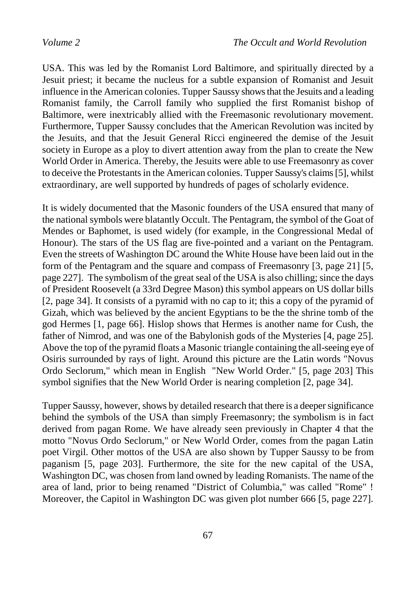USA. This was led by the Romanist Lord Baltimore, and spiritually directed by a Jesuit priest; it became the nucleus for a subtle expansion of Romanist and Jesuit influence in the American colonies. Tupper Saussy shows that the Jesuits and a leading Romanist family, the Carroll family who supplied the first Romanist bishop of Baltimore, were inextricably allied with the Freemasonic revolutionary movement. Furthermore, Tupper Saussy concludes that the American Revolution was incited by the Jesuits, and that the Jesuit General Ricci engineered the demise of the Jesuit society in Europe as a ploy to divert attention away from the plan to create the New World Order in America. Thereby, the Jesuits were able to use Freemasonry as cover to deceive the Protestants in the American colonies. Tupper Saussy's claims [5], whilst extraordinary, are well supported by hundreds of pages of scholarly evidence.

It is widely documented that the Masonic founders of the USA ensured that many of the national symbols were blatantly Occult. The Pentagram, the symbol of the Goat of Mendes or Baphomet, is used widely (for example, in the Congressional Medal of Honour). The stars of the US flag are five-pointed and a variant on the Pentagram. Even the streets of Washington DC around the White House have been laid out in the form of the Pentagram and the square and compass of Freemasonry [3, page 21] [5, page 227]. The symbolism of the great seal of the USA is also chilling; since the days of President Roosevelt (a 33rd Degree Mason) this symbol appears on US dollar bills [2, page 34]. It consists of a pyramid with no cap to it; this a copy of the pyramid of Gizah, which was believed by the ancient Egyptians to be the the shrine tomb of the god Hermes [1, page 66]. Hislop shows that Hermes is another name for Cush, the father of Nimrod, and was one of the Babylonish gods of the Mysteries [4, page 25]. Above the top of the pyramid floats a Masonic triangle containing the all-seeing eye of Osiris surrounded by rays of light. Around this picture are the Latin words "Novus Ordo Seclorum," which mean in English "New World Order." [5, page 203] This symbol signifies that the New World Order is nearing completion [2, page 34].

Tupper Saussy, however, shows by detailed research that there is a deeper significance behind the symbols of the USA than simply Freemasonry; the symbolism is in fact derived from pagan Rome. We have already seen previously in Chapter 4 that the motto "Novus Ordo Seclorum," or New World Order, comes from the pagan Latin poet Virgil. Other mottos of the USA are also shown by Tupper Saussy to be from paganism [5, page 203]. Furthermore, the site for the new capital of the USA, Washington DC, was chosen from land owned by leading Romanists. The name of the area of land, prior to being renamed "District of Columbia," was called "Rome" ! Moreover, the Capitol in Washington DC was given plot number 666 [5, page 227].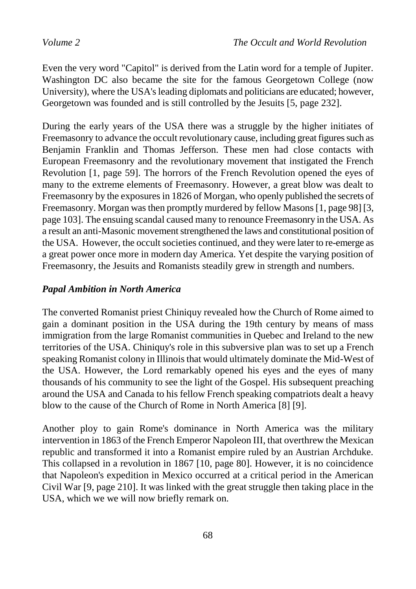Even the very word "Capitol" is derived from the Latin word for a temple of Jupiter. Washington DC also became the site for the famous Georgetown College (now University), where the USA's leading diplomats and politicians are educated; however, Georgetown was founded and is still controlled by the Jesuits [5, page 232].

During the early years of the USA there was a struggle by the higher initiates of Freemasonry to advance the occult revolutionary cause, including great figures such as Benjamin Franklin and Thomas Jefferson. These men had close contacts with European Freemasonry and the revolutionary movement that instigated the French Revolution [1, page 59]. The horrors of the French Revolution opened the eyes of many to the extreme elements of Freemasonry. However, a great blow was dealt to Freemasonry by the exposures in 1826 of Morgan, who openly published the secrets of Freemasonry. Morgan was then promptly murdered by fellow Masons [1, page 98] [3, page 103]. The ensuing scandal caused many to renounce Freemasonry in the USA. As a result an anti-Masonic movement strengthened the laws and constitutional position of the USA. However, the occult societies continued, and they were later to re-emerge as a great power once more in modern day America. Yet despite the varying position of Freemasonry, the Jesuits and Romanists steadily grew in strength and numbers.

# *Papal Ambition in North America*

The converted Romanist priest Chiniquy revealed how the Church of Rome aimed to gain a dominant position in the USA during the 19th century by means of mass immigration from the large Romanist communities in Quebec and Ireland to the new territories of the USA. Chiniquy's role in this subversive plan was to set up a French speaking Romanist colony in Illinois that would ultimately dominate the Mid-West of the USA. However, the Lord remarkably opened his eyes and the eyes of many thousands of his community to see the light of the Gospel. His subsequent preaching around the USA and Canada to his fellow French speaking compatriots dealt a heavy blow to the cause of the Church of Rome in North America [8] [9].

Another ploy to gain Rome's dominance in North America was the military intervention in 1863 of the French Emperor Napoleon III, that overthrew the Mexican republic and transformed it into a Romanist empire ruled by an Austrian Archduke. This collapsed in a revolution in 1867 [10, page 80]. However, it is no coincidence that Napoleon's expedition in Mexico occurred at a critical period in the American Civil War [9, page 210]. It was linked with the great struggle then taking place in the USA, which we we will now briefly remark on.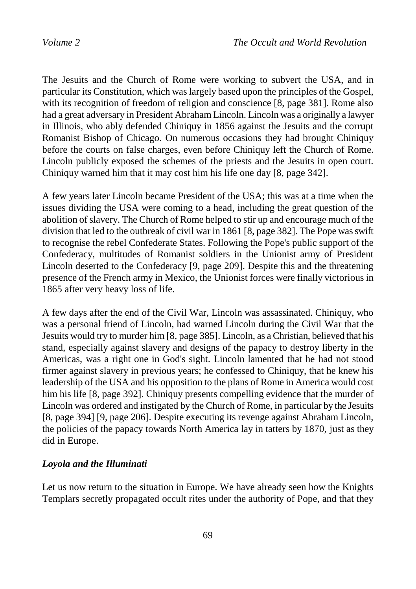The Jesuits and the Church of Rome were working to subvert the USA, and in particular its Constitution, which was largely based upon the principles of the Gospel, with its recognition of freedom of religion and conscience [8, page 381]. Rome also had a great adversary in President Abraham Lincoln. Lincoln was a originally a lawyer in Illinois, who ably defended Chiniquy in 1856 against the Jesuits and the corrupt Romanist Bishop of Chicago. On numerous occasions they had brought Chiniquy before the courts on false charges, even before Chiniquy left the Church of Rome. Lincoln publicly exposed the schemes of the priests and the Jesuits in open court. Chiniquy warned him that it may cost him his life one day [8, page 342].

A few years later Lincoln became President of the USA; this was at a time when the issues dividing the USA were coming to a head, including the great question of the abolition of slavery. The Church of Rome helped to stir up and encourage much of the division that led to the outbreak of civil war in 1861 [8, page 382]. The Pope was swift to recognise the rebel Confederate States. Following the Pope's public support of the Confederacy, multitudes of Romanist soldiers in the Unionist army of President Lincoln deserted to the Confederacy [9, page 209]. Despite this and the threatening presence of the French army in Mexico, the Unionist forces were finally victorious in 1865 after very heavy loss of life.

A few days after the end of the Civil War, Lincoln was assassinated. Chiniquy, who was a personal friend of Lincoln, had warned Lincoln during the Civil War that the Jesuits would try to murder him [8, page 385]. Lincoln, as a Christian, believed that his stand, especially against slavery and designs of the papacy to destroy liberty in the Americas, was a right one in God's sight. Lincoln lamented that he had not stood firmer against slavery in previous years; he confessed to Chiniquy, that he knew his leadership of the USA and his opposition to the plans of Rome in America would cost him his life [8, page 392]. Chiniquy presents compelling evidence that the murder of Lincoln was ordered and instigated by the Church of Rome, in particular by the Jesuits [8, page 394] [9, page 206]. Despite executing its revenge against Abraham Lincoln, the policies of the papacy towards North America lay in tatters by 1870, just as they did in Europe.

# *Loyola and the Illuminati*

Let us now return to the situation in Europe. We have already seen how the Knights Templars secretly propagated occult rites under the authority of Pope, and that they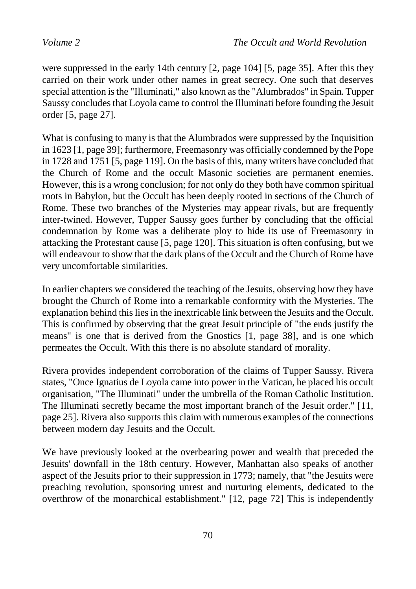were suppressed in the early 14th century [2, page 104] [5, page 35]. After this they carried on their work under other names in great secrecy. One such that deserves special attention is the "Illuminati," also known as the "Alumbrados" in Spain. Tupper Saussy concludes that Loyola came to control the Illuminati before founding the Jesuit order [5, page 27].

What is confusing to many is that the Alumbrados were suppressed by the Inquisition in 1623 [1, page 39]; furthermore, Freemasonry was officially condemned by the Pope in 1728 and 1751 [5, page 119]. On the basis of this, many writers have concluded that the Church of Rome and the occult Masonic societies are permanent enemies. However, this is a wrong conclusion; for not only do they both have common spiritual roots in Babylon, but the Occult has been deeply rooted in sections of the Church of Rome. These two branches of the Mysteries may appear rivals, but are frequently inter-twined. However, Tupper Saussy goes further by concluding that the official condemnation by Rome was a deliberate ploy to hide its use of Freemasonry in attacking the Protestant cause [5, page 120]. This situation is often confusing, but we will endeavour to show that the dark plans of the Occult and the Church of Rome have very uncomfortable similarities.

In earlier chapters we considered the teaching of the Jesuits, observing how they have brought the Church of Rome into a remarkable conformity with the Mysteries. The explanation behind this lies in the inextricable link between the Jesuits and the Occult. This is confirmed by observing that the great Jesuit principle of "the ends justify the means" is one that is derived from the Gnostics [1, page 38], and is one which permeates the Occult. With this there is no absolute standard of morality.

Rivera provides independent corroboration of the claims of Tupper Saussy. Rivera states, "Once Ignatius de Loyola came into power in the Vatican, he placed his occult organisation, "The Illuminati" under the umbrella of the Roman Catholic Institution. The Illuminati secretly became the most important branch of the Jesuit order." [11, page 25]. Rivera also supports this claim with numerous examples of the connections between modern day Jesuits and the Occult.

We have previously looked at the overbearing power and wealth that preceded the Jesuits' downfall in the 18th century. However, Manhattan also speaks of another aspect of the Jesuits prior to their suppression in 1773; namely, that "the Jesuits were preaching revolution, sponsoring unrest and nurturing elements, dedicated to the overthrow of the monarchical establishment." [12, page 72] This is independently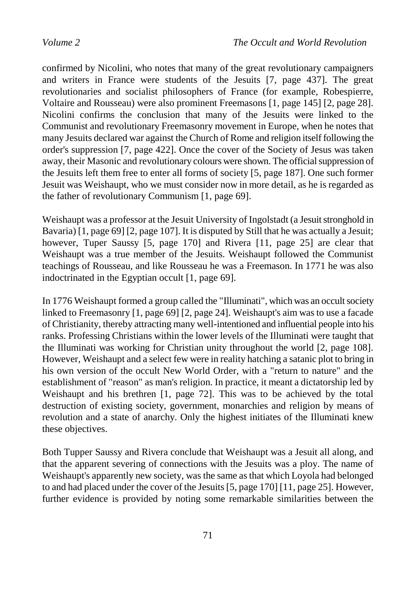confirmed by Nicolini, who notes that many of the great revolutionary campaigners and writers in France were students of the Jesuits [7, page 437]. The great revolutionaries and socialist philosophers of France (for example, Robespierre, Voltaire and Rousseau) were also prominent Freemasons [1, page 145] [2, page 28]. Nicolini confirms the conclusion that many of the Jesuits were linked to the Communist and revolutionary Freemasonry movement in Europe, when he notes that many Jesuits declared war against the Church of Rome and religion itself following the order's suppression [7, page 422]. Once the cover of the Society of Jesus was taken away, their Masonic and revolutionary colours were shown. The official suppression of the Jesuits left them free to enter all forms of society [5, page 187]. One such former Jesuit was Weishaupt, who we must consider now in more detail, as he is regarded as the father of revolutionary Communism [1, page 69].

Weishaupt was a professor at the Jesuit University of Ingolstadt (a Jesuit stronghold in Bavaria) [1, page 69] [2, page 107]. It is disputed by Still that he was actually a Jesuit; however, Tuper Saussy [5, page 170] and Rivera [11, page 25] are clear that Weishaupt was a true member of the Jesuits. Weishaupt followed the Communist teachings of Rousseau, and like Rousseau he was a Freemason. In 1771 he was also indoctrinated in the Egyptian occult [1, page 69].

In 1776 Weishaupt formed a group called the "Illuminati", which was an occult society linked to Freemasonry [1, page 69] [2, page 24]. Weishaupt's aim was to use a facade of Christianity, thereby attracting many well-intentioned and influential people into his ranks. Professing Christians within the lower levels of the Illuminati were taught that the Illuminati was working for Christian unity throughout the world [2, page 108]. However, Weishaupt and a select few were in reality hatching a satanic plot to bring in his own version of the occult New World Order, with a "return to nature" and the establishment of "reason" as man's religion. In practice, it meant a dictatorship led by Weishaupt and his brethren [1, page 72]. This was to be achieved by the total destruction of existing society, government, monarchies and religion by means of revolution and a state of anarchy. Only the highest initiates of the Illuminati knew these objectives.

Both Tupper Saussy and Rivera conclude that Weishaupt was a Jesuit all along, and that the apparent severing of connections with the Jesuits was a ploy. The name of Weishaupt's apparently new society, was the same as that which Loyola had belonged to and had placed under the cover of the Jesuits [5, page 170] [11, page 25]. However, further evidence is provided by noting some remarkable similarities between the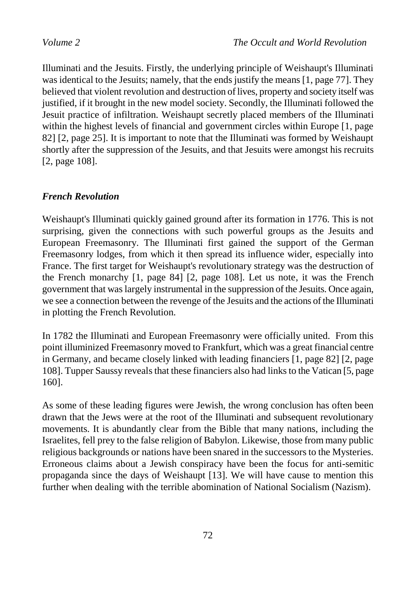Illuminati and the Jesuits. Firstly, the underlying principle of Weishaupt's Illuminati was identical to the Jesuits; namely, that the ends justify the means [1, page 77]. They believed that violent revolution and destruction of lives, property and society itself was justified, if it brought in the new model society. Secondly, the Illuminati followed the Jesuit practice of infiltration. Weishaupt secretly placed members of the Illuminati within the highest levels of financial and government circles within Europe [1, page 82] [2, page 25]. It is important to note that the Illuminati was formed by Weishaupt shortly after the suppression of the Jesuits, and that Jesuits were amongst his recruits [2, page 108].

# *French Revolution*

Weishaupt's Illuminati quickly gained ground after its formation in 1776. This is not surprising, given the connections with such powerful groups as the Jesuits and European Freemasonry. The Illuminati first gained the support of the German Freemasonry lodges, from which it then spread its influence wider, especially into France. The first target for Weishaupt's revolutionary strategy was the destruction of the French monarchy [1, page 84] [2, page 108]. Let us note, it was the French government that was largely instrumental in the suppression of the Jesuits. Once again, we see a connection between the revenge of the Jesuits and the actions of the Illuminati in plotting the French Revolution.

In 1782 the Illuminati and European Freemasonry were officially united. From this point illuminized Freemasonry moved to Frankfurt, which was a great financial centre in Germany, and became closely linked with leading financiers [1, page 82] [2, page 108]. Tupper Saussy reveals that these financiers also had links to the Vatican [5, page 160].

As some of these leading figures were Jewish, the wrong conclusion has often been drawn that the Jews were at the root of the Illuminati and subsequent revolutionary movements. It is abundantly clear from the Bible that many nations, including the Israelites, fell prey to the false religion of Babylon. Likewise, those from many public religious backgrounds or nations have been snared in the successors to the Mysteries. Erroneous claims about a Jewish conspiracy have been the focus for anti-semitic propaganda since the days of Weishaupt [13]. We will have cause to mention this further when dealing with the terrible abomination of National Socialism (Nazism).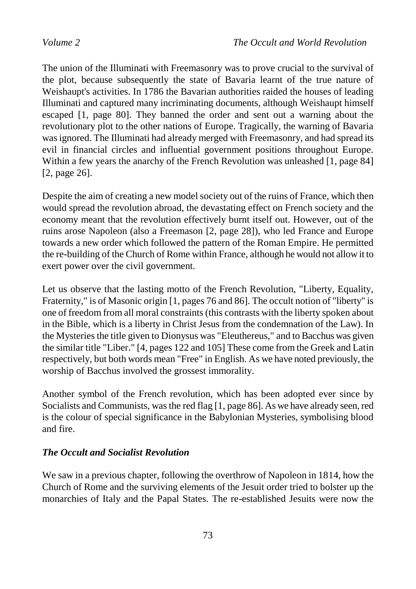The union of the Illuminati with Freemasonry was to prove crucial to the survival of the plot, because subsequently the state of Bavaria learnt of the true nature of Weishaupt's activities. In 1786 the Bavarian authorities raided the houses of leading Illuminati and captured many incriminating documents, although Weishaupt himself escaped [1, page 80]. They banned the order and sent out a warning about the revolutionary plot to the other nations of Europe. Tragically, the warning of Bavaria was ignored. The Illuminati had already merged with Freemasonry, and had spread its evil in financial circles and influential government positions throughout Europe. Within a few years the anarchy of the French Revolution was unleashed [1, page 84] [2, page 26].

Despite the aim of creating a new model society out of the ruins of France, which then would spread the revolution abroad, the devastating effect on French society and the economy meant that the revolution effectively burnt itself out. However, out of the ruins arose Napoleon (also a Freemason [2, page 28]), who led France and Europe towards a new order which followed the pattern of the Roman Empire. He permitted the re-building of the Church of Rome within France, although he would not allow it to exert power over the civil government.

Let us observe that the lasting motto of the French Revolution, "Liberty, Equality, Fraternity," is of Masonic origin [1, pages 76 and 86]. The occult notion of "liberty" is one of freedom from all moral constraints (this contrasts with the liberty spoken about in the Bible, which is a liberty in Christ Jesus from the condemnation of the Law). In the Mysteries the title given to Dionysus was "Eleuthereus," and to Bacchus was given the similar title "Liber." [4, pages 122 and 105] These come from the Greek and Latin respectively, but both words mean "Free" in English. As we have noted previously, the worship of Bacchus involved the grossest immorality.

Another symbol of the French revolution, which has been adopted ever since by Socialists and Communists, was the red flag [1, page 86]. As we have already seen, red is the colour of special significance in the Babylonian Mysteries, symbolising blood and fire.

## *The Occult and Socialist Revolution*

We saw in a previous chapter, following the overthrow of Napoleon in 1814, how the Church of Rome and the surviving elements of the Jesuit order tried to bolster up the monarchies of Italy and the Papal States. The re-established Jesuits were now the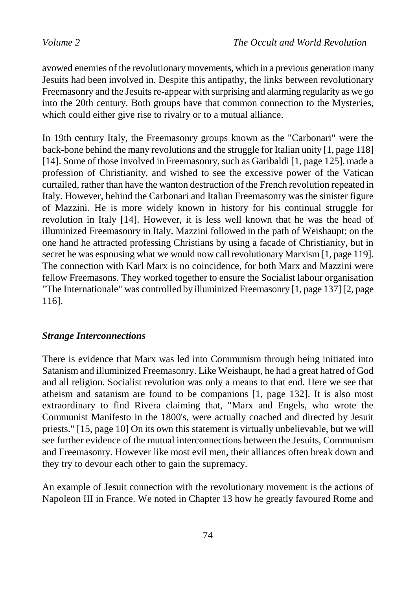avowed enemies of the revolutionary movements, which in a previous generation many Jesuits had been involved in. Despite this antipathy, the links between revolutionary Freemasonry and the Jesuits re-appear with surprising and alarming regularity as we go into the 20th century. Both groups have that common connection to the Mysteries, which could either give rise to rivalry or to a mutual alliance.

In 19th century Italy, the Freemasonry groups known as the "Carbonari" were the back-bone behind the many revolutions and the struggle for Italian unity [1, page 118] [14]. Some of those involved in Freemasonry, such as Garibaldi [1, page 125], made a profession of Christianity, and wished to see the excessive power of the Vatican curtailed, rather than have the wanton destruction of the French revolution repeated in Italy. However, behind the Carbonari and Italian Freemasonry was the sinister figure of Mazzini. He is more widely known in history for his continual struggle for revolution in Italy [14]. However, it is less well known that he was the head of illuminized Freemasonry in Italy. Mazzini followed in the path of Weishaupt; on the one hand he attracted professing Christians by using a facade of Christianity, but in secret he was espousing what we would now call revolutionary Marxism [1, page 119]. The connection with Karl Marx is no coincidence, for both Marx and Mazzini were fellow Freemasons. They worked together to ensure the Socialist labour organisation "The Internationale" was controlled by illuminized Freemasonry [1, page 137] [2, page 116].

### *Strange Interconnections*

There is evidence that Marx was led into Communism through being initiated into Satanism and illuminized Freemasonry. Like Weishaupt, he had a great hatred of God and all religion. Socialist revolution was only a means to that end. Here we see that atheism and satanism are found to be companions [1, page 132]. It is also most extraordinary to find Rivera claiming that, "Marx and Engels, who wrote the Communist Manifesto in the 1800's, were actually coached and directed by Jesuit priests." [15, page 10] On its own this statement is virtually unbelievable, but we will see further evidence of the mutual interconnections between the Jesuits, Communism and Freemasonry. However like most evil men, their alliances often break down and they try to devour each other to gain the supremacy.

An example of Jesuit connection with the revolutionary movement is the actions of Napoleon III in France. We noted in Chapter 13 how he greatly favoured Rome and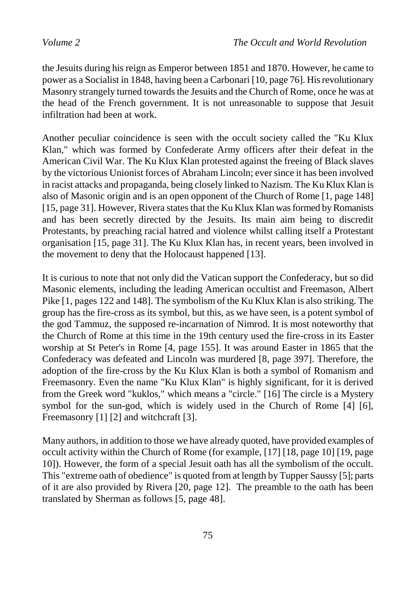the Jesuits during his reign as Emperor between 1851 and 1870. However, he came to power as a Socialist in 1848, having been a Carbonari [10, page 76]. His revolutionary Masonry strangely turned towards the Jesuits and the Church of Rome, once he was at the head of the French government. It is not unreasonable to suppose that Jesuit infiltration had been at work.

Another peculiar coincidence is seen with the occult society called the "Ku Klux Klan," which was formed by Confederate Army officers after their defeat in the American Civil War. The Ku Klux Klan protested against the freeing of Black slaves by the victorious Unionist forces of Abraham Lincoln; ever since it has been involved in racist attacks and propaganda, being closely linked to Nazism. The Ku Klux Klan is also of Masonic origin and is an open opponent of the Church of Rome [1, page 148] [15, page 31]. However, Rivera states that the Ku Klux Klan was formed by Romanists and has been secretly directed by the Jesuits. Its main aim being to discredit Protestants, by preaching racial hatred and violence whilst calling itself a Protestant organisation [15, page 31]. The Ku Klux Klan has, in recent years, been involved in the movement to deny that the Holocaust happened [13].

It is curious to note that not only did the Vatican support the Confederacy, but so did Masonic elements, including the leading American occultist and Freemason, Albert Pike [1, pages 122 and 148]. The symbolism of the Ku Klux Klan is also striking. The group has the fire-cross as its symbol, but this, as we have seen, is a potent symbol of the god Tammuz, the supposed re-incarnation of Nimrod. It is most noteworthy that the Church of Rome at this time in the 19th century used the fire-cross in its Easter worship at St Peter's in Rome [4, page 155]. It was around Easter in 1865 that the Confederacy was defeated and Lincoln was murdered [8, page 397]. Therefore, the adoption of the fire-cross by the Ku Klux Klan is both a symbol of Romanism and Freemasonry. Even the name "Ku Klux Klan" is highly significant, for it is derived from the Greek word "kuklos," which means a "circle." [16] The circle is a Mystery symbol for the sun-god, which is widely used in the Church of Rome [4] [6], Freemasonry [1] [2] and witchcraft [3].

Many authors, in addition to those we have already quoted, have provided examples of occult activity within the Church of Rome (for example, [17] [18, page 10] [19, page 10]). However, the form of a special Jesuit oath has all the symbolism of the occult. This "extreme oath of obedience" is quoted from at length by Tupper Saussy [5]; parts of it are also provided by Rivera [20, page 12]. The preamble to the oath has been translated by Sherman as follows [5, page 48].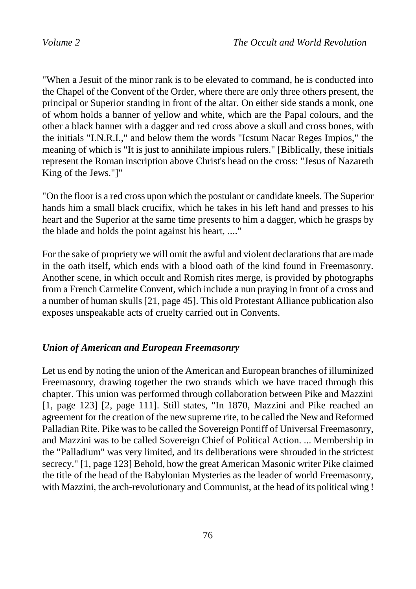"When a Jesuit of the minor rank is to be elevated to command, he is conducted into the Chapel of the Convent of the Order, where there are only three others present, the principal or Superior standing in front of the altar. On either side stands a monk, one of whom holds a banner of yellow and white, which are the Papal colours, and the other a black banner with a dagger and red cross above a skull and cross bones, with the initials "I.N.R.I.," and below them the words "Icstum Nacar Reges Impios," the meaning of which is "It is just to annihilate impious rulers." [Biblically, these initials represent the Roman inscription above Christ's head on the cross: "Jesus of Nazareth King of the Jews."]"

"On the floor is a red cross upon which the postulant or candidate kneels. The Superior hands him a small black crucifix, which he takes in his left hand and presses to his heart and the Superior at the same time presents to him a dagger, which he grasps by the blade and holds the point against his heart, ...."

For the sake of propriety we will omit the awful and violent declarations that are made in the oath itself, which ends with a blood oath of the kind found in Freemasonry. Another scene, in which occult and Romish rites merge, is provided by photographs from a French Carmelite Convent, which include a nun praying in front of a cross and a number of human skulls [21, page 45]. This old Protestant Alliance publication also exposes unspeakable acts of cruelty carried out in Convents.

### *Union of American and European Freemasonry*

Let us end by noting the union of the American and European branches of illuminized Freemasonry, drawing together the two strands which we have traced through this chapter. This union was performed through collaboration between Pike and Mazzini [1, page 123] [2, page 111]. Still states, "In 1870, Mazzini and Pike reached an agreement for the creation of the new supreme rite, to be called the New and Reformed Palladian Rite. Pike was to be called the Sovereign Pontiff of Universal Freemasonry, and Mazzini was to be called Sovereign Chief of Political Action. ... Membership in the "Palladium" was very limited, and its deliberations were shrouded in the strictest secrecy." [1, page 123] Behold, how the great American Masonic writer Pike claimed the title of the head of the Babylonian Mysteries as the leader of world Freemasonry, with Mazzini, the arch-revolutionary and Communist, at the head of its political wing !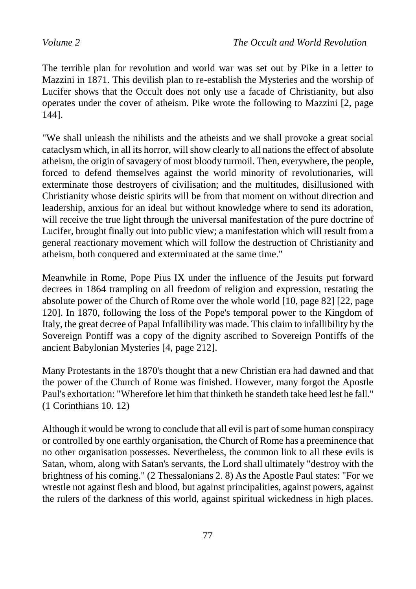The terrible plan for revolution and world war was set out by Pike in a letter to Mazzini in 1871. This devilish plan to re-establish the Mysteries and the worship of Lucifer shows that the Occult does not only use a facade of Christianity, but also operates under the cover of atheism. Pike wrote the following to Mazzini [2, page 144].

"We shall unleash the nihilists and the atheists and we shall provoke a great social cataclysm which, in all its horror, will show clearly to all nations the effect of absolute atheism, the origin of savagery of most bloody turmoil. Then, everywhere, the people, forced to defend themselves against the world minority of revolutionaries, will exterminate those destroyers of civilisation; and the multitudes, disillusioned with Christianity whose deistic spirits will be from that moment on without direction and leadership, anxious for an ideal but without knowledge where to send its adoration, will receive the true light through the universal manifestation of the pure doctrine of Lucifer, brought finally out into public view; a manifestation which will result from a general reactionary movement which will follow the destruction of Christianity and atheism, both conquered and exterminated at the same time."

Meanwhile in Rome, Pope Pius IX under the influence of the Jesuits put forward decrees in 1864 trampling on all freedom of religion and expression, restating the absolute power of the Church of Rome over the whole world [10, page 82] [22, page 120]. In 1870, following the loss of the Pope's temporal power to the Kingdom of Italy, the great decree of Papal Infallibility was made. This claim to infallibility by the Sovereign Pontiff was a copy of the dignity ascribed to Sovereign Pontiffs of the ancient Babylonian Mysteries [4, page 212].

Many Protestants in the 1870's thought that a new Christian era had dawned and that the power of the Church of Rome was finished. However, many forgot the Apostle Paul's exhortation: "Wherefore let him that thinketh he standeth take heed lest he fall." (1 Corinthians 10. 12)

Although it would be wrong to conclude that all evil is part of some human conspiracy or controlled by one earthly organisation, the Church of Rome has a preeminence that no other organisation possesses. Nevertheless, the common link to all these evils is Satan, whom, along with Satan's servants, the Lord shall ultimately "destroy with the brightness of his coming." (2 Thessalonians 2. 8) As the Apostle Paul states: "For we wrestle not against flesh and blood, but against principalities, against powers, against the rulers of the darkness of this world, against spiritual wickedness in high places.